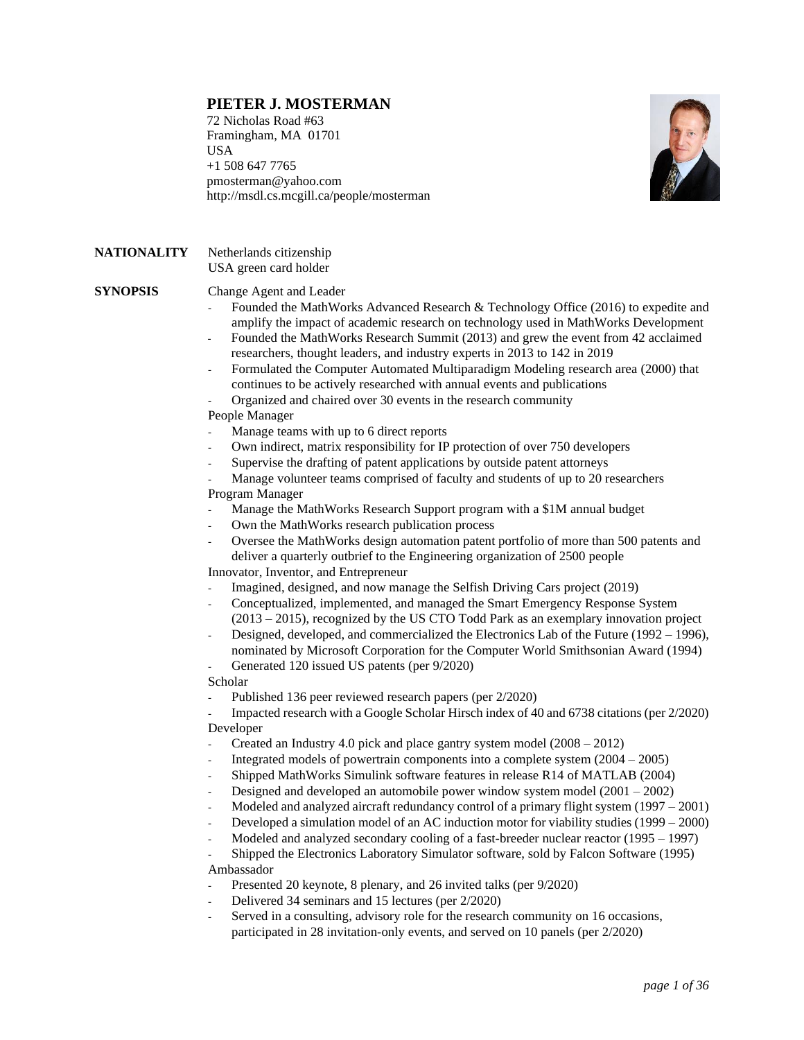# **PIETER J. MOSTERMAN**

72 Nicholas Road #63 Framingham, MA 01701 USA +1 508 647 7765 [pmosterman@yahoo.com](mailto:pmosterman@yahoo.com) [http://msdl.cs.mcgill.ca/people/mosterman](http://moncs.cs.mcgill.ca/people/mosterman)



# **NATIONALITY** Netherlands citizenship USA green card holder

**SYNOPSIS** Change Agent and Leader

- Founded the MathWorks Advanced Research & Technology Office (2016) to expedite and amplify the impact of academic research on technology used in MathWorks Development
- Founded the MathWorks Research Summit (2013) and grew the event from 42 acclaimed researchers, thought leaders, and industry experts in 2013 to 142 in 2019
- Formulated the Computer Automated Multiparadigm Modeling research area (2000) that continues to be actively researched with annual events and publications
- Organized and chaired over 30 events in the research community

### People Manager

- Manage teams with up to 6 direct reports
- Own indirect, matrix responsibility for IP protection of over 750 developers
- Supervise the drafting of patent applications by outside patent attorneys
- Manage volunteer teams comprised of faculty and students of up to 20 researchers Program Manager
- Manage the MathWorks Research Support program with a \$1M annual budget
- Own the MathWorks research publication process
- Oversee the MathWorks design automation patent portfolio of more than 500 patents and deliver a quarterly outbrief to the Engineering organization of 2500 people

Innovator, Inventor, and Entrepreneur

- Imagined, designed, and now manage the Selfish Driving Cars project (2019)
- Conceptualized, implemented, and managed the Smart Emergency Response System (2013 – 2015), recognized by the US CTO Todd Park as an exemplary innovation project
- Designed, developed, and commercialized the Electronics Lab of the Future (1992 1996), nominated by Microsoft Corporation for the Computer World Smithsonian Award (1994)
- Generated 120 issued US patents (per 9/2020)

Scholar

Published 136 peer reviewed research papers (per  $2/2020$ )

- Impacted research with a Google Scholar Hirsch index of 40 and 6738 citations (per 2/2020) Developer

- Created an Industry 4.0 pick and place gantry system model (2008 2012)
- Integrated models of powertrain components into a complete system  $(2004 2005)$
- Shipped MathWorks Simulink software features in release R14 of MATLAB (2004)
- Designed and developed an automobile power window system model  $(2001 2002)$
- Modeled and analyzed aircraft redundancy control of a primary flight system (1997 2001)
- Developed a simulation model of an AC induction motor for viability studies (1999 2000)
- Modeled and analyzed secondary cooling of a fast-breeder nuclear reactor (1995 1997)

- Shipped the Electronics Laboratory Simulator software, sold by Falcon Software (1995) Ambassador

- Presented 20 keynote, 8 plenary, and 26 invited talks (per 9/2020)
- Delivered 34 seminars and 15 lectures (per 2/2020)
- Served in a consulting, advisory role for the research community on 16 occasions, participated in 28 invitation-only events, and served on 10 panels (per 2/2020)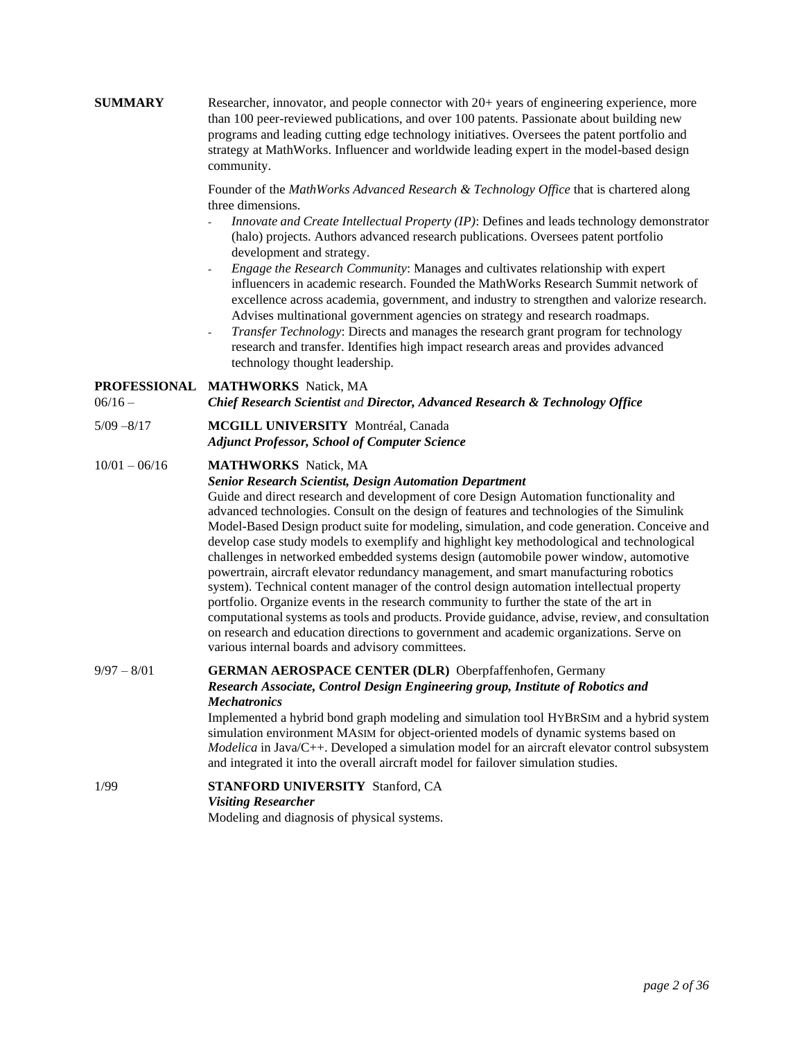**SUMMARY** Researcher, innovator, and people connector with 20+ years of engineering experience, more than 100 peer-reviewed publications, and over 100 patents. Passionate about building new programs and leading cutting edge technology initiatives. Oversees the patent portfolio and strategy at MathWorks. Influencer and worldwide leading expert in the model-based design community.

> Founder of the *MathWorks Advanced Research & Technology Office* that is chartered along three dimensions.

- *Innovate and Create Intellectual Property (IP)*: Defines and leads technology demonstrator (halo) projects. Authors advanced research publications. Oversees patent portfolio development and strategy.
- *Engage the Research Community*: Manages and cultivates relationship with expert influencers in academic research. Founded the MathWorks Research Summit network of excellence across academia, government, and industry to strengthen and valorize research. Advises multinational government agencies on strategy and research roadmaps.
- *Transfer Technology*: Directs and manages the research grant program for technology research and transfer. Identifies high impact research areas and provides advanced technology thought leadership.

### **PROFESSIONAL MATHWORKS** Natick, MA

06/16 – *Chief Research Scientist and Director, Advanced Research & Technology Office*

5/09 –8/17 **MCGILL UNIVERSITY** Montréal, Canada *Adjunct Professor, School of Computer Science*

#### 10/01 – 06/16 **MATHWORKS** Natick, MA

#### *Senior Research Scientist, Design Automation Department*

Guide and direct research and development of core Design Automation functionality and advanced technologies. Consult on the design of features and technologies of the Simulink Model-Based Design product suite for modeling, simulation, and code generation. Conceive and develop case study models to exemplify and highlight key methodological and technological challenges in networked embedded systems design (automobile power window, automotive powertrain, aircraft elevator redundancy management, and smart manufacturing robotics system). Technical content manager of the control design automation intellectual property portfolio. Organize events in the research community to further the state of the art in computational systems as tools and products. Provide guidance, advise, review, and consultation on research and education directions to government and academic organizations. Serve on various internal boards and advisory committees.

# 9/97 – 8/01 **GERMAN AEROSPACE CENTER (DLR)** Oberpfaffenhofen, Germany *Research Associate, Control Design Engineering group, Institute of Robotics and Mechatronics*

Implemented a hybrid bond graph modeling and simulation tool HYBRSIM and a hybrid system simulation environment MASIM for object-oriented models of dynamic systems based on *Modelica* in Java/C++. Developed a simulation model for an aircraft elevator control subsystem and integrated it into the overall aircraft model for failover simulation studies.

# 1/99 **STANFORD UNIVERSITY** Stanford, CA *Visiting Researcher* Modeling and diagnosis of physical systems.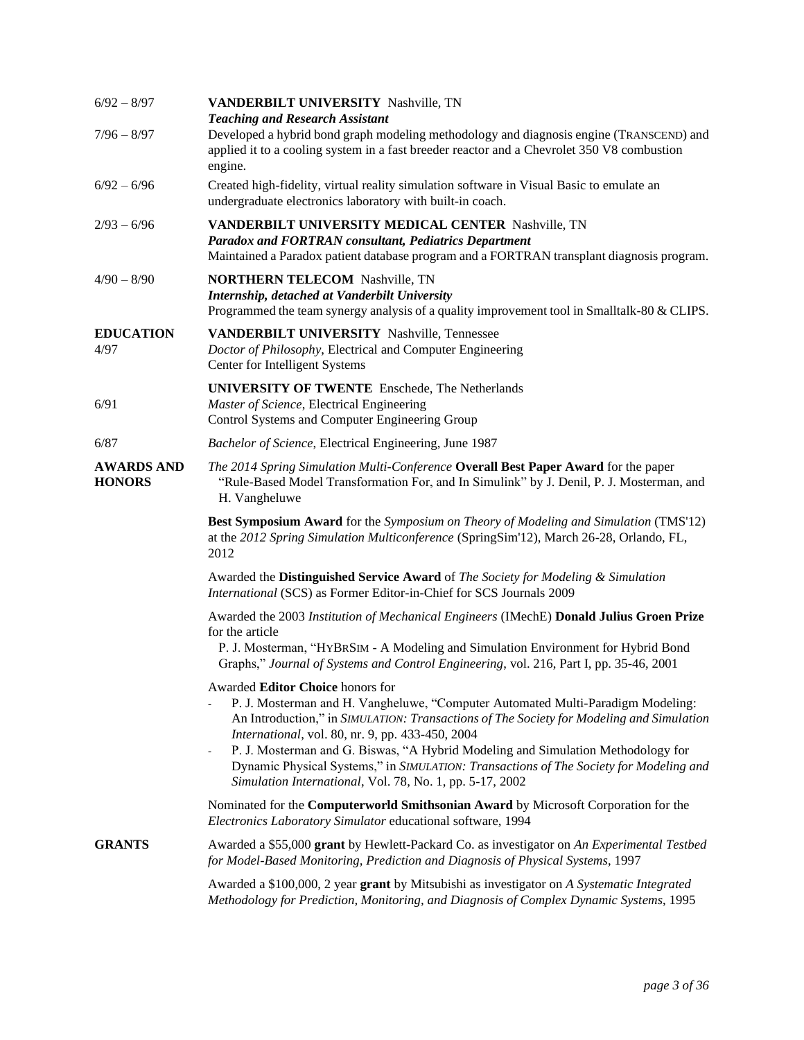| $6/92 - 8/97$                      | VANDERBILT UNIVERSITY Nashville, TN<br><b>Teaching and Research Assistant</b>                                                                                                                                                                                                                                                                                                                                                                                                                                                             |
|------------------------------------|-------------------------------------------------------------------------------------------------------------------------------------------------------------------------------------------------------------------------------------------------------------------------------------------------------------------------------------------------------------------------------------------------------------------------------------------------------------------------------------------------------------------------------------------|
| $7/96 - 8/97$                      | Developed a hybrid bond graph modeling methodology and diagnosis engine (TRANSCEND) and<br>applied it to a cooling system in a fast breeder reactor and a Chevrolet 350 V8 combustion<br>engine.                                                                                                                                                                                                                                                                                                                                          |
| $6/92 - 6/96$                      | Created high-fidelity, virtual reality simulation software in Visual Basic to emulate an<br>undergraduate electronics laboratory with built-in coach.                                                                                                                                                                                                                                                                                                                                                                                     |
| $2/93 - 6/96$                      | VANDERBILT UNIVERSITY MEDICAL CENTER Nashville, TN<br><b>Paradox and FORTRAN consultant, Pediatrics Department</b><br>Maintained a Paradox patient database program and a FORTRAN transplant diagnosis program.                                                                                                                                                                                                                                                                                                                           |
| $4/90 - 8/90$                      | <b>NORTHERN TELECOM Nashville, TN</b><br>Internship, detached at Vanderbilt University<br>Programmed the team synergy analysis of a quality improvement tool in Smalltalk-80 & CLIPS.                                                                                                                                                                                                                                                                                                                                                     |
| <b>EDUCATION</b><br>4/97           | VANDERBILT UNIVERSITY Nashville, Tennessee<br>Doctor of Philosophy, Electrical and Computer Engineering<br>Center for Intelligent Systems                                                                                                                                                                                                                                                                                                                                                                                                 |
| 6/91                               | <b>UNIVERSITY OF TWENTE</b> Enschede, The Netherlands<br>Master of Science, Electrical Engineering<br>Control Systems and Computer Engineering Group                                                                                                                                                                                                                                                                                                                                                                                      |
| 6/87                               | Bachelor of Science, Electrical Engineering, June 1987                                                                                                                                                                                                                                                                                                                                                                                                                                                                                    |
| <b>AWARDS AND</b><br><b>HONORS</b> | The 2014 Spring Simulation Multi-Conference Overall Best Paper Award for the paper<br>"Rule-Based Model Transformation For, and In Simulink" by J. Denil, P. J. Mosterman, and<br>H. Vangheluwe                                                                                                                                                                                                                                                                                                                                           |
|                                    | <b>Best Symposium Award</b> for the Symposium on Theory of Modeling and Simulation (TMS'12)<br>at the 2012 Spring Simulation Multiconference (SpringSim'12), March 26-28, Orlando, FL,<br>2012                                                                                                                                                                                                                                                                                                                                            |
|                                    | Awarded the Distinguished Service Award of The Society for Modeling & Simulation<br>International (SCS) as Former Editor-in-Chief for SCS Journals 2009                                                                                                                                                                                                                                                                                                                                                                                   |
|                                    | Awarded the 2003 Institution of Mechanical Engineers (IMechE) Donald Julius Groen Prize<br>for the article<br>P. J. Mosterman, "HYBRSIM - A Modeling and Simulation Environment for Hybrid Bond                                                                                                                                                                                                                                                                                                                                           |
|                                    | Graphs," Journal of Systems and Control Engineering, vol. 216, Part I, pp. 35-46, 2001                                                                                                                                                                                                                                                                                                                                                                                                                                                    |
|                                    | Awarded Editor Choice honors for<br>P. J. Mosterman and H. Vangheluwe, "Computer Automated Multi-Paradigm Modeling:<br>An Introduction," in SIMULATION: Transactions of The Society for Modeling and Simulation<br>International, vol. 80, nr. 9, pp. 433-450, 2004<br>P. J. Mosterman and G. Biswas, "A Hybrid Modeling and Simulation Methodology for<br>$\overline{\phantom{a}}$<br>Dynamic Physical Systems," in SIMULATION: Transactions of The Society for Modeling and<br>Simulation International, Vol. 78, No. 1, pp. 5-17, 2002 |
|                                    | Nominated for the Computerworld Smithsonian Award by Microsoft Corporation for the<br>Electronics Laboratory Simulator educational software, 1994                                                                                                                                                                                                                                                                                                                                                                                         |
| <b>GRANTS</b>                      | Awarded a \$55,000 grant by Hewlett-Packard Co. as investigator on An Experimental Testbed<br>for Model-Based Monitoring, Prediction and Diagnosis of Physical Systems, 1997                                                                                                                                                                                                                                                                                                                                                              |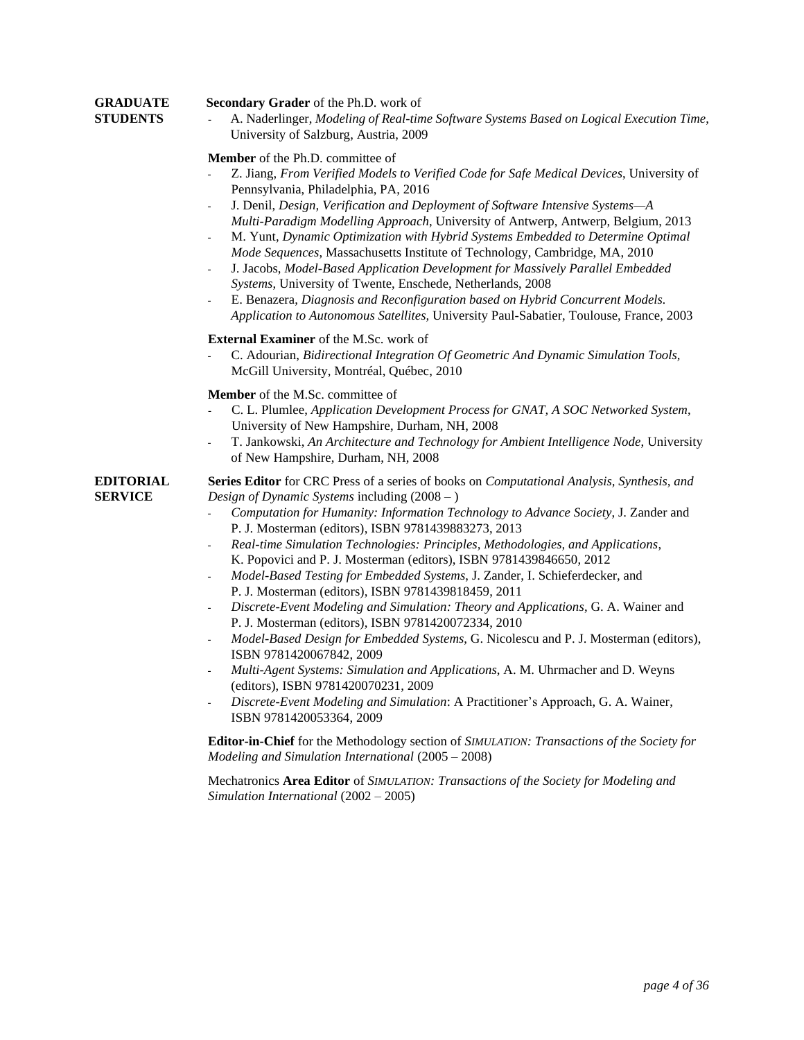### **GRADUATE Secondary Grader** of the Ph.D. work of

**STUDENTS** - A. Naderlinger, *Modeling of Real-time Software Systems Based on Logical Execution Time*, University of Salzburg, Austria, 2009

### **Member** of the Ph.D. committee of

- Z. Jiang, *From Verified Models to Verified Code for Safe Medical Devices*, University of Pennsylvania, Philadelphia, PA, 2016
- J. Denil, *Design, Verification and Deployment of Software Intensive Systems—A Multi-Paradigm Modelling Approach*, University of Antwerp, Antwerp, Belgium, 2013
- M. Yunt, *Dynamic Optimization with Hybrid Systems Embedded to Determine Optimal Mode Sequences*, Massachusetts Institute of Technology, Cambridge, MA, 2010
- J. Jacobs, *Model-Based Application Development for Massively Parallel Embedded Systems*, University of Twente, Enschede, Netherlands, 2008
- E. Benazera, *Diagnosis and Reconfiguration based on Hybrid Concurrent Models. Application to Autonomous Satellites,* University Paul-Sabatier, Toulouse, France, 2003

#### **External Examiner** of the M.Sc. work of

- C. Adourian, *Bidirectional Integration Of Geometric And Dynamic Simulation Tools,*  McGill University, Montréal, Québec, 2010

#### **Member** of the M.Sc. committee of

- C. L. Plumlee, *Application Development Process for GNAT, A SOC Networked System*, [University of New Hampshire,](http://www.ece.unh.edu/) Durham, NH, 2008
- T. Jankowski, *An Architecture and Technology for Ambient Intelligence Node*, [University](http://www.ece.unh.edu/)  of [New Hampshire,](http://www.ece.unh.edu/) Durham, NH, 2008

**EDITORIAL Series Editor** for CRC Press of a series of books on *Computational Analysis, Synthesis, and*  **SERVICE** *Design of Dynamic Systems* including (2008 – )

- *Computation for Humanity: Information Technology to Advance Society*, J. Zander and P. J. Mosterman (editors), ISBN 9781439883273, 2013
- *Real-time Simulation Technologies: Principles, Methodologies, and Applications*, K. Popovici and P. J. Mosterman (editors), ISBN 9781439846650, 2012
- *Model-Based Testing for Embedded Systems*, J. Zander, I. Schieferdecker, and P. J. Mosterman (editors), ISBN 9781439818459, 2011
- *Discrete-Event Modeling and Simulation: Theory and Applications*, G. A. Wainer and P. J. Mosterman (editors), ISBN 9781420072334, 2010
- *Model-Based Design for Embedded Systems*, G. Nicolescu and P. J. Mosterman (editors), ISBN 9781420067842, 2009
- *Multi-Agent Systems: Simulation and Applications*, A. M. Uhrmacher and D. Weyns (editors), ISBN 9781420070231, 2009
- *Discrete-Event Modeling and Simulation*: A Practitioner's Approach, G. A. Wainer, ISBN 9781420053364, 2009

**Editor-in-Chief** for the Methodology section of *SIMULATION: Transactions of the Society for Modeling and Simulation International* (2005 – 2008)

Mechatronics **Area Editor** of *SIMULATION: Transactions of the Society for Modeling and Simulation International* (2002 – 2005)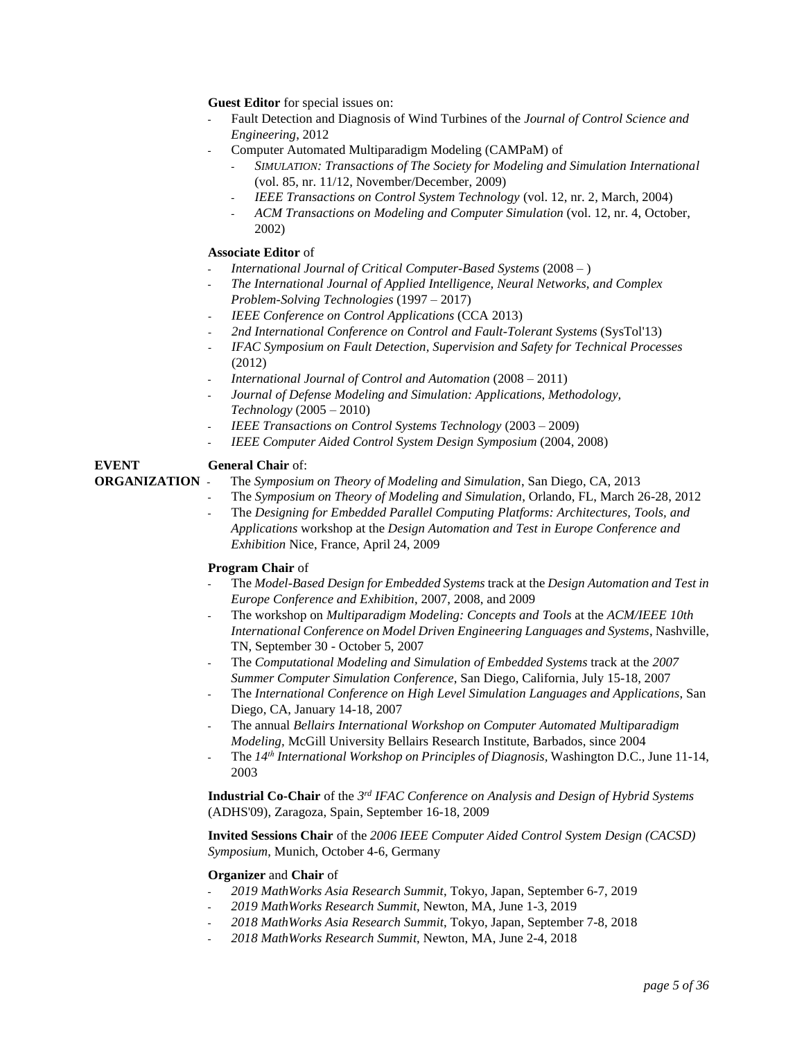**Guest Editor** for special issues on:

- Fault Detection and Diagnosis of Wind Turbines of the *Journal of Control Science and Engineering*, 2012
- Computer Automated Multiparadigm Modeling (CAMPaM) of
	- *SIMULATION: Transactions of The Society for Modeling and Simulation International* (vol. 85, nr. 11/12, November/December, 2009)
	- *IEEE Transactions on Control System Technology* (vol. 12, nr. 2, March, 2004)
	- *ACM Transactions on Modeling and Computer Simulation* (vol. 12, nr. 4, October, 2002)

### **Associate Editor** of

- *International Journal of Critical Computer-Based Systems* (2008 )
- *The International Journal of Applied Intelligence, Neural Networks, and Complex Problem-Solving Technologies* (1997 – 2017)
- *IEEE Conference on Control Applications* (CCA 2013)
- *2nd International Conference on Control and Fault-Tolerant Systems* (SysTol'13)
- *IFAC Symposium on Fault Detection, Supervision and Safety for Technical Processes* (2012)
- *International Journal of Control and Automation* (2008 2011)
- *Journal of Defense Modeling and Simulation: Applications, Methodology, Technology* (2005 – 2010)
- *IEEE Transactions on Control Systems Technology* (2003 2009)
- *IEEE Computer Aided Control System Design Symposium* (2004, 2008)

# **EVENT General Chair** of:

- **ORGANIZATION** The *Symposium on Theory of Modeling and Simulation*, San Diego, CA, 2013
	- The *Symposium on Theory of Modeling and Simulation*, Orlando, FL, March 26-28, 2012
	- The *Designing for Embedded Parallel Computing Platforms: Architectures, Tools, and Applications* workshop at the *Design Automation and Test in Europe Conference and Exhibition* Nice, France, April 24, 2009

# **Program Chair** of

- The *Model-Based Design for Embedded Systems* track at the *Design Automation and Test in Europe Conference and Exhibition*, 2007, 2008, and 2009
- The workshop on *Multiparadigm Modeling: Concepts and Tools* at the *ACM/IEEE 10th International Conference on Model Driven Engineering Languages and Systems*, Nashville, TN, September 30 - October 5, 2007
- The *Computational Modeling and Simulation of Embedded Systems* track at the *2007 Summer Computer Simulation Conference*, San Diego, California, July 15-18, 2007
- The *International Conference on High Level Simulation Languages and Applications*, San Diego, CA, January 14-18, 2007
- The annual *Bellairs International Workshop on Computer Automated Multiparadigm Modeling,* McGill University Bellairs Research Institute, Barbados, since 2004
- The *14th International Workshop on Principles of Diagnosis,* Washington D.C., June 11-14, 2003

**Industrial Co-Chair** of the *3 rd IFAC Conference on Analysis and Design of Hybrid Systems*  (ADHS'09), Zaragoza, Spain, September 16-18, 2009

**Invited Sessions Chair** of the *2006 IEEE Computer Aided Control System Design (CACSD) Symposium*, Munich, October 4-6, Germany

#### **Organizer** and **Chair** of

- *2019 MathWorks Asia Research Summit*, Tokyo, Japan, September 6-7, 2019
- *2019 MathWorks Research Summit*, Newton, MA, June 1-3, 2019
- *2018 MathWorks Asia Research Summit*, Tokyo, Japan, September 7-8, 2018
- *2018 MathWorks Research Summit*, Newton, MA, June 2-4, 2018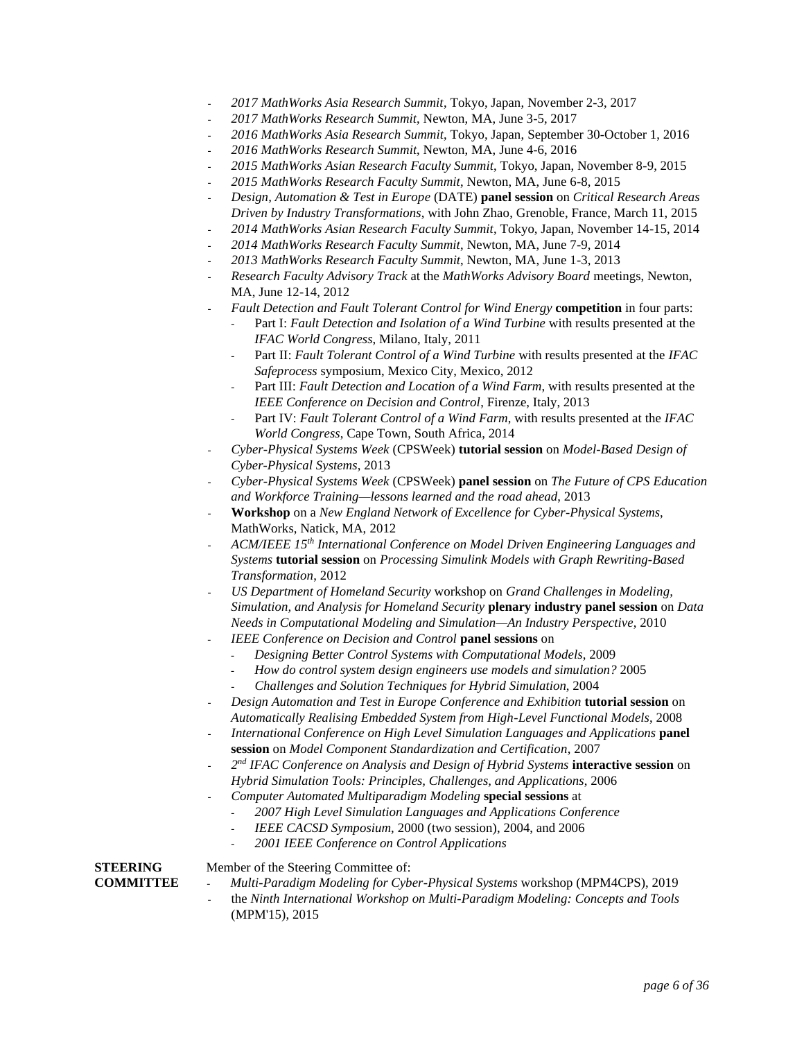- *2017 MathWorks Asia Research Summit*, Tokyo, Japan, November 2-3, 2017
- *2017 MathWorks Research Summit*, Newton, MA, June 3-5, 2017
- *2016 MathWorks Asia Research Summit*, Tokyo, Japan, September 30-October 1, 2016
- *2016 MathWorks Research Summit*, Newton, MA, June 4-6, 2016
- *2015 MathWorks Asian Research Faculty Summit*, Tokyo, Japan, November 8-9, 2015
- *2015 MathWorks Research Faculty Summit*, Newton, MA, June 6-8, 2015
- *Design, Automation & Test in Europe* (DATE) **panel session** on *Critical Research Areas Driven by Industry Transformations*, with John Zhao, Grenoble, France, March 11, 2015
- *2014 MathWorks Asian Research Faculty Summit*, Tokyo, Japan, November 14-15, 2014
- *2014 MathWorks Research Faculty Summit*, Newton, MA, June 7-9, 2014
- *2013 MathWorks Research Faculty Summit*, Newton, MA, June 1-3, 2013
- *Research Faculty Advisory Track* at the *MathWorks Advisory Board* meetings, Newton, MA, June 12-14, 2012
- *Fault Detection and Fault Tolerant Control for Wind Energy* **competition** in four parts:
	- Part I: *Fault Detection and Isolation of a Wind Turbine* with results presented at the *IFAC World Congress*, Milano, Italy, 2011
	- Part II: *Fault Tolerant Control of a Wind Turbine* with results presented at the *IFAC Safeprocess* symposium, Mexico City, Mexico, 2012
	- Part III: *Fault Detection and Location of a Wind Farm*, with results presented at the *IEEE Conference on Decision and Control*, Firenze, Italy, 2013
	- Part IV: *Fault Tolerant Control of a Wind Farm*, with results presented at the *IFAC World Congress*, Cape Town, South Africa, 2014
- *Cyber-Physical Systems Week* (CPSWeek) **tutorial session** on *Model-Based Design of Cyber-Physical Systems*, 2013
- *Cyber-Physical Systems Week* (CPSWeek) **panel session** on *The Future of CPS Education and Workforce Training—lessons learned and the road ahead*, 2013
- **Workshop** on a *New England Network of Excellence for Cyber-Physical Systems*, MathWorks, Natick, MA, 2012
- *ACM/IEEE 15th International Conference on Model Driven Engineering Languages and Systems* **tutorial session** on *Processing Simulink Models with Graph Rewriting-Based Transformation*, 2012
- *US Department of Homeland Security* workshop on *Grand Challenges in Modeling, Simulation, and Analysis for Homeland Security* **plenary industry panel session** on *Data Needs in Computational Modeling and Simulation—An Industry Perspective*, 2010
- *IEEE Conference on Decision and Control* **panel sessions** on
	- *Designing Better Control Systems with Computational Models*, 2009
	- *How do control system design engineers use models and simulation?* 2005
	- *Challenges and Solution Techniques for Hybrid Simulation*, 2004
- *Design Automation and Test in Europe Conference and Exhibition* **tutorial session** on *Automatically Realising Embedded System from High-Level Functional Models*, 2008
- *International Conference on High Level Simulation Languages and Applications* **panel session** on *Model Component Standardization and Certification*, 2007
- *2 nd IFAC Conference on Analysis and Design of Hybrid Systems* **interactive session** on *Hybrid Simulation Tools: Principles, Challenges, and Applications*, 2006
- *Computer Automated Multiparadigm Modeling* **special sessions** at
	- *2007 High Level Simulation Languages and Applications Conference*
	- *IEEE CACSD Symposium,* 2000 (two session), 2004, and 2006
	- *2001 IEEE Conference on Control Applications*

# **STEERING** Member of the Steering Committee of:

- **COMMITTEE** *Multi-Paradigm Modeling for Cyber-Physical Systems* workshop (MPM4CPS), 2019
	- the *Ninth International Workshop on Multi-Paradigm Modeling: Concepts and Tools* (MPM'15), 2015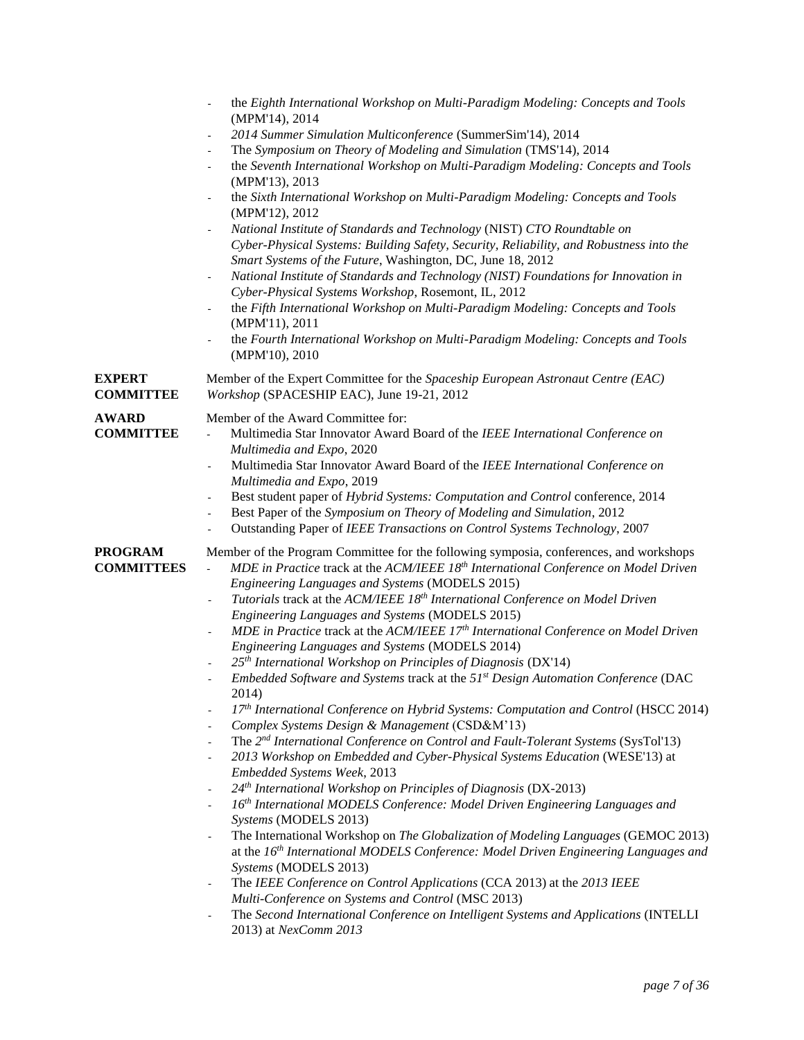|                                     | the Eighth International Workshop on Multi-Paradigm Modeling: Concepts and Tools<br>(MPM'14), 2014<br>2014 Summer Simulation Multiconference (SummerSim'14), 2014<br>$\overline{\phantom{a}}$<br>The Symposium on Theory of Modeling and Simulation (TMS'14), 2014<br>$\overline{\phantom{a}}$<br>the Seventh International Workshop on Multi-Paradigm Modeling: Concepts and Tools<br>$\overline{\phantom{a}}$<br>(MPM'13), 2013<br>the Sixth International Workshop on Multi-Paradigm Modeling: Concepts and Tools<br>$\overline{\phantom{a}}$<br>(MPM'12), 2012<br>National Institute of Standards and Technology (NIST) CTO Roundtable on<br>$\blacksquare$<br>Cyber-Physical Systems: Building Safety, Security, Reliability, and Robustness into the<br>Smart Systems of the Future, Washington, DC, June 18, 2012<br>National Institute of Standards and Technology (NIST) Foundations for Innovation in<br>$\blacksquare$<br>Cyber-Physical Systems Workshop, Rosemont, IL, 2012<br>the Fifth International Workshop on Multi-Paradigm Modeling: Concepts and Tools<br>$\overline{\phantom{a}}$<br>(MPM'11), 2011<br>the Fourth International Workshop on Multi-Paradigm Modeling: Concepts and Tools<br>$\blacksquare$<br>(MPM'10), 2010                                                                                                                                                                                                                                                                                                                                                                                                                                                                                                                                                                                                           |
|-------------------------------------|-------------------------------------------------------------------------------------------------------------------------------------------------------------------------------------------------------------------------------------------------------------------------------------------------------------------------------------------------------------------------------------------------------------------------------------------------------------------------------------------------------------------------------------------------------------------------------------------------------------------------------------------------------------------------------------------------------------------------------------------------------------------------------------------------------------------------------------------------------------------------------------------------------------------------------------------------------------------------------------------------------------------------------------------------------------------------------------------------------------------------------------------------------------------------------------------------------------------------------------------------------------------------------------------------------------------------------------------------------------------------------------------------------------------------------------------------------------------------------------------------------------------------------------------------------------------------------------------------------------------------------------------------------------------------------------------------------------------------------------------------------------------------------------------------------------------------------------------------------------|
| EXPERT<br><b>COMMITTEE</b>          | Member of the Expert Committee for the Spaceship European Astronaut Centre (EAC)<br>Workshop (SPACESHIP EAC), June 19-21, 2012                                                                                                                                                                                                                                                                                                                                                                                                                                                                                                                                                                                                                                                                                                                                                                                                                                                                                                                                                                                                                                                                                                                                                                                                                                                                                                                                                                                                                                                                                                                                                                                                                                                                                                                              |
| <b>AWARD</b><br><b>COMMITTEE</b>    | Member of the Award Committee for:<br>Multimedia Star Innovator Award Board of the IEEE International Conference on<br>Multimedia and Expo, 2020<br>Multimedia Star Innovator Award Board of the IEEE International Conference on<br>$\overline{\phantom{a}}$<br>Multimedia and Expo, 2019<br>Best student paper of Hybrid Systems: Computation and Control conference, 2014<br>$\blacksquare$<br>Best Paper of the Symposium on Theory of Modeling and Simulation, 2012<br>$\overline{\phantom{a}}$<br>Outstanding Paper of IEEE Transactions on Control Systems Technology, 2007<br>$\qquad \qquad \blacksquare$                                                                                                                                                                                                                                                                                                                                                                                                                                                                                                                                                                                                                                                                                                                                                                                                                                                                                                                                                                                                                                                                                                                                                                                                                                          |
| <b>PROGRAM</b><br><b>COMMITTEES</b> | Member of the Program Committee for the following symposia, conferences, and workshops<br>MDE in Practice track at the ACM/IEEE 18th International Conference on Model Driven<br>$\overline{\phantom{a}}$<br>Engineering Languages and Systems (MODELS 2015)<br>Tutorials track at the ACM/IEEE 18 <sup>th</sup> International Conference on Model Driven<br>$\overline{\phantom{a}}$<br>Engineering Languages and Systems (MODELS 2015)<br>MDE in Practice track at the ACM/IEEE 17th International Conference on Model Driven<br>$\overline{\phantom{0}}$<br>Engineering Languages and Systems (MODELS 2014)<br>25 <sup>th</sup> International Workshop on Principles of Diagnosis (DX'14)<br>Embedded Software and Systems track at the $51st$ Design Automation Conference (DAC<br>2014)<br>17th International Conference on Hybrid Systems: Computation and Control (HSCC 2014)<br>Complex Systems Design & Management (CSD&M'13)<br>The 2 <sup>nd</sup> International Conference on Control and Fault-Tolerant Systems (SysTol'13)<br>2013 Workshop on Embedded and Cyber-Physical Systems Education (WESE'13) at<br>Embedded Systems Week, 2013<br>24 <sup>th</sup> International Workshop on Principles of Diagnosis (DX-2013)<br>16th International MODELS Conference: Model Driven Engineering Languages and<br>Systems (MODELS 2013)<br>The International Workshop on The Globalization of Modeling Languages (GEMOC 2013)<br>÷,<br>at the 16 <sup>th</sup> International MODELS Conference: Model Driven Engineering Languages and<br>Systems (MODELS 2013)<br>The IEEE Conference on Control Applications (CCA 2013) at the 2013 IEEE<br>÷,<br>Multi-Conference on Systems and Control (MSC 2013)<br>The Second International Conference on Intelligent Systems and Applications (INTELLI<br>$\overline{\phantom{0}}$<br>2013) at NexComm 2013 |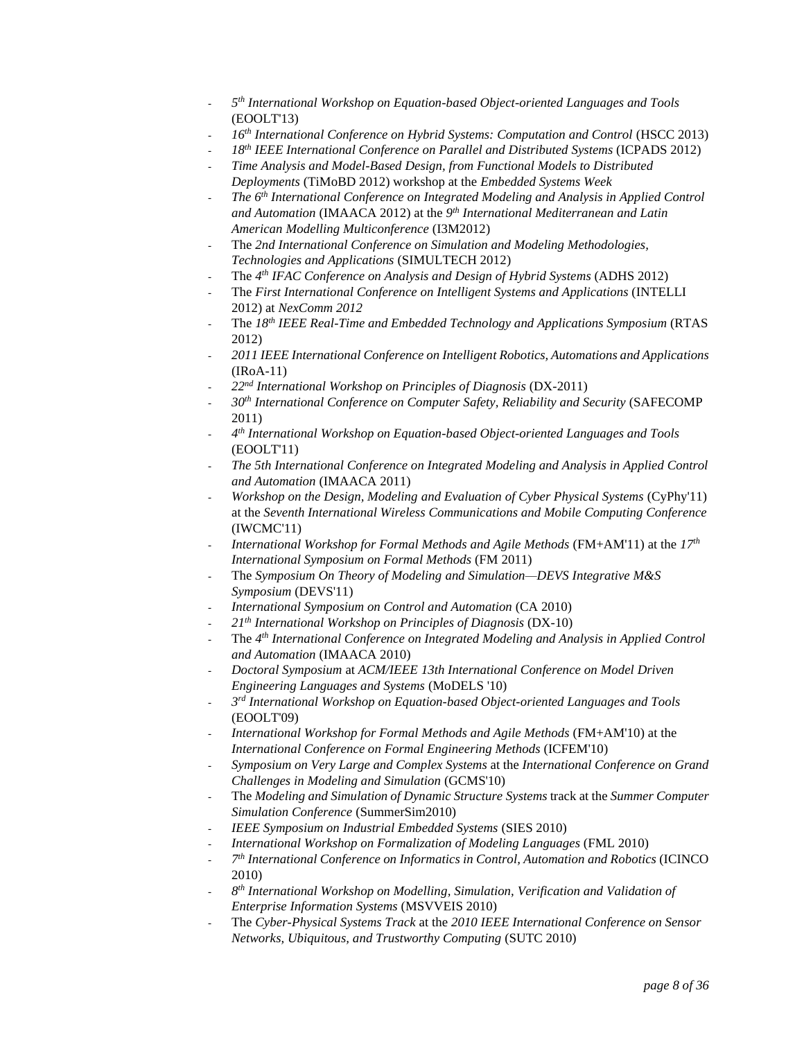- *5 th International Workshop on Equation-based Object-oriented Languages and Tools* (EOOLT'13)
- *16th International Conference on Hybrid Systems: Computation and Control* (HSCC 2013)
- *18th IEEE International Conference on Parallel and Distributed Systems* (ICPADS 2012)
- *Time Analysis and Model-Based Design, from Functional Models to Distributed Deployments* (TiMoBD 2012) workshop at the *Embedded Systems Week*
- *The 6th International Conference on Integrated Modeling and Analysis in Applied Control and Automation* (IMAACA 2012) at the *9 th International Mediterranean and Latin American Modelling Multiconference* (I3M2012)
- The *2nd International Conference on Simulation and Modeling Methodologies, Technologies and Applications* (SIMULTECH 2012)
- The *4 th IFAC Conference on Analysis and Design of Hybrid Systems* (ADHS 2012)
- The *First International Conference on Intelligent Systems and Applications* (INTELLI 2012) at *NexComm 2012*
- The *18th IEEE Real-Time and Embedded Technology and Applications Symposium* (RTAS 2012)
- *2011 IEEE International Conference on Intelligent Robotics, Automations and Applications*  (IRoA-11)
- *22nd International Workshop on Principles of Diagnosis* (DX-2011)
- *30th International Conference on Computer Safety, Reliability and Security* (SAFECOMP 2011)
- *4 th International Workshop on Equation-based Object-oriented Languages and Tools* (EOOLT'11)
- *The 5th International Conference on Integrated Modeling and Analysis in Applied Control and Automation* (IMAACA 2011)
- *Workshop on the Design, Modeling and Evaluation of Cyber Physical Systems* (CyPhy'11) at the *Seventh International Wireless Communications and Mobile Computing Conference* (IWCMC'11)
- *International Workshop for Formal Methods and Agile Methods* (FM+AM'11) at the *17th International Symposium on Formal Methods* (FM 2011)
- The *Symposium On Theory of Modeling and Simulation—DEVS Integrative M&S Symposium* (DEVS'11)
- *International Symposium on Control and Automation* (CA 2010)
- *21th International Workshop on Principles of Diagnosis* (DX-10)
- The *4 th International Conference on Integrated Modeling and Analysis in Applied Control and Automation* (IMAACA 2010)
- *Doctoral Symposium* at *ACM/IEEE 13th International Conference on Model Driven Engineering Languages and Systems* (MoDELS '10)
- *3 rd International Workshop on Equation-based Object-oriented Languages and Tools* (EOOLT'09)
- *International Workshop for Formal Methods and Agile Methods* (FM+AM'10) at the *International Conference on Formal Engineering Methods* (ICFEM'10)
- *Symposium on Very Large and Complex Systems* at the *International Conference on Grand Challenges in Modeling and Simulation* (GCMS'10)
- The *Modeling and Simulation of Dynamic Structure Systems* track at the *Summer Computer Simulation Conference* (SummerSim2010)
- *IEEE Symposium on Industrial Embedded Systems* (SIES 2010)
- *International Workshop on Formalization of Modeling Languages* (FML 2010)
- *7 th International Conference on Informatics in Control, Automation and Robotics* (ICINCO 2010)
- *8 th International Workshop on Modelling, Simulation, Verification and Validation of Enterprise Information Systems* (MSVVEIS 2010)
- The *Cyber-Physical Systems Track* at the *2010 IEEE International Conference on Sensor Networks, Ubiquitous, and Trustworthy Computing* (SUTC 2010)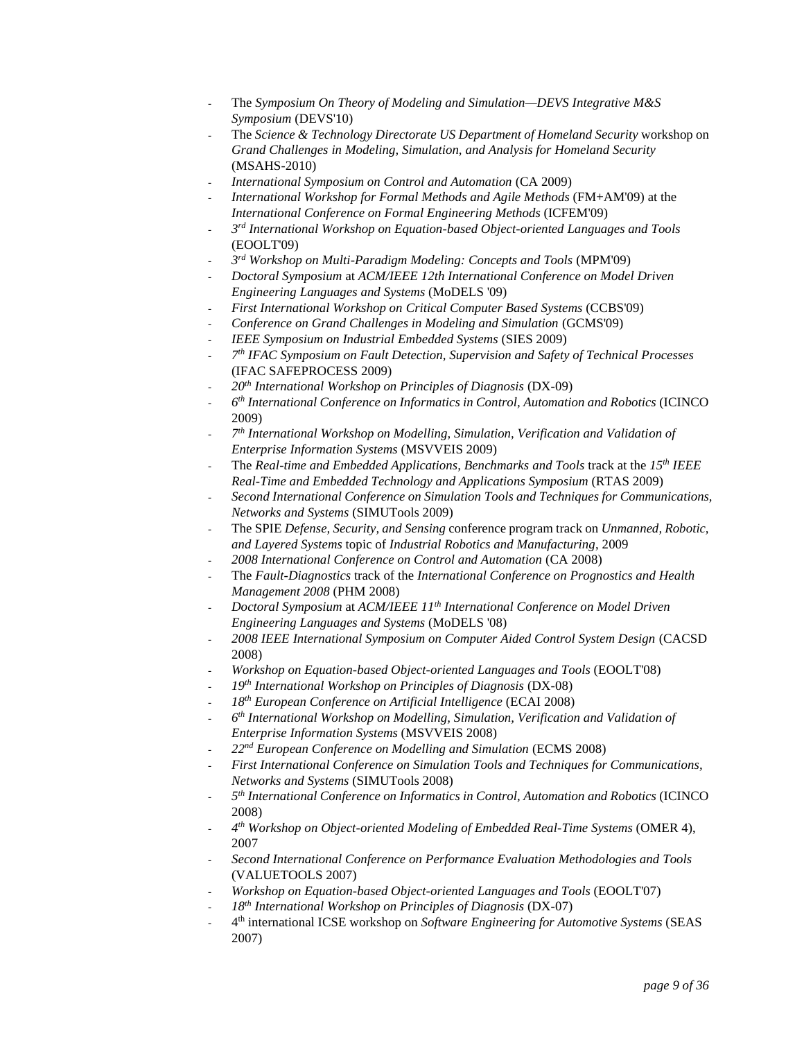- The *Symposium On Theory of Modeling and Simulation—DEVS Integrative M&S Symposium* (DEVS'10)
- The *Science & Technology Directorate US Department of Homeland Security* workshop on *Grand Challenges in Modeling, Simulation, and Analysis for Homeland Security* (MSAHS-2010)
- *International Symposium on Control and Automation* (CA 2009)
- *International Workshop for Formal Methods and Agile Methods* (FM+AM'09) at the *International Conference on Formal Engineering Methods* (ICFEM'09)
- *3 rd International Workshop on Equation-based Object-oriented Languages and Tools* (EOOLT'09)
- *3 rd Workshop on Multi-Paradigm Modeling: Concepts and Tools* (MPM'09)
- *Doctoral Symposium* at *ACM/IEEE 12th International Conference on Model Driven Engineering Languages and Systems* (MoDELS '09)
- *First International Workshop on Critical Computer Based Systems* (CCBS'09)
- *Conference on Grand Challenges in Modeling and Simulation* (GCMS'09)
- *IEEE Symposium on Industrial Embedded Systems* (SIES 2009)
- *7 th IFAC Symposium on Fault Detection, Supervision and Safety of Technical Processes* (IFAC SAFEPROCESS 2009)
- *20th International Workshop on Principles of Diagnosis* (DX-09)
- *6 th International Conference on Informatics in Control, Automation and Robotics* (ICINCO 2009)
- *7 th International Workshop on Modelling, Simulation, Verification and Validation of Enterprise Information Systems* (MSVVEIS 2009)
- The *Real-time and Embedded Applications, Benchmarks and Tools* track at the *15th IEEE Real-Time and Embedded Technology and Applications Symposium* (RTAS 2009)
- *Second International Conference on Simulation Tools and Techniques for Communications, Networks and Systems* (SIMUTools 2009)
- The SPIE *Defense, Security, and Sensing* conference program track on *Unmanned, Robotic, and Layered Systems* topic of *Industrial Robotics and Manufacturing*, 2009
- *2008 International Conference on Control and Automation* (CA 2008)
- The *Fault-Diagnostics* track of the *International Conference on Prognostics and Health Management 2008* (PHM 2008)
- *Doctoral Symposium* at *ACM/IEEE 11th International Conference on Model Driven Engineering Languages and Systems* (MoDELS '08)
- *2008 IEEE International Symposium on Computer Aided Control System Design* (CACSD 2008)
- *Workshop on Equation-based Object-oriented Languages and Tools* (EOOLT'08)
- *19th International Workshop on Principles of Diagnosis* (DX-08)
- *18th European Conference on Artificial Intelligence* (ECAI 2008)
- *6 th International Workshop on Modelling, Simulation, Verification and Validation of Enterprise Information Systems* (MSVVEIS 2008)
- *22nd European Conference on Modelling and Simulation* (ECMS 2008)
- *First International Conference on Simulation Tools and Techniques for Communications, Networks and Systems* (SIMUTools 2008)
- *5 th International Conference on Informatics in Control, Automation and Robotics* (ICINCO 2008)
- *4 th Workshop on Object-oriented Modeling of Embedded Real-Time Systems* (OMER 4), 2007
- *Second International Conference on Performance Evaluation Methodologies and Tools* (VALUETOOLS 2007)
- *Workshop on Equation-based Object-oriented Languages and Tools* (EOOLT'07)
- *18th International Workshop on Principles of Diagnosis* (DX-07)
- 4 th international ICSE workshop on *Software Engineering for Automotive Systems* (SEAS 2007)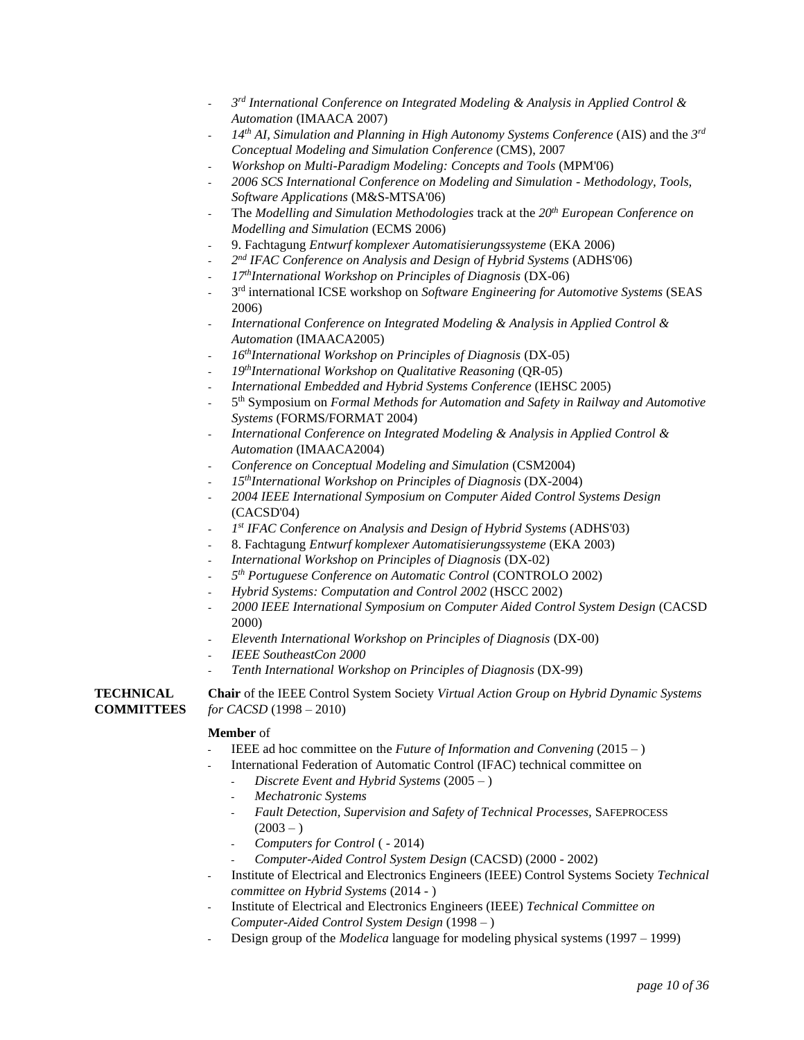- *3 rd International Conference on Integrated Modeling & Analysis in Applied Control & Automation* (IMAACA 2007)
- *14th AI, Simulation and Planning in High Autonomy Systems Conference* (AIS) and the *3 rd Conceptual Modeling and Simulation Conference* (CMS), 2007
- *Workshop on Multi-Paradigm Modeling: Concepts and Tools* (MPM'06)
- *2006 SCS International Conference on Modeling and Simulation - Methodology, Tools, Software Applications* (M&S-MTSA'06)
- The *Modelling and Simulation Methodologies* track at the 20<sup>th</sup> European Conference on *Modelling and Simulation* (ECMS 2006)
- 9. Fachtagung *Entwurf komplexer Automatisierungssysteme* (EKA 2006)
- *2 nd IFAC Conference on Analysis and Design of Hybrid Systems* (ADHS'06)
- *17thInternational Workshop on Principles of Diagnosis* (DX-06)
- 3 rd international ICSE workshop on *Software Engineering for Automotive Systems* (SEAS 2006)
- *International Conference on Integrated Modeling & Analysis in Applied Control & Automation* (IMAACA2005)
- *16thInternational Workshop on Principles of Diagnosis* (DX-05)
- *19thInternational Workshop on Qualitative Reasoning* (QR-05)
- *International Embedded and Hybrid Systems Conference* (IEHSC 2005)
- 5 th Symposium on *Formal Methods for Automation and Safety in Railway and Automotive Systems* (FORMS/FORMAT 2004)
- *International Conference on Integrated Modeling & Analysis in Applied Control & Automation* (IMAACA2004)
- *Conference on Conceptual Modeling and Simulation* (CSM2004)
- *15thInternational Workshop on Principles of Diagnosis* (DX-2004)
- *2004 IEEE International Symposium on Computer Aided Control Systems Design* (CACSD'04)
- *1 st IFAC Conference on Analysis and Design of Hybrid Systems* (ADHS'03)
- 8. Fachtagung *Entwurf komplexer Automatisierungssysteme* (EKA 2003)
- *International Workshop on Principles of Diagnosis* (DX-02)
- *5 th Portuguese Conference on Automatic Control* (CONTROLO 2002)
- *Hybrid Systems: Computation and Control 2002* (HSCC 2002)
- *2000 IEEE International Symposium on Computer Aided Control System Design* (CACSD 2000)
- *Eleventh International Workshop on Principles of Diagnosis* (DX-00)
- *IEEE SoutheastCon 2000*
- *Tenth International Workshop on Principles of Diagnosis* (DX-99)

**TECHNICAL Chair** of the IEEE Control System Society *Virtual Action Group on Hybrid Dynamic Systems*  **COMMITTEES** *for CACSD* (1998 – 2010)

# **Member** of

- IEEE ad hoc committee on the *Future of Information and Convening* (2015 )
- International Federation of Automatic Control (IFAC) technical committee on
	- *Discrete Event and Hybrid Systems* (2005 )
	- *Mechatronic Systems*
	- *Fault Detection, Supervision and Safety of Technical Processes,* SAFEPROCESS  $(2003 - )$
	- *Computers for Control* ( 2014)
	- *Computer-Aided Control System Design* (CACSD) (2000 2002)
- Institute of Electrical and Electronics Engineers (IEEE) Control Systems Society *Technical committee on Hybrid Systems* (2014 - )
- Institute of Electrical and Electronics Engineers (IEEE) *Technical Committee on Computer-Aided Control System Design* (1998 – )
- Design group of the *Modelica* language for modeling physical systems (1997 1999)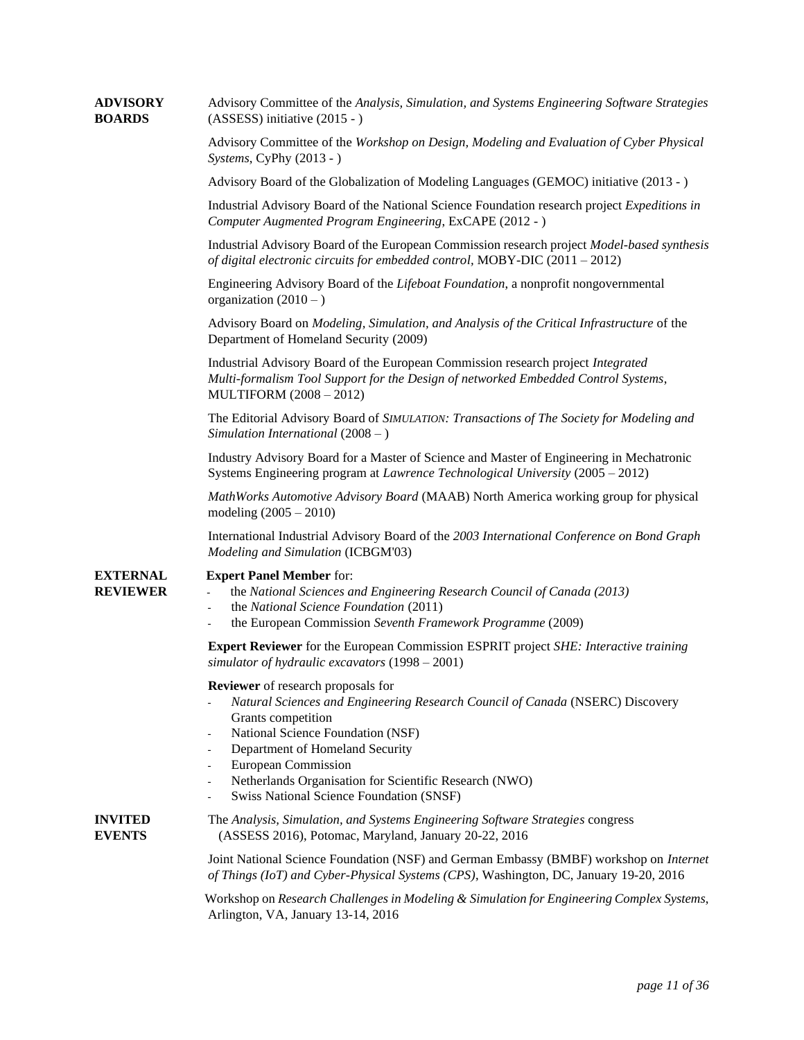# Advisory Committee of the *Workshop on Design, Modeling and Evaluation of Cyber Physical Systems*, CyPhy (2013 - ) Advisory Board of the Globalization of Modeling Languages (GEMOC) initiative (2013 - ) Industrial Advisory Board of the National Science Foundation research project *Expeditions in Computer Augmented Program Engineering*, ExCAPE (2012 - ) Industrial Advisory Board of the European Commission research project *Model-based synthesis of digital electronic circuits for embedded control,* MOBY-DIC (2011 – 2012) Engineering Advisory Board of the *Lifeboat Foundation*, a nonprofit nongovernmental organization  $(2010 - )$ Advisory Board on *Modeling, Simulation, and Analysis of the Critical Infrastructure* of the Department of Homeland Security (2009) Industrial Advisory Board of the European Commission research project *Integrated Multi-formalism Tool Support for the Design of networked Embedded Control Systems*, MULTIFORM (2008 – 2012) The Editorial Advisory Board of *SIMULATION: Transactions of The Society for Modeling and Simulation International* (2008 – ) Industry Advisory Board for a Master of Science and Master of Engineering in Mechatronic Systems Engineering program at *Lawrence Technological University* (2005 – 2012) *MathWorks Automotive Advisory Board* (MAAB) North America working group for physical modeling (2005 – 2010) International Industrial Advisory Board of the *2003 International Conference on Bond Graph Modeling and Simulation* (ICBGM'03) **EXTERNAL Expert Panel Member** for: **REVIEWER** - the *National Sciences and Engineering Research Council of Canada (2013)* - the *National Science Foundation* (2011) - the European Commission *Seventh Framework Programme* (2009) **Expert Reviewer** for the European Commission ESPRIT project *SHE: Interactive training simulator of hydraulic excavators* (1998 – 2001) **Reviewer** of research proposals for - *Natural Sciences and Engineering Research Council of Canada* (NSERC) Discovery Grants competition National Science Foundation (NSF) Department of Homeland Security - European Commission Netherlands Organisation for Scientific Research (NWO) Swiss National Science Foundation (SNSF) **INVITED** The *Analysis, Simulation, and Systems Engineering Software Strategies* congress **EVENTS** (ASSESS 2016), Potomac, Maryland, January 20-22, 2016 Joint National Science Foundation (NSF) and German Embassy (BMBF) workshop on *Internet of Things (IoT) and Cyber-Physical Systems (CPS)*, Washington, DC, January 19-20, 2016

**ADVISORY** Advisory Committee of the *Analysis, Simulation, and Systems Engineering Software Strategies*

**BOARDS** (ASSESS) initiative (2015 - )

Workshop on *Research Challenges in Modeling & Simulation for Engineering Complex Systems*, Arlington, VA, January 13-14, 2016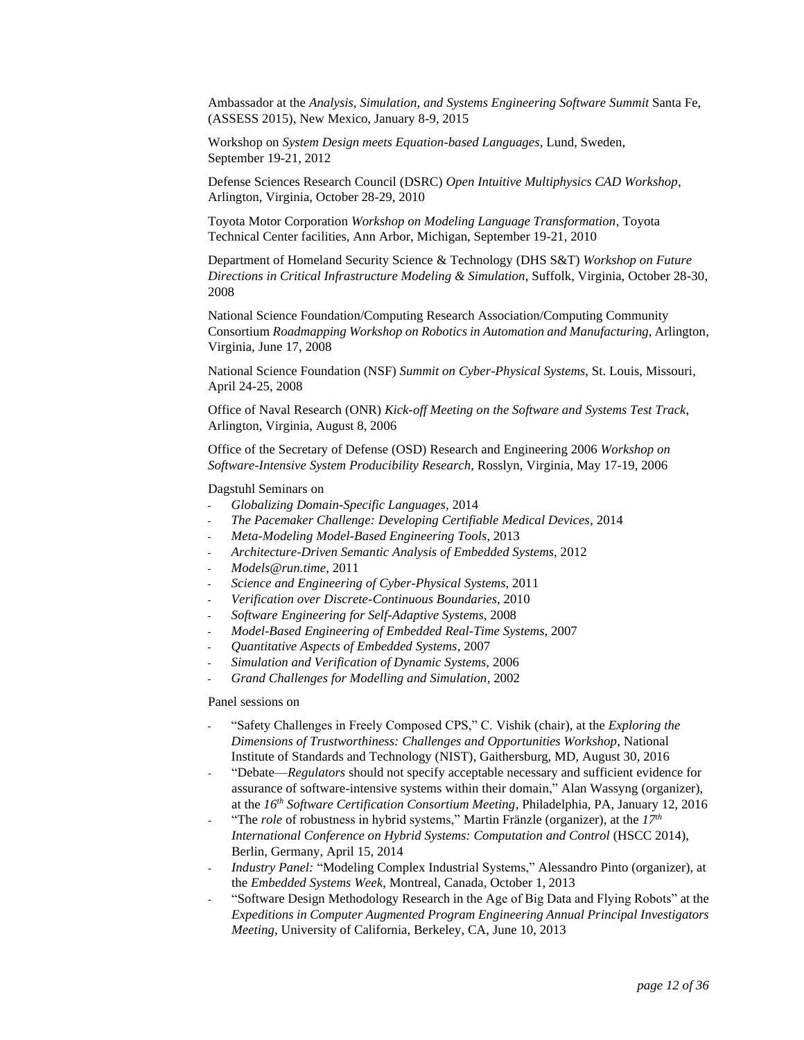Ambassador at the *Analysis, Simulation, and Systems Engineering Software Summit* Santa Fe, (ASSESS 2015), New Mexico, January 8-9, 2015

Workshop on *System Design meets Equation-based Languages*, Lund, Sweden, September 19-21, 2012

Defense Sciences Research Council (DSRC) *Open Intuitive Multiphysics CAD Workshop*, Arlington, Virginia, October 28-29, 2010

Toyota Motor Corporation *Workshop on Modeling Language Transformation*, Toyota Technical Center facilities, Ann Arbor, Michigan, September 19-21, 2010

Department of Homeland Security Science & Technology (DHS S&T) *Workshop on Future Directions in Critical Infrastructure Modeling & Simulation*, Suffolk, Virginia, October 28-30, 2008

National Science Foundation/Computing Research Association/Computing Community Consortium *Roadmapping Workshop on Robotics in Automation and Manufacturing*, Arlington, Virginia, June 17, 2008

National Science Foundation (NSF) *Summit on Cyber-Physical Systems*, St. Louis, Missouri, April 24-25, 2008

Office of Naval Research (ONR) *Kick-off Meeting on the Software and Systems Test Track*, Arlington, Virginia, August 8, 2006

Office of the Secretary of Defense (OSD) Research and Engineering 2006 *Workshop on Software-Intensive System Producibility Research*, Rosslyn, Virginia, May 17-19, 2006

Dagstuhl Seminars on

- *Globalizing Domain-Specific Languages*, 2014
- *The Pacemaker Challenge: Developing Certifiable Medical Devices*, 2014
- *Meta-Modeling Model-Based Engineering Tools*, 2013
- *Architecture-Driven Semantic Analysis of Embedded Systems*, 2012
- *Models@run.time*, 2011
- *Science and Engineering of Cyber-Physical Systems*, 2011
- *Verification over Discrete-Continuous Boundaries*, 2010
- *Software Engineering for Self-Adaptive Systems*, 2008
- *Model-Based Engineering of Embedded Real-Time Systems*, 2007
- *Quantitative Aspects of Embedded Systems*, 2007
- *Simulation and Verification of Dynamic Systems*, 2006
- *Grand Challenges for Modelling and Simulation*, 2002

Panel sessions on

- "Safety Challenges in Freely Composed CPS," C. Vishik (chair), at the *Exploring the Dimensions of Trustworthiness: Challenges and Opportunities Workshop*, National Institute of Standards and Technology (NIST), Gaithersburg, MD, August 30, 2016
- "Debate—*Regulators* should not specify acceptable necessary and sufficient evidence for assurance of software-intensive systems within their domain," Alan Wassyng (organizer), at the *16th Software Certification Consortium Meeting*, Philadelphia, PA, January 12, 2016
- "The *role* of robustness in hybrid systems," Martin Fränzle (organizer), at the  $17<sup>th</sup>$ *International Conference on Hybrid Systems: Computation and Control (HSCC 2014),* Berlin, Germany, April 15, 2014
- *Industry Panel:* "Modeling Complex Industrial Systems," Alessandro Pinto (organizer), at the *Embedded Systems Week*, Montreal, Canada, October 1, 2013
- "Software Design Methodology Research in the Age of Big Data and Flying Robots" at the *Expeditions in Computer Augmented Program Engineering Annual Principal Investigators Meeting*, University of California, Berkeley, CA, June 10, 2013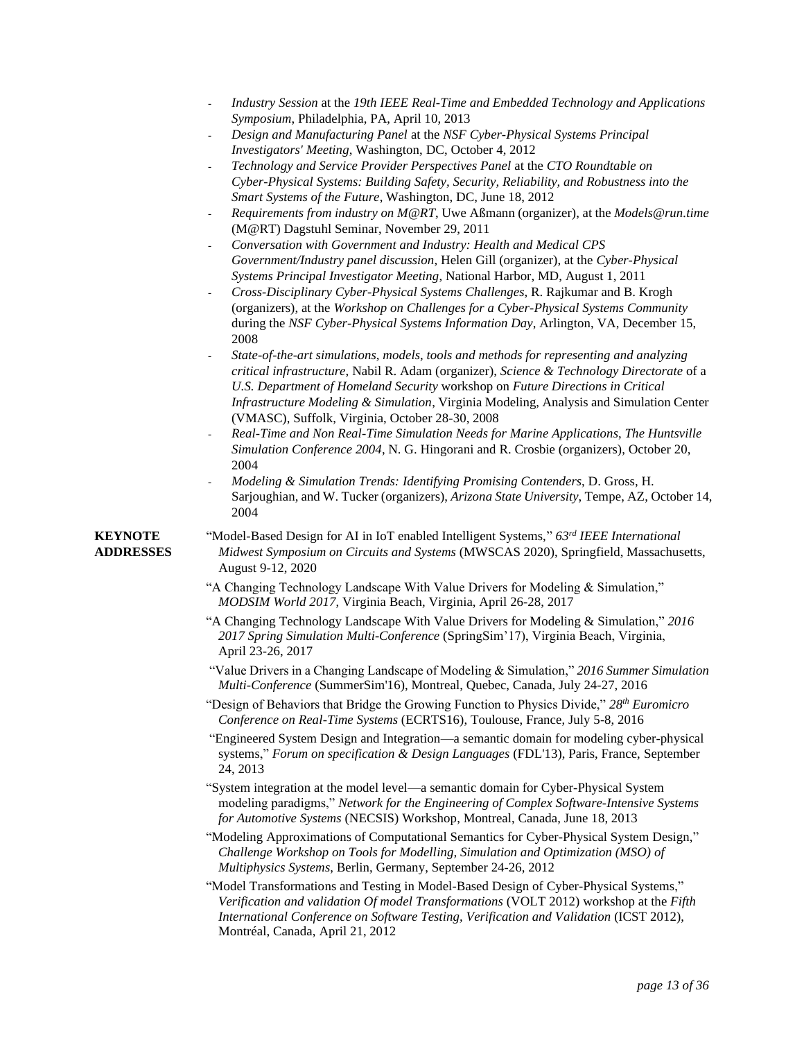| Industry Session at the 19th IEEE Real-Time and Embedded Technology and Applications |
|--------------------------------------------------------------------------------------|
| Symposium, Philadelphia, PA, April 10, 2013                                          |

- *Design and Manufacturing Panel* at the *NSF Cyber-Physical Systems Principal Investigators' Meeting*, Washington, DC, October 4, 2012
- *Technology and Service Provider Perspectives Panel* at the *CTO Roundtable on Cyber-Physical Systems: Building Safety, Security, Reliability, and Robustness into the Smart Systems of the Future*, Washington, DC, June 18, 2012
- *Requirements from industry on M@RT*, Uwe Aßmann (organizer), at the *Models@run.time* (M@RT) Dagstuhl Seminar, November 29, 2011
- *Conversation with Government and Industry: Health and Medical CPS Government/Industry panel discussion*, Helen Gill (organizer), at the *Cyber-Physical Systems Principal Investigator Meeting*, National Harbor, MD, August 1, 2011
- *Cross-Disciplinary Cyber-Physical Systems Challenges*, R. Rajkumar and B. Krogh (organizers), at the *Workshop on Challenges for a Cyber-Physical Systems Community* during the *NSF Cyber-Physical Systems Information Day*, Arlington, VA, December 15, 2008
- *State-of-the-art simulations, models, tools and methods for representing and analyzing critical infrastructure*, Nabil R. Adam (organizer), *Science & Technology Directorate* of a *U.S. Department of Homeland Security* workshop on *Future Directions in Critical Infrastructure Modeling & Simulation*, Virginia Modeling, Analysis and Simulation Center (VMASC), Suffolk, Virginia, October 28-30, 2008
- *Real-Time and Non Real-Time Simulation Needs for Marine Applications*, *The Huntsville Simulation Conference 2004*, N. G. Hingorani and R. Crosbie (organizers), October 20, 2004
- *Modeling & Simulation Trends: Identifying Promising Contenders*, D. Gross, H. Sarjoughian, and W. Tucker (organizers), *Arizona State University*, Tempe, AZ, October 14, 2004

- **KEYNOTE** "Model-Based Design for AI in IoT enabled Intelligent Systems," *63rd IEEE International*  **ADDRESSES** *Midwest Symposium on Circuits and Systems* (MWSCAS 2020), Springfield, Massachusetts, August 9-12, 2020
	- "A Changing Technology Landscape With Value Drivers for Modeling & Simulation," *MODSIM World 2017*, Virginia Beach, Virginia, April 26-28, 2017
	- "A Changing Technology Landscape With Value Drivers for Modeling & Simulation," *2016 2017 Spring Simulation Multi-Conference* (SpringSim'17), Virginia Beach, Virginia, April 23-26, 2017
	- "Value Drivers in a Changing Landscape of Modeling & Simulation," *2016 Summer Simulation Multi-Conference* (SummerSim'16), Montreal, Quebec, Canada, July 24-27, 2016
	- "Design of Behaviors that Bridge the Growing Function to Physics Divide," *28th Euromicro Conference on Real-Time Systems* (ECRTS16), Toulouse, France, July 5-8, 2016

"Engineered System Design and Integration—a semantic domain for modeling cyber-physical systems," *Forum on specification & Design Languages* (FDL'13), Paris, France, September 24, 2013

"System integration at the model level—a semantic domain for Cyber-Physical System modeling paradigms," *Network for the Engineering of Complex Software-Intensive Systems for Automotive Systems* (NECSIS) Workshop, Montreal, Canada, June 18, 2013

- "Modeling Approximations of Computational Semantics for Cyber-Physical System Design," *Challenge Workshop on Tools for Modelling, Simulation and Optimization (MSO) of Multiphysics Systems*, Berlin, Germany, September 24-26, 2012
- "Model Transformations and Testing in Model-Based Design of Cyber-Physical Systems," *Verification and validation Of model Transformations* (VOLT 2012) workshop at the *Fifth International Conference on Software Testing, Verification and Validation* (ICST 2012), Montréal, Canada, April 21, 2012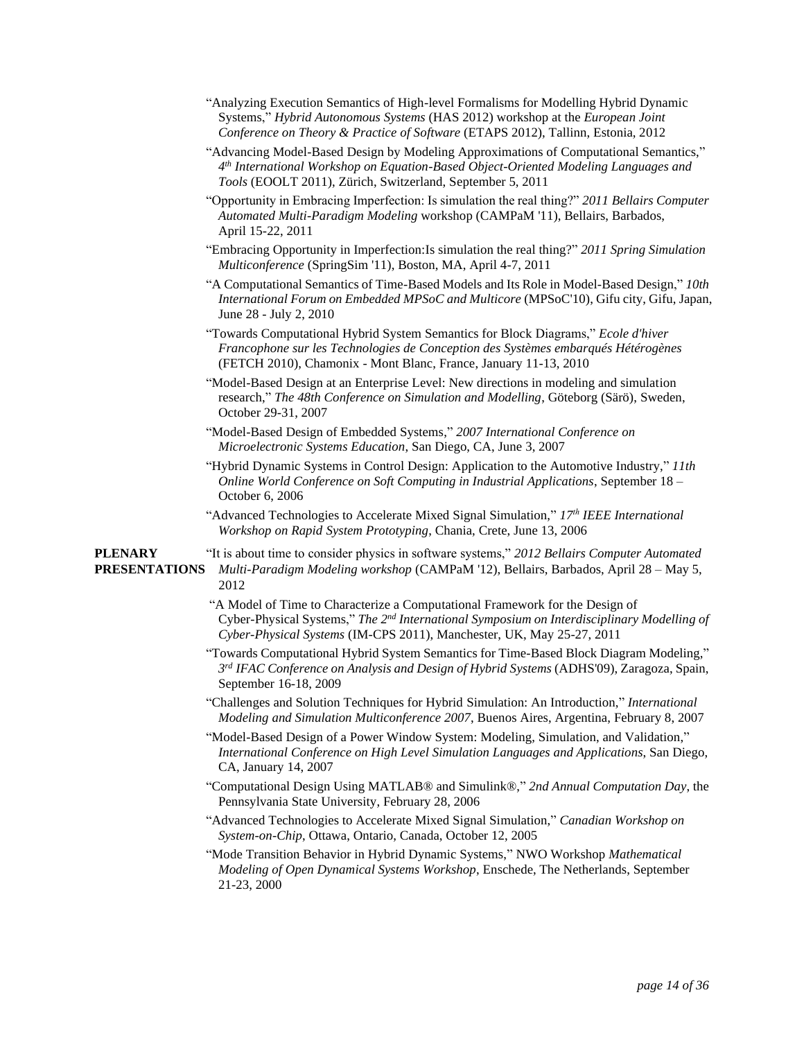| "Analyzing Execution Semantics of High-level Formalisms for Modelling Hybrid Dynamic        |
|---------------------------------------------------------------------------------------------|
| Systems," <i>Hybrid Autonomous Systems</i> (HAS 2012) workshop at the <i>European Joint</i> |
| Conference on Theory & Practice of Software (ETAPS 2012), Tallinn, Estonia, 2012            |

- "Advancing Model-Based Design by Modeling Approximations of Computational Semantics," *4 th International Workshop on Equation-Based Object-Oriented Modeling Languages and Tools* (EOOLT 2011), Zürich, Switzerland, September 5, 2011
- "Opportunity in Embracing Imperfection: Is simulation the real thing?" *2011 Bellairs Computer Automated Multi-Paradigm Modeling* workshop (CAMPaM '11), Bellairs, Barbados, April 15-22, 2011
- "Embracing Opportunity in Imperfection:Is simulation the real thing?" *2011 Spring Simulation Multiconference* (SpringSim '11), Boston, MA, April 4-7, 2011
- "A Computational Semantics of Time-Based Models and Its Role in Model-Based Design," *10th International Forum on Embedded MPSoC and Multicore* (MPSoC'10), Gifu city, Gifu, Japan, June 28 - July 2, 2010
- "Towards Computational Hybrid System Semantics for Block Diagrams," *Ecole d'hiver Francophone sur les Technologies de Conception des Systèmes embarqués Hétérogènes* (FETCH 2010), Chamonix - Mont Blanc, France, January 11-13, 2010
- "Model-Based Design at an Enterprise Level: New directions in modeling and simulation research," *The 48th Conference on Simulation and Modelling*, Göteborg (Särö), Sweden, October 29-31, 2007
- "Model-Based Design of Embedded Systems," *2007 International Conference on Microelectronic Systems Education*, San Diego, CA, June 3, 2007
- "Hybrid Dynamic Systems in Control Design: Application to the Automotive Industry," *11th Online World Conference on Soft Computing in Industrial Applications*, September 18 – October 6, 2006
- "Advanced Technologies to Accelerate Mixed Signal Simulation," *17th IEEE International Workshop on Rapid System Prototyping*, Chania, Crete, June 13, 2006

**PLENARY** "It is about time to consider physics in software systems," *2012 Bellairs Computer Automated* **PRESENTATIONS** *Multi-Paradigm Modeling workshop* (CAMPaM '12), Bellairs, Barbados, April 28 – May 5, 2012

- "A Model of Time to Characterize a Computational Framework for the Design of Cyber-Physical Systems," *The 2nd International Symposium on Interdisciplinary Modelling of Cyber-Physical Systems* (IM-CPS 2011), Manchester, UK, May 25-27, 2011
- "Towards Computational Hybrid System Semantics for Time-Based Block Diagram Modeling," *3 rd IFAC Conference on Analysis and Design of Hybrid Systems* (ADHS'09), Zaragoza, Spain, September 16-18, 2009
- "Challenges and Solution Techniques for Hybrid Simulation: An Introduction," *International Modeling and Simulation Multiconference 2007*, Buenos Aires, Argentina, February 8, 2007
- "Model-Based Design of a Power Window System: Modeling, Simulation, and Validation," *International Conference on High Level Simulation Languages and Applications*, San Diego, CA, January 14, 2007
- "Computational Design Using MATLAB® and Simulink®," *2nd Annual Computation Day*, the Pennsylvania State University, February 28, 2006
- "Advanced Technologies to Accelerate Mixed Signal Simulation," *Canadian Workshop on System-on-Chip*, Ottawa, Ontario, Canada, October 12, 2005

"Mode Transition Behavior in Hybrid Dynamic Systems," NWO Workshop *Mathematical Modeling of Open Dynamical Systems Workshop*, Enschede, The Netherlands, September 21-23, 2000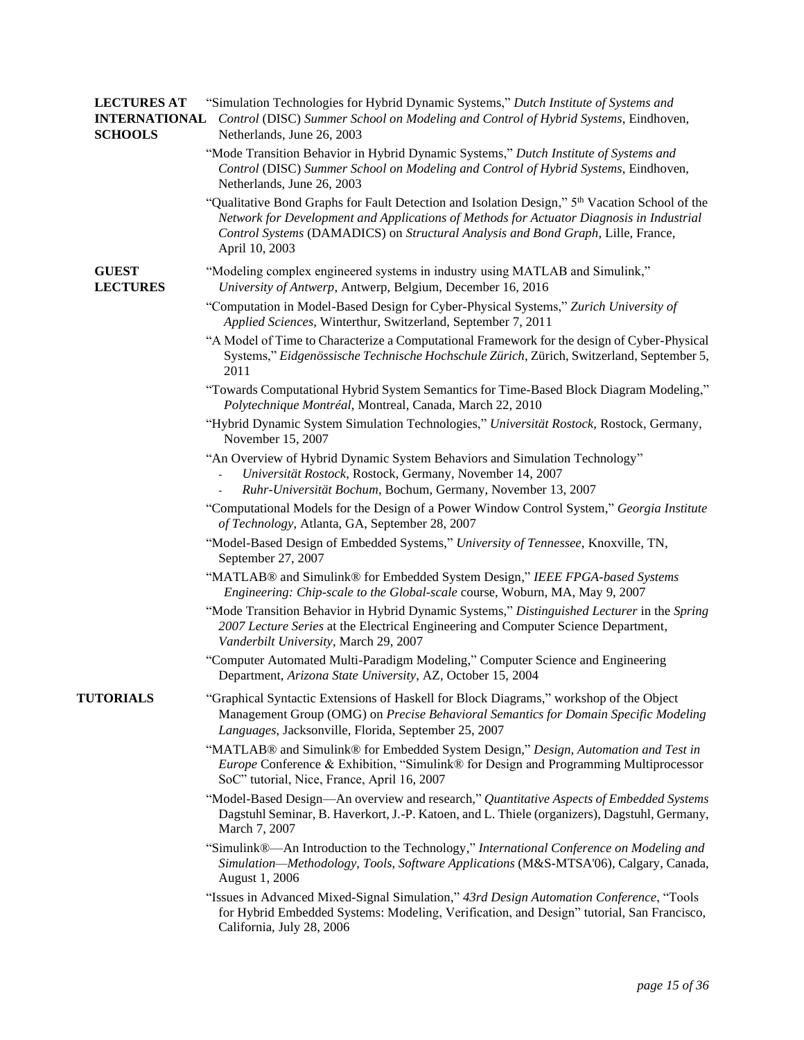| <b>LECTURES AT</b><br><b>SCHOOLS</b> | "Simulation Technologies for Hybrid Dynamic Systems," Dutch Institute of Systems and<br><b>INTERNATIONAL</b> Control (DISC) Summer School on Modeling and Control of Hybrid Systems, Eindhoven,<br>Netherlands, June 26, 2003                                                                    |
|--------------------------------------|--------------------------------------------------------------------------------------------------------------------------------------------------------------------------------------------------------------------------------------------------------------------------------------------------|
|                                      | "Mode Transition Behavior in Hybrid Dynamic Systems," Dutch Institute of Systems and<br>Control (DISC) Summer School on Modeling and Control of Hybrid Systems, Eindhoven,<br>Netherlands, June 26, 2003                                                                                         |
|                                      | "Qualitative Bond Graphs for Fault Detection and Isolation Design," 5th Vacation School of the<br>Network for Development and Applications of Methods for Actuator Diagnosis in Industrial<br>Control Systems (DAMADICS) on Structural Analysis and Bond Graph, Lille, France,<br>April 10, 2003 |
| <b>GUEST</b><br><b>LECTURES</b>      | "Modeling complex engineered systems in industry using MATLAB and Simulink,"<br>University of Antwerp, Antwerp, Belgium, December 16, 2016                                                                                                                                                       |
|                                      | "Computation in Model-Based Design for Cyber-Physical Systems," Zurich University of<br>Applied Sciences, Winterthur, Switzerland, September 7, 2011                                                                                                                                             |
|                                      | "A Model of Time to Characterize a Computational Framework for the design of Cyber-Physical<br>Systems," Eidgenössische Technische Hochschule Zürich, Zürich, Switzerland, September 5,<br>2011                                                                                                  |
|                                      | "Towards Computational Hybrid System Semantics for Time-Based Block Diagram Modeling,"<br>Polytechnique Montréal, Montreal, Canada, March 22, 2010                                                                                                                                               |
|                                      | "Hybrid Dynamic System Simulation Technologies," Universität Rostock, Rostock, Germany,<br>November 15, 2007                                                                                                                                                                                     |
|                                      | "An Overview of Hybrid Dynamic System Behaviors and Simulation Technology"<br>Universität Rostock, Rostock, Germany, November 14, 2007<br>Ruhr-Universität Bochum, Bochum, Germany, November 13, 2007                                                                                            |
|                                      | "Computational Models for the Design of a Power Window Control System," Georgia Institute<br>of Technology, Atlanta, GA, September 28, 2007                                                                                                                                                      |
|                                      | "Model-Based Design of Embedded Systems," University of Tennessee, Knoxville, TN,<br>September 27, 2007                                                                                                                                                                                          |
|                                      | "MATLAB® and Simulink® for Embedded System Design," IEEE FPGA-based Systems<br>Engineering: Chip-scale to the Global-scale course, Woburn, MA, May 9, 2007                                                                                                                                       |
|                                      | "Mode Transition Behavior in Hybrid Dynamic Systems," Distinguished Lecturer in the Spring<br>2007 Lecture Series at the Electrical Engineering and Computer Science Department,<br>Vanderbilt University, March 29, 2007                                                                        |
|                                      | "Computer Automated Multi-Paradigm Modeling," Computer Science and Engineering<br>Department, Arizona State University, AZ, October 15, 2004                                                                                                                                                     |
| <b>TUTORIALS</b>                     | "Graphical Syntactic Extensions of Haskell for Block Diagrams," workshop of the Object<br>Management Group (OMG) on Precise Behavioral Semantics for Domain Specific Modeling<br>Languages, Jacksonville, Florida, September 25, 2007                                                            |
|                                      | "MATLAB® and Simulink® for Embedded System Design," Design, Automation and Test in<br><i>Europe</i> Conference & Exhibition, "Simulink® for Design and Programming Multiprocessor<br>SoC" tutorial, Nice, France, April 16, 2007                                                                 |
|                                      | "Model-Based Design—An overview and research," Quantitative Aspects of Embedded Systems<br>Dagstuhl Seminar, B. Haverkort, J.-P. Katoen, and L. Thiele (organizers), Dagstuhl, Germany,<br>March 7, 2007                                                                                         |
|                                      | "Simulink®—An Introduction to the Technology," International Conference on Modeling and<br>Simulation-Methodology, Tools, Software Applications (M&S-MTSA'06), Calgary, Canada,<br>August 1, 2006                                                                                                |
|                                      | "Issues in Advanced Mixed-Signal Simulation," 43rd Design Automation Conference, "Tools<br>for Hybrid Embedded Systems: Modeling, Verification, and Design" tutorial, San Francisco,<br>California, July 28, 2006                                                                                |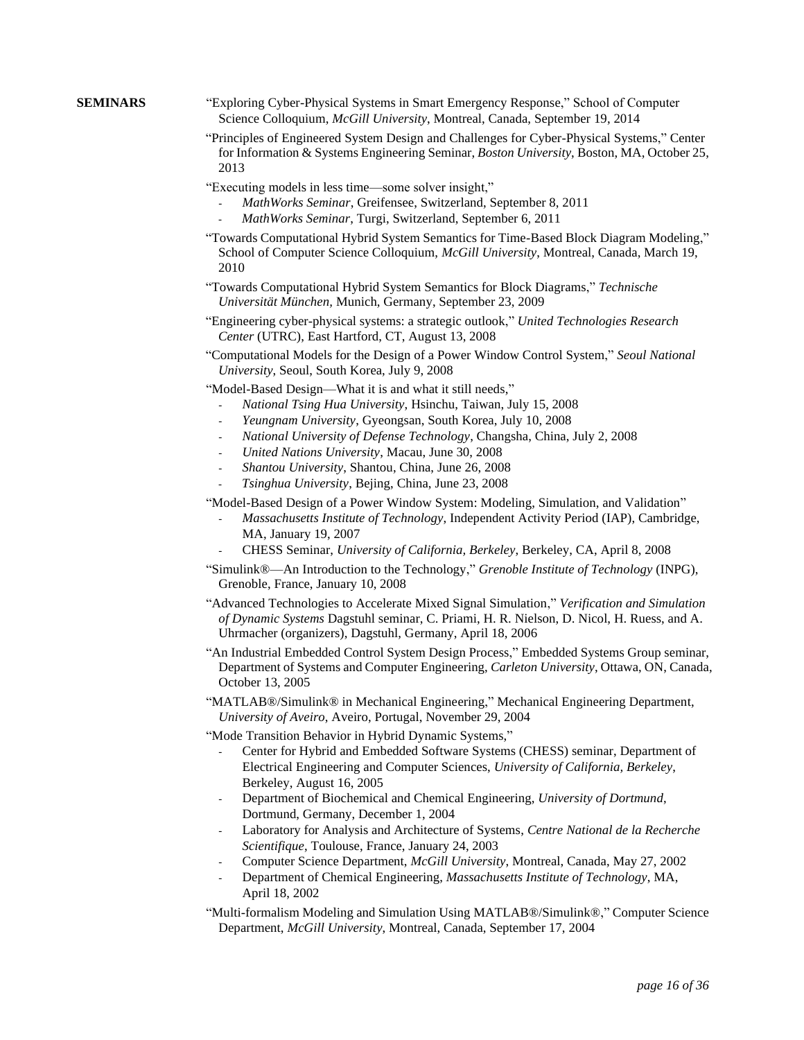- **SEMINARS** "Exploring Cyber-Physical Systems in Smart Emergency Response," School of Computer Science Colloquium, *McGill University*, Montreal, Canada, September 19, 2014
	- "Principles of Engineered System Design and Challenges for Cyber-Physical Systems," Center for Information & Systems Engineering Seminar, *Boston University*, Boston, MA, October 25, 2013
	- "Executing models in less time—some solver insight,"
		- *MathWorks Seminar*, Greifensee, Switzerland, September 8, 2011
		- *MathWorks Seminar*, Turgi, Switzerland, September 6, 2011
	- "Towards Computational Hybrid System Semantics for Time-Based Block Diagram Modeling," School of Computer Science Colloquium, *McGill University*, Montreal, Canada, March 19, 2010
	- "Towards Computational Hybrid System Semantics for Block Diagrams," *Technische Universität München,* Munich, Germany, September 23, 2009
	- "Engineering cyber-physical systems: a strategic outlook," *United Technologies Research Center* (UTRC), East Hartford, CT, August 13, 2008
	- "Computational Models for the Design of a Power Window Control System," *Seoul National University*, Seoul, South Korea, July 9, 2008
	- "Model-Based Design—What it is and what it still needs,"
		- *National Tsing Hua University*, Hsinchu, Taiwan, July 15, 2008
		- *Yeungnam University*, Gyeongsan, South Korea, July 10, 2008
		- *National University of Defense Technology*, Changsha, China, July 2, 2008
		- *United Nations University*, Macau, June 30, 2008
		- *Shantou University*, Shantou, China, June 26, 2008
		- *Tsinghua University*, Bejing, China, June 23, 2008

"Model-Based Design of a Power Window System: Modeling, Simulation, and Validation"

- *Massachusetts Institute of Technology*, Independent Activity Period (IAP), Cambridge, MA, January 19, 2007
- CHESS Seminar, *University of California, Berkeley*, Berkeley, CA, April 8, 2008
- "Simulink®—An Introduction to the Technology," *Grenoble Institute of Technology* (INPG), Grenoble, France, January 10, 2008
- "Advanced Technologies to Accelerate Mixed Signal Simulation," *Verification and Simulation of Dynamic Systems* Dagstuhl seminar, C. Priami, H. R. Nielson, D. Nicol, H. Ruess, and A. Uhrmacher (organizers), Dagstuhl, Germany, April 18, 2006
- "An Industrial Embedded Control System Design Process," Embedded Systems Group seminar, Department of Systems and Computer Engineering, *Carleton University*, Ottawa, ON, Canada, October 13, 2005
- "MATLAB®/Simulink® in Mechanical Engineering," Mechanical Engineering Department, *University of Aveiro*, Aveiro, Portugal, November 29, 2004

"Mode Transition Behavior in Hybrid Dynamic Systems,"

- Center for Hybrid and Embedded Software Systems (CHESS) seminar, Department of Electrical Engineering and Computer Sciences, *University of California, Berkeley*, Berkeley, August 16, 2005
- Department of Biochemical and Chemical Engineering, *University of Dortmund*, Dortmund, Germany, December 1, 2004
- Laboratory for Analysis and Architecture of Systems, *Centre National de la Recherche Scientifique*, Toulouse, France, January 24, 2003
- Computer Science Department, *McGill University*, Montreal, Canada, May 27, 2002
- Department of Chemical Engineering, *Massachusetts Institute of Technology*, MA, April 18, 2002
- "Multi-formalism Modeling and Simulation Using MATLAB®/Simulink®," Computer Science Department, *McGill University*, Montreal, Canada, September 17, 2004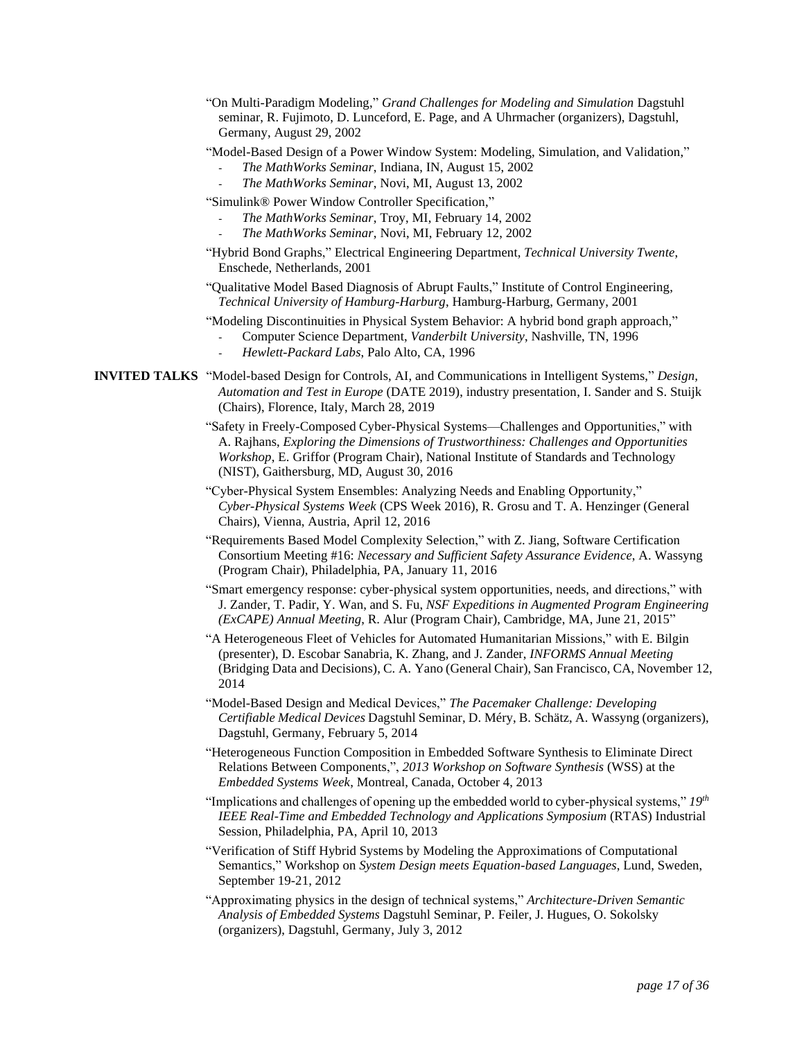- "On Multi-Paradigm Modeling," *Grand Challenges for Modeling and Simulation* Dagstuhl seminar, R. Fujimoto, D. Lunceford, E. Page, and A Uhrmacher (organizers), Dagstuhl, Germany, August 29, 2002
- "Model-Based Design of a Power Window System: Modeling, Simulation, and Validation,"
	- *The MathWorks Seminar*, Indiana, IN, August 15, 2002
	- *The MathWorks Seminar*, Novi, MI, August 13, 2002
- "Simulink® Power Window Controller Specification,"
	- *The MathWorks Seminar*, Troy, MI, February 14, 2002
	- *The MathWorks Seminar*, Novi, MI, February 12, 2002
- "Hybrid Bond Graphs," Electrical Engineering Department, *Technical University Twente*, Enschede, Netherlands, 2001
- "Qualitative Model Based Diagnosis of Abrupt Faults," Institute of Control Engineering, *Technical University of Hamburg-Harburg*, Hamburg-Harburg, Germany, 2001
- "Modeling Discontinuities in Physical System Behavior: A hybrid bond graph approach,"
	- Computer Science Department, *Vanderbilt University*, Nashville, TN, 1996
	- *Hewlett-Packard Labs*, Palo Alto, CA, 1996
- **INVITED TALKS** "Model-based Design for Controls, AI, and Communications in Intelligent Systems," *Design, Automation and Test in Europe* (DATE 2019), industry presentation, I. Sander and S. Stuijk (Chairs), Florence, Italy, March 28, 2019
	- "Safety in Freely-Composed Cyber-Physical Systems—Challenges and Opportunities," with A. Rajhans, *Exploring the Dimensions of Trustworthiness: Challenges and Opportunities Workshop*, E. Griffor (Program Chair), National Institute of Standards and Technology (NIST), Gaithersburg, MD, August 30, 2016
	- "Cyber-Physical System Ensembles: Analyzing Needs and Enabling Opportunity," *Cyber-Physical Systems Week* (CPS Week 2016), R. Grosu and T. A. Henzinger (General Chairs), Vienna, Austria, April 12, 2016
	- "Requirements Based Model Complexity Selection," with Z. Jiang, Software Certification Consortium Meeting #16: *Necessary and Sufficient Safety Assurance Evidence*, A. Wassyng (Program Chair), Philadelphia, PA, January 11, 2016
	- "Smart emergency response: cyber-physical system opportunities, needs, and directions," with J. Zander, T. Padir, Y. Wan, and S. Fu, *NSF Expeditions in Augmented Program Engineering (ExCAPE) Annual Meeting*, R. Alur (Program Chair), Cambridge, MA, June 21, 2015"
	- "A Heterogeneous Fleet of Vehicles for Automated Humanitarian Missions," with E. Bilgin (presenter), D. Escobar Sanabria, K. Zhang, and J. Zander, *INFORMS Annual Meeting* (Bridging Data and Decisions), C. A. Yano (General Chair), San Francisco, CA, November 12, 2014
	- "Model-Based Design and Medical Devices," *The Pacemaker Challenge: Developing Certifiable Medical Devices* Dagstuhl Seminar, D. Méry, B. Schätz, A. Wassyng (organizers), Dagstuhl, Germany, February 5, 2014
	- "Heterogeneous Function Composition in Embedded Software Synthesis to Eliminate Direct Relations Between Components,", *2013 Workshop on Software Synthesis* (WSS) at the *Embedded Systems Week*, Montreal, Canada, October 4, 2013
	- "Implications and challenges of opening up the embedded world to cyber-physical systems,"  $19<sup>th</sup>$ *IEEE Real-Time and Embedded Technology and Applications Symposium* (RTAS) Industrial Session, Philadelphia, PA, April 10, 2013
	- "Verification of Stiff Hybrid Systems by Modeling the Approximations of Computational Semantics," Workshop on *System Design meets Equation-based Languages*, Lund, Sweden, September 19-21, 2012
	- "Approximating physics in the design of technical systems," *Architecture-Driven Semantic Analysis of Embedded Systems* Dagstuhl Seminar, P. Feiler, J. Hugues, O. Sokolsky (organizers), Dagstuhl, Germany, July 3, 2012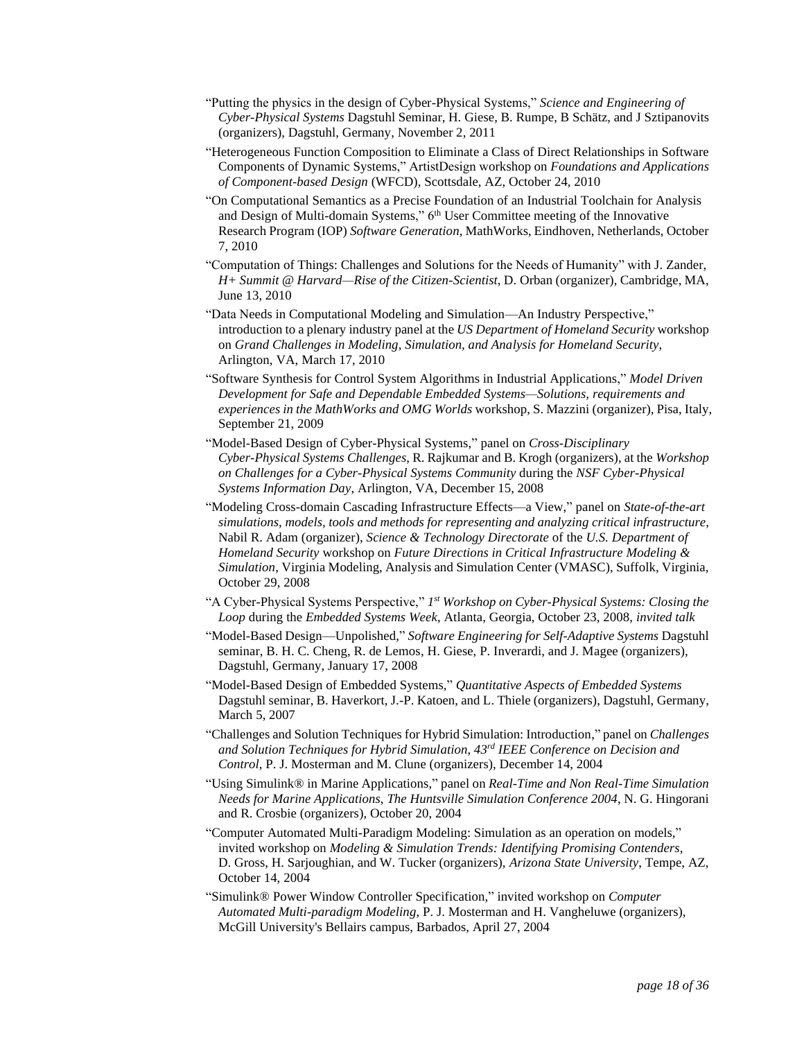- "Putting the physics in the design of Cyber-Physical Systems," *Science and Engineering of Cyber-Physical Systems* Dagstuhl Seminar, H. Giese, B. Rumpe, B Schätz, and J Sztipanovits (organizers), Dagstuhl, Germany, November 2, 2011
- "Heterogeneous Function Composition to Eliminate a Class of Direct Relationships in Software Components of Dynamic Systems," ArtistDesign workshop on *Foundations and Applications of Component-based Design* (WFCD), Scottsdale, AZ, October 24, 2010
- "On Computational Semantics as a Precise Foundation of an Industrial Toolchain for Analysis and Design of Multi-domain Systems," 6<sup>th</sup> User Committee meeting of the Innovative Research Program (IOP) *Software Generation*, MathWorks, Eindhoven, Netherlands, October 7, 2010
- "Computation of Things: Challenges and Solutions for the Needs of Humanity" with J. Zander, *H+ Summit @ Harvard—Rise of the Citizen-Scientist*, D. Orban (organizer), Cambridge, MA, June 13, 2010
- "Data Needs in Computational Modeling and Simulation—An Industry Perspective," introduction to a plenary industry panel at the *US Department of Homeland Security* workshop on *Grand Challenges in Modeling, Simulation, and Analysis for Homeland Security*, Arlington, VA, March 17, 2010
- "Software Synthesis for Control System Algorithms in Industrial Applications," *Model Driven Development for Safe and Dependable Embedded Systems—Solutions, requirements and experiences in the MathWorks and OMG Worlds* workshop, S. Mazzini (organizer), Pisa, Italy, September 21, 2009
- "Model-Based Design of Cyber-Physical Systems," panel on *Cross-Disciplinary Cyber-Physical Systems Challenges*, R. Rajkumar and B. Krogh (organizers), at the *Workshop on Challenges for a Cyber-Physical Systems Community* during the *NSF Cyber-Physical Systems Information Day*, Arlington, VA, December 15, 2008
- "Modeling Cross-domain Cascading Infrastructure Effects—a View," panel on *State-of-the-art simulations, models, tools and methods for representing and analyzing critical infrastructure*, Nabil R. Adam (organizer), *Science & Technology Directorate* of the *U.S. Department of Homeland Security* workshop on *Future Directions in Critical Infrastructure Modeling & Simulation*, Virginia Modeling, Analysis and Simulation Center (VMASC), Suffolk, Virginia, October 29, 2008
- "A Cyber-Physical Systems Perspective," 1<sup>st</sup> Workshop on Cyber-Physical Systems: Closing the *Loop* during the *Embedded Systems Week*, Atlanta, Georgia, October 23, 2008, *invited talk*
- "Model-Based Design—Unpolished," *Software Engineering for Self-Adaptive Systems* Dagstuhl seminar, B. H. C. Cheng, R. de Lemos, H. Giese, P. Inverardi, and J. Magee (organizers), Dagstuhl, Germany, January 17, 2008
- "Model-Based Design of Embedded Systems," *Quantitative Aspects of Embedded Systems* Dagstuhl seminar, B. Haverkort, J.-P. Katoen, and L. Thiele (organizers), Dagstuhl, Germany, March 5, 2007
- "Challenges and Solution Techniques for Hybrid Simulation: Introduction," panel on *Challenges and Solution Techniques for Hybrid Simulation*, *43rd IEEE Conference on Decision and Control*, P. J. Mosterman and M. Clune (organizers), December 14, 2004
- "Using Simulink® in Marine Applications," panel on *Real-Time and Non Real-Time Simulation Needs for Marine Applications*, *The Huntsville Simulation Conference 2004*, N. G. Hingorani and R. Crosbie (organizers), October 20, 2004
- "Computer Automated Multi-Paradigm Modeling: Simulation as an operation on models," invited workshop on *Modeling & Simulation Trends: Identifying Promising Contenders*, D. Gross, H. Sarjoughian, and W. Tucker (organizers), *Arizona State University*, Tempe, AZ, October 14, 2004
- "Simulink® Power Window Controller Specification," invited workshop on *Computer Automated Multi-paradigm Modeling*, P. J. Mosterman and H. Vangheluwe (organizers), McGill University's Bellairs campus, Barbados, April 27, 2004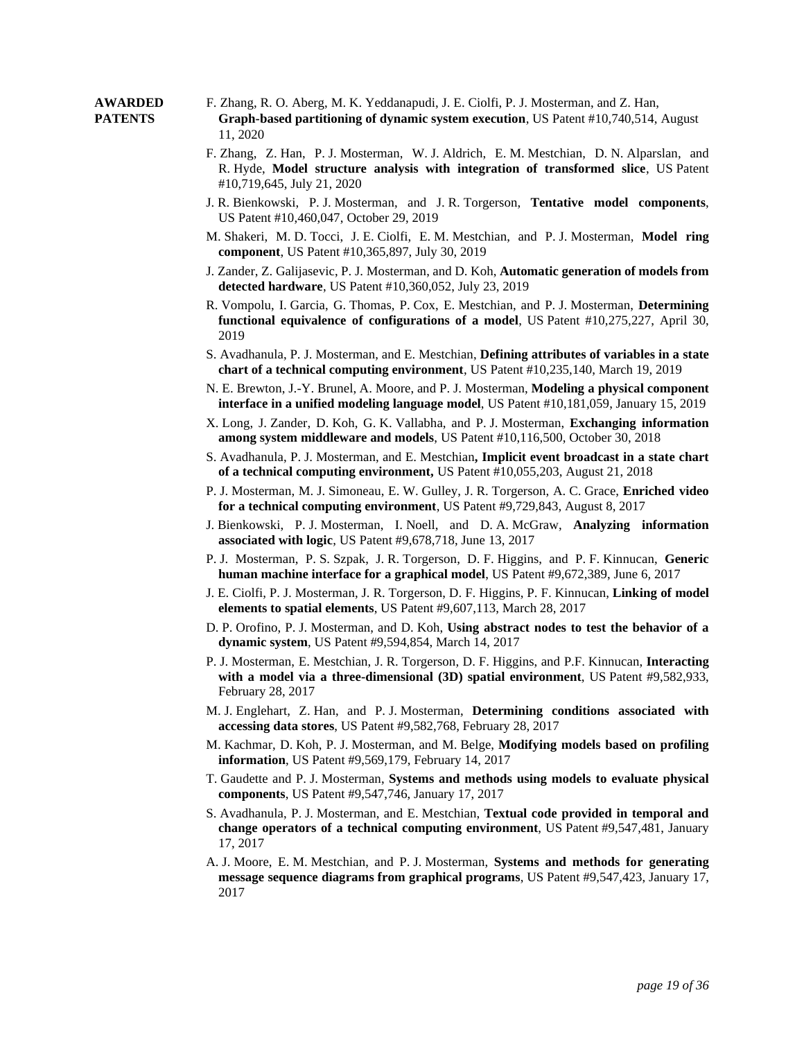#### **AWARDED** F. Zhang, R. O. Aberg, M. K. Yeddanapudi, J. E. Ciolfi, P. J. Mosterman, and Z. Han, **PATENTS Graph-based partitioning of dynamic system execution**, US Patent #10,740,514, August 11, 2020

- F. Zhang, Z. Han, P. J. Mosterman, W. J. Aldrich, E. M. Mestchian, D. N. Alparslan, and R. Hyde, **Model structure analysis with integration of transformed slice**, US Patent #10,719,645, July 21, 2020
- J. R. Bienkowski, P. J. Mosterman, and J. R. Torgerson, **Tentative model components**, US Patent #10,460,047, October 29, 2019
- M. Shakeri, M. D. Tocci, J. E. Ciolfi, E. M. Mestchian, and P. J. Mosterman, **Model ring component**, US Patent #10,365,897, July 30, 2019
- J. Zander, Z. Galijasevic, P. J. Mosterman, and D. Koh, **Automatic generation of models from detected hardware**, US Patent #10,360,052, July 23, 2019
- R. Vompolu, I. Garcia, G. Thomas, P. Cox, E. Mestchian, and P. J. Mosterman, **Determining functional equivalence of configurations of a model**, US Patent #10,275,227, April 30, 2019
- S. Avadhanula, P. J. Mosterman, and E. Mestchian, **Defining attributes of variables in a state chart of a technical computing environment**, US Patent #10,235,140, March 19, 2019
- N. E. Brewton, J.-Y. Brunel, A. Moore, and P. J. Mosterman, **Modeling a physical component interface in a unified modeling language model**, US Patent #10,181,059, January 15, 2019
- X. Long, J. Zander, D. Koh, G. K. Vallabha, and P. J. Mosterman, **Exchanging information among system middleware and models**, US Patent #10,116,500, October 30, 2018
- S. Avadhanula, P. J. Mosterman, and E. Mestchian**, Implicit event broadcast in a state chart of a technical computing environment,** US Patent #10,055,203, August 21, 2018
- P. J. Mosterman, M. J. Simoneau, E. W. Gulley, J. R. Torgerson, A. C. Grace, **Enriched video for a technical computing environment**, US Patent #9,729,843, August 8, 2017
- J. Bienkowski, P. J. Mosterman, I. Noell, and D. A. McGraw, **Analyzing information associated with logic**, US Patent #9,678,718, June 13, 2017
- P. J. Mosterman, P. S. Szpak, J. R. Torgerson, D. F. Higgins, and P. F. Kinnucan, **Generic human machine interface for a graphical model**, US Patent #9,672,389, June 6, 2017
- J. E. Ciolfi, P. J. Mosterman, J. R. Torgerson, D. F. Higgins, P. F. Kinnucan, **Linking of model elements to spatial elements**, US Patent #9,607,113, March 28, 2017
- D. P. Orofino, P. J. Mosterman, and D. Koh, **Using abstract nodes to test the behavior of a dynamic system**, US Patent #9,594,854, March 14, 2017
- P. J. Mosterman, E. Mestchian, J. R. Torgerson, D. F. Higgins, and P.F. Kinnucan, **Interacting with a model via a three-dimensional (3D) spatial environment**, US Patent #9,582,933, February 28, 2017
- M. J. Englehart, Z. Han, and P. J. Mosterman, **Determining conditions associated with accessing data stores**, US Patent #9,582,768, February 28, 2017
- M. Kachmar, D. Koh, P. J. Mosterman, and M. Belge, **Modifying models based on profiling information**, US Patent #9,569,179, February 14, 2017
- T. Gaudette and P. J. Mosterman, **Systems and methods using models to evaluate physical components**, US Patent #9,547,746, January 17, 2017
- S. Avadhanula, P. J. Mosterman, and E. Mestchian, **Textual code provided in temporal and change operators of a technical computing environment**, US Patent #9,547,481, January 17, 2017
- A. J. Moore, E. M. Mestchian, and P. J. Mosterman, **Systems and methods for generating message sequence diagrams from graphical programs**, US Patent #9,547,423, January 17, 2017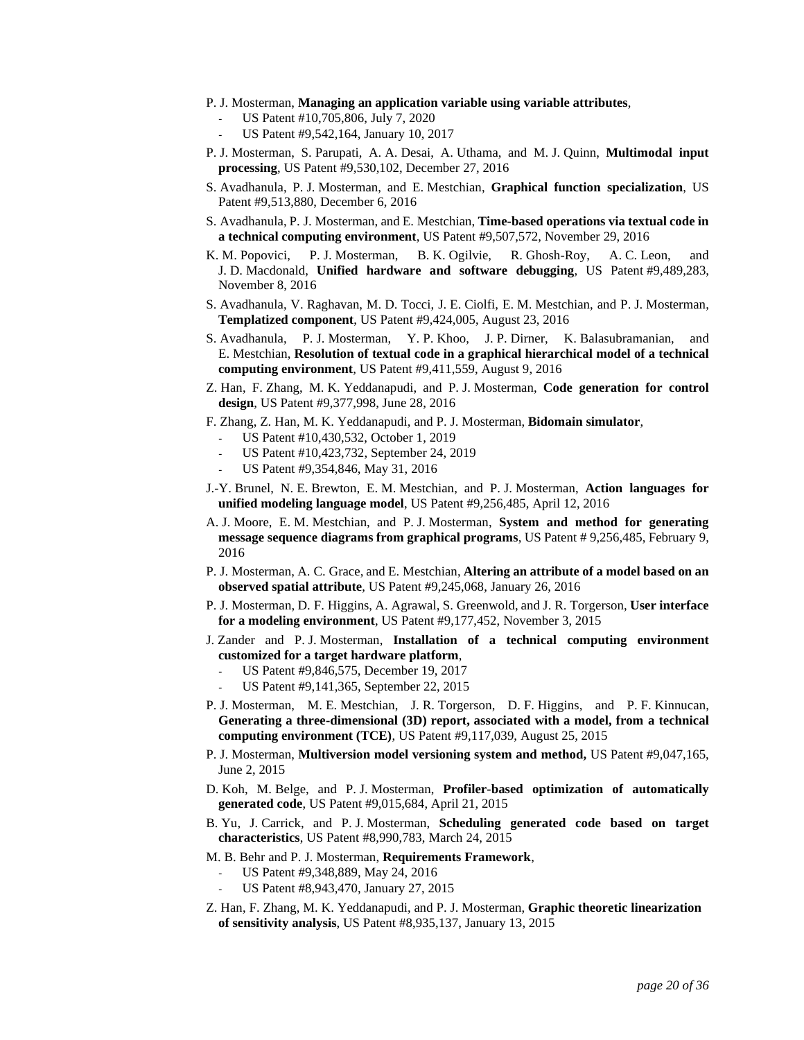- P. J. Mosterman, **Managing an application variable using variable attributes**,
	- US Patent #10,705,806, July 7, 2020
	- US Patent #9,542,164, January 10, 2017
- P. J. Mosterman, S. Parupati, A. A. Desai, A. Uthama, and M. J. Quinn, **Multimodal input processing**, US Patent #9,530,102, December 27, 2016
- S. Avadhanula, P. J. Mosterman, and E. Mestchian, **Graphical function specialization**, US Patent #9,513,880, December 6, 2016
- S. Avadhanula, P. J. Mosterman, and E. Mestchian, **Time-based operations via textual code in a technical computing environment**, US Patent #9,507,572, November 29, 2016
- K. M. Popovici, P. J. Mosterman, B. K. Ogilvie, R. Ghosh-Roy, A. C. Leon, and J. D. Macdonald, **Unified hardware and software debugging**, US Patent #9,489,283, November 8, 2016
- S. Avadhanula, V. Raghavan, M. D. Tocci, J. E. Ciolfi, E. M. Mestchian, and P. J. Mosterman, **Templatized component**, US Patent #9,424,005, August 23, 2016
- S. Avadhanula, P. J. Mosterman, Y. P. Khoo, J. P. Dirner, K. Balasubramanian, and E. Mestchian, **Resolution of textual code in a graphical hierarchical model of a technical computing environment**, US Patent #9,411,559, August 9, 2016
- Z. Han, F. Zhang, M. K. Yeddanapudi, and P. J. Mosterman, **Code generation for control design**, US Patent #9,377,998, June 28, 2016
- F. Zhang, Z. Han, M. K. Yeddanapudi, and P. J. Mosterman, **Bidomain simulator**,
	- US Patent #10,430,532, October 1, 2019
	- US Patent #10,423,732, September 24, 2019
	- US Patent #9,354,846, May 31, 2016
- J.-Y. Brunel, N. E. Brewton, E. M. Mestchian, and P. J. Mosterman, **Action languages for unified modeling language model**, US Patent #9,256,485, April 12, 2016
- A. J. Moore, E. M. Mestchian, and P. J. Mosterman, **System and method for generating message sequence diagrams from graphical programs**, US Patent # 9,256,485, February 9, 2016
- P. J. Mosterman, A. C. Grace, and E. Mestchian, **Altering an attribute of a model based on an observed spatial attribute**, US Patent #9,245,068, January 26, 2016
- P. J. Mosterman, D. F. Higgins, A. Agrawal, S. Greenwold, and J. R. Torgerson, **User interface for a modeling environment**, US Patent #9,177,452, November 3, 2015
- J. Zander and P. J. Mosterman, **Installation of a technical computing environment customized for a target hardware platform**,
	- US Patent #9,846,575, December 19, 2017
	- US Patent #9,141,365, September 22, 2015
- P. J. Mosterman, M. E. Mestchian, J. R. Torgerson, D. F. Higgins, and P. F. Kinnucan, **Generating a three-dimensional (3D) report, associated with a model, from a technical computing environment (TCE)**, US Patent #9,117,039, August 25, 2015
- P. J. Mosterman, **Multiversion model versioning system and method,** US Patent #9,047,165, June 2, 2015
- D. Koh, M. Belge, and P. J. Mosterman, **Profiler-based optimization of automatically generated code**, US Patent #9,015,684, April 21, 2015
- B. Yu, J. Carrick, and P. J. Mosterman, **Scheduling generated code based on target characteristics**, US Patent #8,990,783, March 24, 2015
- M. B. Behr and P. J. Mosterman, **Requirements Framework**,
	- US Patent #9,348,889, May 24, 2016
	- US Patent #8,943,470, January 27, 2015
- Z. Han, F. Zhang, M. K. Yeddanapudi, and P. J. Mosterman, **Graphic theoretic linearization of sensitivity analysis**, US Patent #8,935,137, January 13, 2015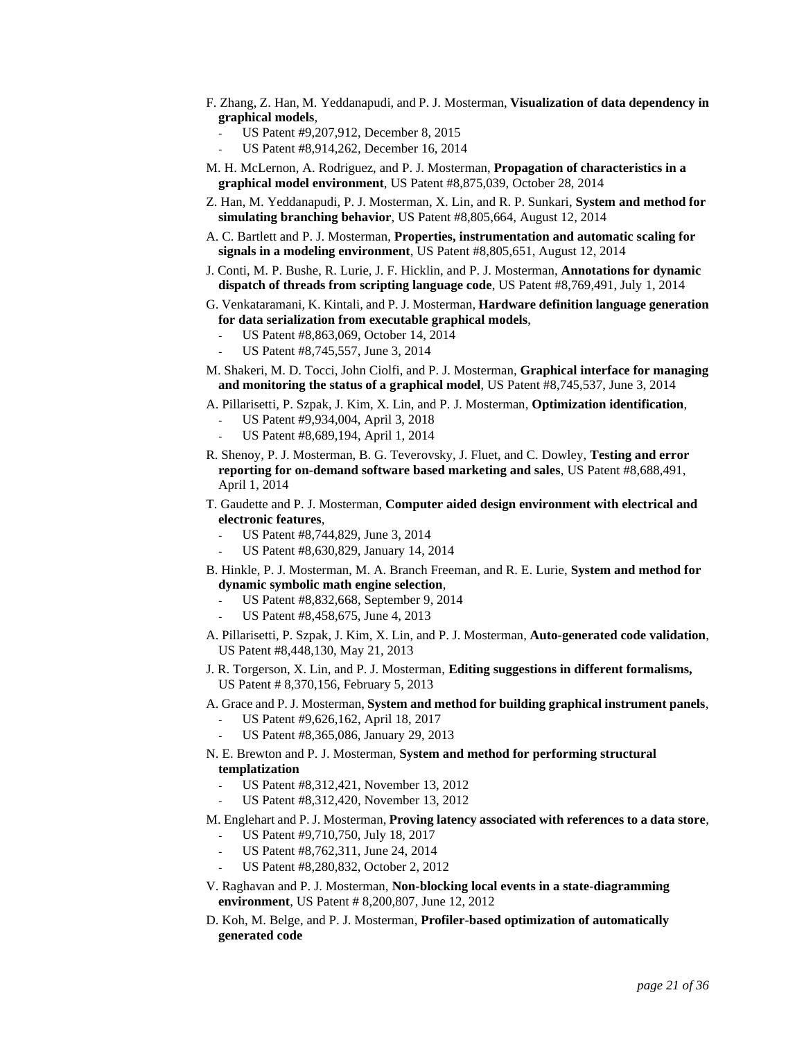- F. Zhang, Z. Han, M. Yeddanapudi, and P. J. Mosterman, **Visualization of data dependency in graphical models**,
	- US Patent #9,207,912, December 8, 2015
		- US Patent #8,914,262, December 16, 2014
- M. H. McLernon, A. Rodriguez, and P. J. Mosterman, **Propagation of characteristics in a graphical model environment**, US Patent #8,875,039, October 28, 2014
- Z. Han, M. Yeddanapudi, P. J. Mosterman, X. Lin, and R. P. Sunkari, **System and method for simulating branching behavior**, US Patent #8,805,664, August 12, 2014
- A. C. Bartlett and P. J. Mosterman, **Properties, instrumentation and automatic scaling for signals in a modeling environment**, US Patent #8,805,651, August 12, 2014
- J. Conti, M. P. Bushe, R. Lurie, J. F. Hicklin, and P. J. Mosterman, **Annotations for dynamic dispatch of threads from scripting language code**, US Patent #8,769,491, July 1, 2014
- G. Venkataramani, K. Kintali, and P. J. Mosterman, **Hardware definition language generation for data serialization from executable graphical models**,
	- US Patent #8,863,069, October 14, 2014
	- US Patent #8,745,557, June 3, 2014
- M. Shakeri, M. D. Tocci, John Ciolfi, and P. J. Mosterman, **Graphical interface for managing and monitoring the status of a graphical model**, US Patent #8,745,537, June 3, 2014
- A. Pillarisetti, P. Szpak, J. Kim, X. Lin, and P. J. Mosterman, **Optimization identification**,
	- US Patent #9,934,004, April 3, 2018
	- US Patent #8,689,194, April 1, 2014
- R. Shenoy, P. J. Mosterman, B. G. Teverovsky, J. Fluet, and C. Dowley, **Testing and error reporting for on-demand software based marketing and sales**, US Patent #8,688,491, April 1, 2014
- T. Gaudette and P. J. Mosterman, **Computer aided design environment with electrical and electronic features**,
	- US Patent #8,744,829, June 3, 2014
	- US Patent #8,630,829, January 14, 2014
- B. Hinkle, P. J. Mosterman, M. A. Branch Freeman, and R. E. Lurie, **System and method for dynamic symbolic math engine selection**,
	- US Patent #8,832,668, September 9, 2014
	- US Patent #8,458,675, June 4, 2013
- A. Pillarisetti, P. Szpak, J. Kim, X. Lin, and P. J. Mosterman, **Auto-generated code validation**, US Patent #8,448,130, May 21, 2013
- J. R. Torgerson, X. Lin, and P. J. Mosterman, **Editing suggestions in different formalisms,** US Patent # 8,370,156, February 5, 2013
- A. Grace and P. J. Mosterman, **System and method for building graphical instrument panels**,
	- US Patent #9,626,162, April 18, 2017
	- US Patent #8,365,086, January 29, 2013
- N. E. Brewton and P. J. Mosterman, **System and method for performing structural templatization**
	- US Patent #8,312,421, November 13, 2012
	- US Patent #8,312,420, November 13, 2012
- M. Englehart and P. J. Mosterman, **Proving latency associated with references to a data store**, US Patent #9,710,750, July 18, 2017
	- US Patent #8,762,311, June 24, 2014
	- US Patent #8,280,832, October 2, 2012
- V. Raghavan and P. J. Mosterman, **Non-blocking local events in a state-diagramming environment**, US Patent # 8,200,807, June 12, 2012
- D. Koh, M. Belge, and P. J. Mosterman, **Profiler-based optimization of automatically generated code**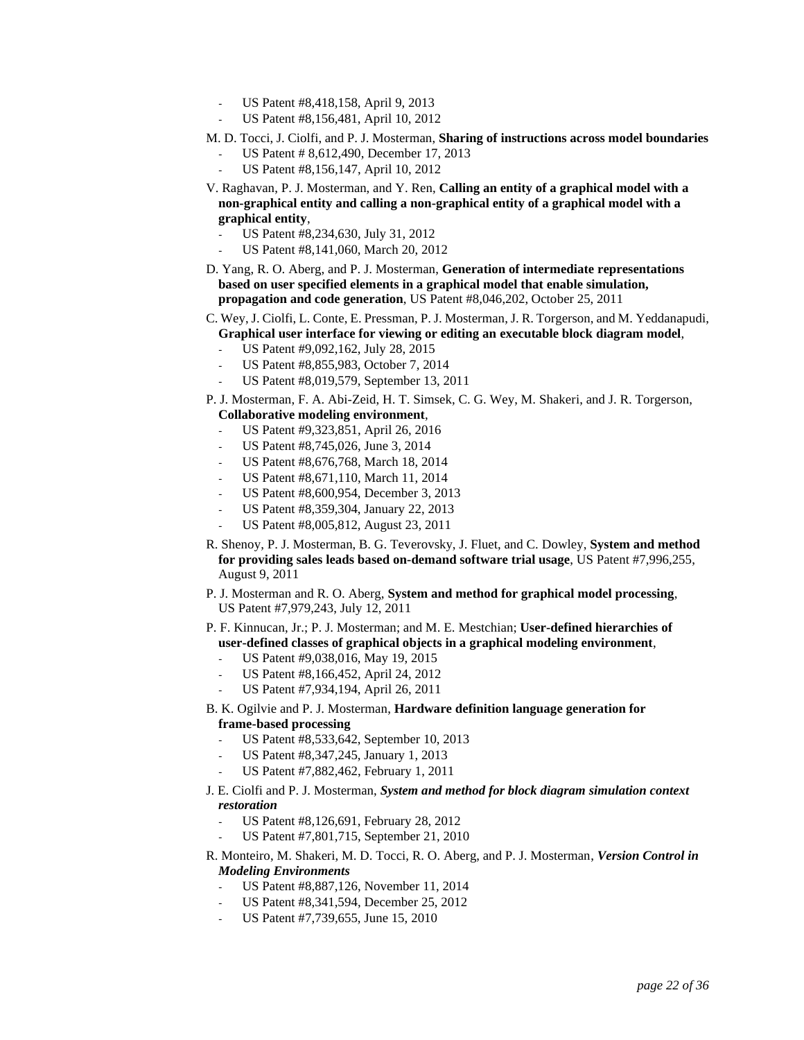- US Patent #8,418,158, April 9, 2013
- US Patent #8,156,481, April 10, 2012
- M. D. Tocci, J. Ciolfi, and P. J. Mosterman, **Sharing of instructions across model boundaries**
	- US Patent # 8,612,490, December 17, 2013
	- US Patent #8,156,147, April 10, 2012
- V. Raghavan, P. J. Mosterman, and Y. Ren, **Calling an entity of a graphical model with a non-graphical entity and calling a non-graphical entity of a graphical model with a graphical entity**,
	- US Patent #8,234,630, July 31, 2012
	- US Patent #8,141,060, March 20, 2012
- D. Yang, R. O. Aberg, and P. J. Mosterman, **Generation of intermediate representations based on user specified elements in a graphical model that enable simulation, propagation and code generation**, US Patent #8,046,202, October 25, 2011
- C. Wey, J. Ciolfi, L. Conte, E. Pressman, P. J. Mosterman, J. R. Torgerson, and M. Yeddanapudi, **Graphical user interface for viewing or editing an executable block diagram model**,
	- US Patent #9,092,162, July 28, 2015
	- US Patent #8,855,983, October 7, 2014
	- US Patent #8,019,579, September 13, 2011
- P. J. Mosterman, F. A. Abi-Zeid, H. T. Simsek, C. G. Wey, M. Shakeri, and J. R. Torgerson, **Collaborative modeling environment**,
	- US Patent #9,323,851, April 26, 2016
	- US Patent #8,745,026, June 3, 2014
	- US Patent #8,676,768, March 18, 2014
	- US Patent #8,671,110, March 11, 2014
	- US Patent #8,600,954, December 3, 2013
	- US Patent #8,359,304, January 22, 2013
	- US Patent #8,005,812, August 23, 2011
- R. Shenoy, P. J. Mosterman, B. G. Teverovsky, J. Fluet, and C. Dowley, **System and method for providing sales leads based on-demand software trial usage**, US Patent #7,996,255, August 9, 2011
- P. J. Mosterman and R. O. Aberg, **System and method for graphical model processing**, US Patent #7,979,243, July 12, 2011
- P. F. Kinnucan, Jr.; P. J. Mosterman; and M. E. Mestchian; **User-defined hierarchies of user-defined classes of graphical objects in a graphical modeling environment**,
	- US Patent #9,038,016, May 19, 2015
	- US Patent #8,166,452, April 24, 2012
	- US Patent #7,934,194, April 26, 2011
- B. K. Ogilvie and P. J. Mosterman, **Hardware definition language generation for frame-based processing**
	- US Patent #8,533,642, September 10, 2013
	- US Patent #8,347,245, January 1, 2013
	- US Patent #7,882,462, February 1, 2011
- J. E. Ciolfi and P. J. Mosterman, *System and method for block diagram simulation context restoration*
	- US Patent #8,126,691, February 28, 2012
	- US Patent #7,801,715, September 21, 2010
- R. Monteiro, M. Shakeri, M. D. Tocci, R. O. Aberg, and P. J. Mosterman, *Version Control in Modeling Environments*
	- US Patent #8,887,126, November 11, 2014
	- US Patent #8,341,594, December 25, 2012
	- US Patent #7,739,655, June 15, 2010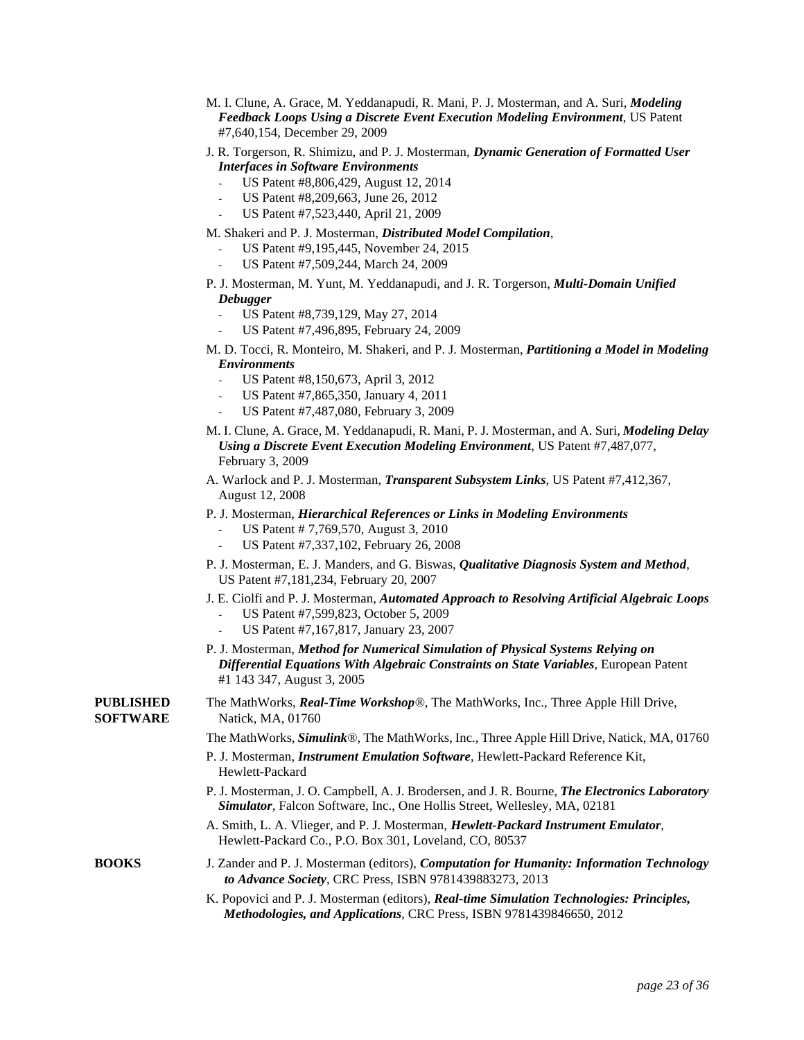| M. I. Clune, A. Grace, M. Yeddanapudi, R. Mani, P. J. Mosterman, and A. Suri, <i>Modeling</i> |  |
|-----------------------------------------------------------------------------------------------|--|
| <b>Feedback Loops Using a Discrete Event Execution Modeling Environment, US Patent</b>        |  |
| #7,640,154, December 29, 2009                                                                 |  |

- J. R. Torgerson, R. Shimizu, and P. J. Mosterman, *Dynamic Generation of Formatted User Interfaces in Software Environments*
	- US Patent #8,806,429, August 12, 2014
	- US Patent #8,209,663, June 26, 2012
	- US Patent #7,523,440, April 21, 2009

M. Shakeri and P. J. Mosterman, *Distributed Model Compilation*,

- US Patent #9,195,445, November 24, 2015
- US Patent #7,509,244, March 24, 2009
- P. J. Mosterman, M. Yunt, M. Yeddanapudi, and J. R. Torgerson, *Multi-Domain Unified Debugger*
	- US Patent #8,739,129, May 27, 2014
	- US Patent #7,496,895, February 24, 2009
- M. D. Tocci, R. Monteiro, M. Shakeri, and P. J. Mosterman, *Partitioning a Model in Modeling Environments*
	- US Patent #8,150,673, April 3, 2012
	- US Patent #7,865,350, January 4, 2011
	- US Patent #7,487,080, February 3, 2009
- M. I. Clune, A. Grace, M. Yeddanapudi, R. Mani, P. J. Mosterman, and A. Suri, *Modeling Delay Using a Discrete Event Execution Modeling Environment*, US Patent #7,487,077, February 3, 2009
- A. Warlock and P. J. Mosterman, *Transparent Subsystem Links*, US Patent #7,412,367, August 12, 2008
- P. J. Mosterman, *Hierarchical References or Links in Modeling Environments*
	- US Patent # 7,769,570, August 3, 2010
	- US Patent #7,337,102, February 26, 2008
- P. J. Mosterman, E. J. Manders, and G. Biswas, *Qualitative Diagnosis System and Method*, US Patent #7,181,234, February 20, 2007
- J. E. Ciolfi and P. J. Mosterman, *Automated Approach to Resolving Artificial Algebraic Loops*
	- US Patent #7,599,823, October 5, 2009
	- US Patent #7,167,817, January 23, 2007
- P. J. Mosterman, *Method for Numerical Simulation of Physical Systems Relying on Differential Equations With Algebraic Constraints on State Variables*, European Patent #1 143 347, August 3, 2005

**PUBLISHED** The MathWorks, *Real-Time Workshop®*, The MathWorks, Inc., Three Apple Hill Drive, **SOFTWARE** Natick, MA, 01760

- The MathWorks, *Simulink®*, The MathWorks, Inc., Three Apple Hill Drive, Natick, MA, 01760
- P. J. Mosterman, *Instrument Emulation Software*, Hewlett-Packard Reference Kit, Hewlett-Packard
- P. J. Mosterman, J. O. Campbell, A. J. Brodersen, and J. R. Bourne, *The Electronics Laboratory Simulator*, Falcon Software, Inc., One Hollis Street, Wellesley, MA, 02181
- A. Smith, L. A. Vlieger, and P. J. Mosterman, *Hewlett-Packard Instrument Emulator*, Hewlett-Packard Co., P.O. Box 301, Loveland, CO, 80537

### **BOOKS** J. Zander and P. J. Mosterman (editors), *Computation for Humanity: Information Technology to Advance Society*, CRC Press, ISBN 9781439883273, 2013

K. Popovici and P. J. Mosterman (editors), *Real-time Simulation Technologies: Principles, Methodologies, and Applications*, CRC Press, ISBN 9781439846650, 2012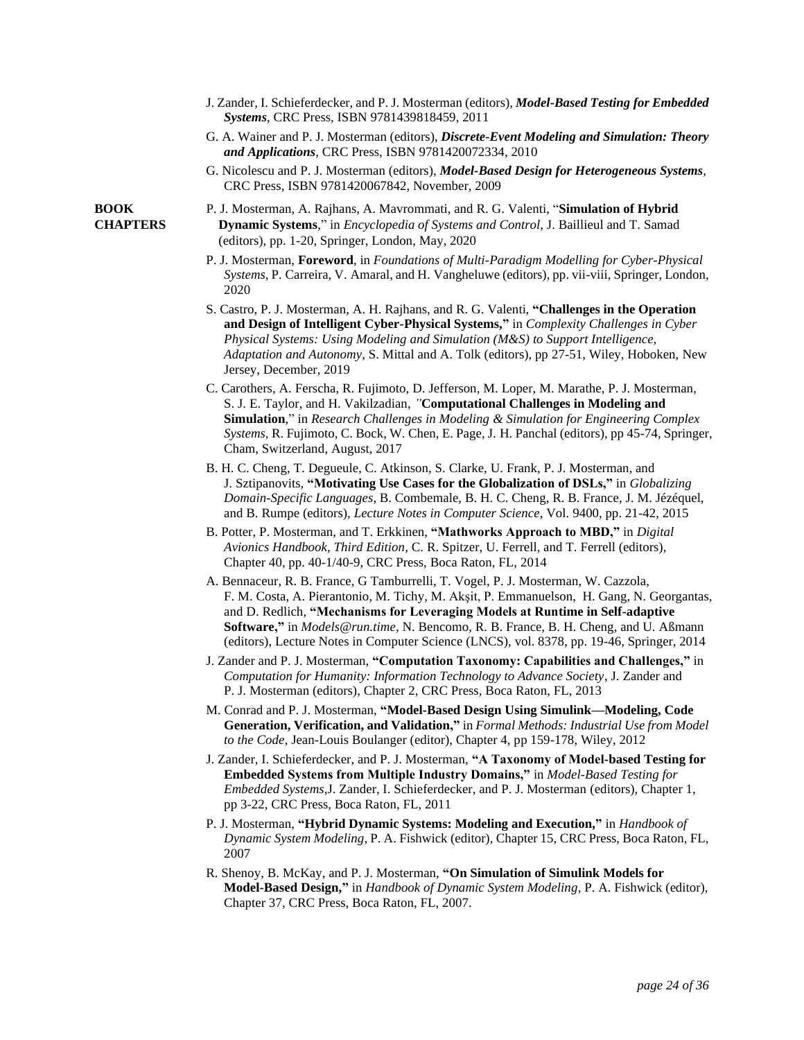- J. Zander, I. Schieferdecker, and P. J. Mosterman (editors), *Model-Based Testing for Embedded Systems*, CRC Press, ISBN 9781439818459, 2011
- G. A. Wainer and P. J. Mosterman (editors), *Discrete-Event Modeling and Simulation: Theory and Applications*, CRC Press*,* ISBN 9781420072334, 2010
- G. Nicolescu and P. J. Mosterman (editors), *Model-Based Design for Heterogeneous Systems,*  CRC Press*,* ISBN 9781420067842, November, 2009
- **BOOK** P. J. Mosterman, A. Rajhans, A. Mavrommati, and R. G. Valenti, "**Simulation of Hybrid CHAPTERS Dynamic Systems**," in *Encyclopedia of Systems and Control*, J. Baillieul and T. Samad (editors), pp. 1-20, Springer, London, May, 2020
	- P. J. Mosterman, **Foreword**, in *Foundations of Multi-Paradigm Modelling for Cyber-Physical Systems*, P. Carreira, V. Amaral, and H. Vangheluwe (editors), pp. vii-viii, Springer, London, 2020
	- S. Castro, P. J. Mosterman, A. H. Rajhans, and R. G. Valenti, **"Challenges in the Operation and Design of Intelligent Cyber-Physical Systems,"** in *Complexity Challenges in Cyber Physical Systems: Using Modeling and Simulation (M&S) to Support Intelligence, Adaptation and Autonomy*, S. Mittal and A. Tolk (editors), pp 27-51, Wiley, Hoboken, New Jersey, December, 2019
	- C. Carothers, A. Ferscha, R. Fujimoto, D. Jefferson, M. Loper, M. Marathe, P. J. Mosterman, S. J. E. Taylor, and H. Vakilzadian, *"***Computational Challenges in Modeling and Simulation**," in *Research Challenges in Modeling & Simulation for Engineering Complex Systems,* R. Fujimoto, C. Bock, W. Chen, E. Page, J. H. Panchal (editors), pp 45-74, Springer, Cham, Switzerland, August, 2017
	- B. H. C. Cheng, T. Degueule, C. Atkinson, S. Clarke, U. Frank, P. J. Mosterman, and J. Sztipanovits, **"Motivating Use Cases for the Globalization of DSLs,"** in *Globalizing Domain-Specific Languages*, B. Combemale, B. H. C. Cheng, R. B. France, J. M. Jézéquel, and B. Rumpe (editors), *Lecture Notes in Computer Science*, Vol. 9400, pp. 21-42, 2015
	- B. Potter, P. Mosterman, and T. Erkkinen, **"Mathworks Approach to MBD,"** in *Digital Avionics Handbook, Third Edition*, C. R. Spitzer, U. Ferrell, and T. Ferrell (editors), Chapter 40, pp. 40-1/40-9, CRC Press, Boca Raton, FL, 2014
	- A. Bennaceur, R. B. France, G Tamburrelli, T. Vogel, P. J. Mosterman, W. Cazzola, F. M. Costa, A. Pierantonio, M. Tichy, M. Akşit, P. Emmanuelson, H. Gang, N. Georgantas, and D. Redlich, **"Mechanisms for Leveraging Models at Runtime in Self-adaptive Software,"** in *Models@run.time*, N. Bencomo, R. B. France, B. H. Cheng, and U. Aßmann (editors), Lecture Notes in Computer Science (LNCS), vol. 8378, pp. 19-46, Springer, 2014
	- J. Zander and P. J. Mosterman, **"Computation Taxonomy: Capabilities and Challenges,"** in *Computation for Humanity: Information Technology to Advance Society*, J. Zander and P. J. Mosterman (editors), Chapter 2, CRC Press, Boca Raton, FL, 2013
	- M. Conrad and P. J. Mosterman, **"Model-Based Design Using Simulink—Modeling, Code Generation, Verification, and Validation,"** in *Formal Methods: Industrial Use from Model to the Code*, Jean-Louis Boulanger (editor), Chapter 4, pp 159-178, Wiley, 2012
	- J. Zander, I. Schieferdecker, and P. J. Mosterman, **"A Taxonomy of Model-based Testing for Embedded Systems from Multiple Industry Domains,"** in *Model-Based Testing for Embedded Systems*,J. Zander, I. Schieferdecker, and P. J. Mosterman (editors), Chapter 1, pp 3-22, CRC Press, Boca Raton, FL, 2011
	- P. J. Mosterman, **"Hybrid Dynamic Systems: Modeling and Execution,"** in *Handbook of Dynamic System Modeling*, P. A. Fishwick (editor), Chapter 15, CRC Press, Boca Raton, FL, 2007
	- R. Shenoy, B. McKay, and P. J. Mosterman, **"On Simulation of Simulink Models for Model-Based Design,"** in *Handbook of Dynamic System Modeling*, P. A. Fishwick (editor), Chapter 37, CRC Press, Boca Raton, FL, 2007.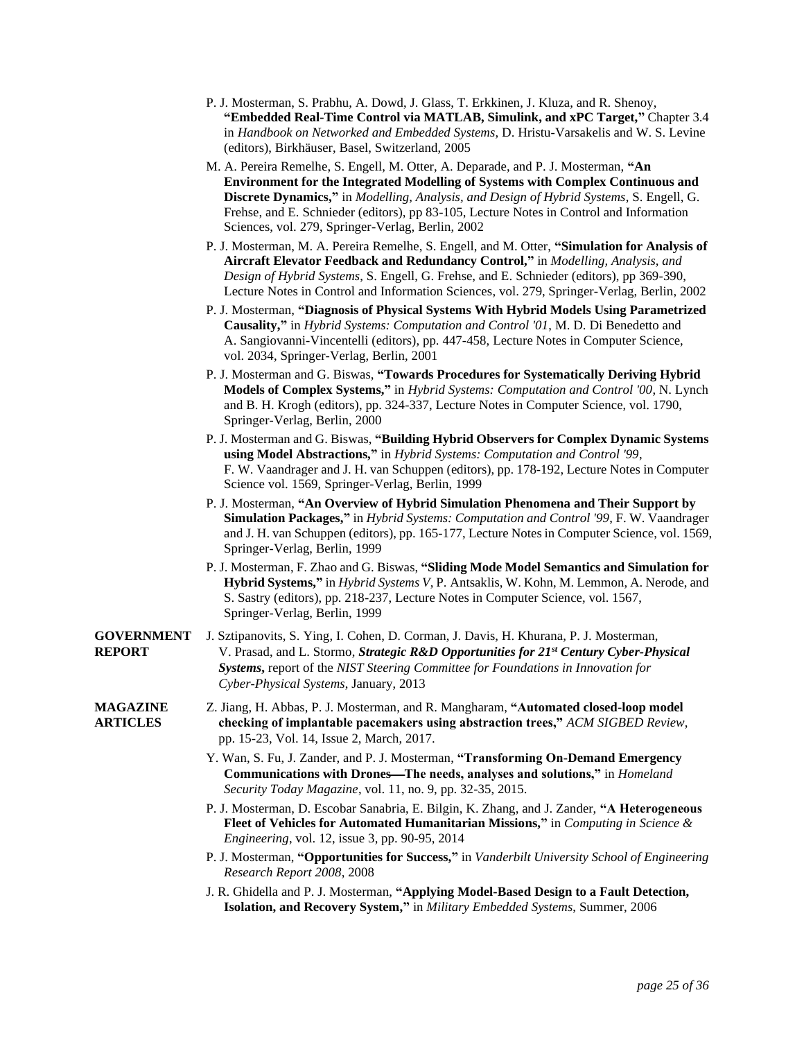- P. J. Mosterman, S. Prabhu, A. Dowd, J. Glass, T. Erkkinen, J. Kluza, and R. Shenoy, **"Embedded Real-Time Control via MATLAB, Simulink, and xPC Target,"** Chapter 3.4 in *Handbook on Networked and Embedded Systems*, D. Hristu-Varsakelis and W. S. Levine (editors), Birkhäuser, Basel, Switzerland, 2005
- M. A. Pereira Remelhe, S. Engell, M. Otter, A. Deparade, and P. J. Mosterman, **"An Environment for the Integrated Modelling of Systems with Complex Continuous and Discrete Dynamics,"** in *Modelling, Analysis, and Design of Hybrid Systems*, S. Engell, G. Frehse, and E. Schnieder (editors), pp 83-105, Lecture Notes in Control and Information Sciences, vol. 279, Springer-Verlag, Berlin, 2002
- P. J. Mosterman, M. A. Pereira Remelhe, S. Engell, and M. Otter, **"Simulation for Analysis of Aircraft Elevator Feedback and Redundancy Control,"** in *Modelling, Analysis, and Design of Hybrid Systems*, S. Engell, G. Frehse, and E. Schnieder (editors), pp 369-390, Lecture Notes in Control and Information Sciences, vol. 279, Springer-Verlag, Berlin, 2002
- P. J. Mosterman, **"Diagnosis of Physical Systems With Hybrid Models Using Parametrized Causality,"** in *Hybrid Systems: Computation and Control '01*, M. D. Di Benedetto and A. Sangiovanni-Vincentelli (editors), pp. 447-458, Lecture Notes in Computer Science, vol. 2034, Springer-Verlag, Berlin, 2001
- P. J. Mosterman and G. Biswas, **"Towards Procedures for Systematically Deriving Hybrid Models of Complex Systems,"** in *Hybrid Systems: Computation and Control '00*, N. Lynch and B. H. Krogh (editors), pp. 324-337, Lecture Notes in Computer Science, vol. 1790, Springer-Verlag, Berlin, 2000
- P. J. Mosterman and G. Biswas, **"Building Hybrid Observers for Complex Dynamic Systems using Model Abstractions,"** in *Hybrid Systems: Computation and Control '99*, F. W. Vaandrager and J. H. van Schuppen (editors), pp. 178-192, Lecture Notes in Computer Science vol. 1569, Springer-Verlag, Berlin, 1999
- P. J. Mosterman, **"An Overview of Hybrid Simulation Phenomena and Their Support by Simulation Packages,"** in *Hybrid Systems: Computation and Control '99*, F. W. Vaandrager and J. H. van Schuppen (editors), pp. 165-177, Lecture Notes in Computer Science, vol. 1569, Springer-Verlag, Berlin, 1999
- P. J. Mosterman, F. Zhao and G. Biswas, **"Sliding Mode Model Semantics and Simulation for Hybrid Systems,"** in *Hybrid Systems V*, P. Antsaklis, W. Kohn, M. Lemmon, A. Nerode, and S. Sastry (editors), pp. 218-237, Lecture Notes in Computer Science, vol. 1567, Springer-Verlag, Berlin, 1999
- **GOVERNMENT** J. Sztipanovits, S. Ying, I. Cohen, D. Corman, J. Davis, H. Khurana, P. J. Mosterman, **REPORT** V. Prasad, and L. Stormo, *Strategic R&D Opportunities for 21st Century Cyber-Physical Systems***,** report of the *NIST Steering Committee for Foundations in Innovation for Cyber-Physical Systems*, January, 2013
- **MAGAZINE** Z. Jiang, H. Abbas, P. J. Mosterman, and R. Mangharam, **"Automated closed-loop model ARTICLES checking of implantable pacemakers using abstraction trees,"** *ACM SIGBED Review*, pp. 15-23, Vol. 14, Issue 2, March, 2017.
	- Y. Wan, S. Fu, J. Zander, and P. J. Mosterman, **"Transforming On-Demand Emergency Communications with Drones—The needs, analyses and solutions,"** in *Homeland Security Today Magazine*, vol. 11, no. 9, pp. 32-35, 2015.
	- P. J. Mosterman, D. Escobar Sanabria, E. Bilgin, K. Zhang, and J. Zander, **"A Heterogeneous Fleet of Vehicles for Automated Humanitarian Missions,"** in *Computing in Science & Engineering*, vol. 12, issue 3, pp. 90-95, 2014
	- P. J. Mosterman, **"Opportunities for Success,"** in *Vanderbilt University School of Engineering Research Report 2008*, 2008
	- J. R. Ghidella and P. J. Mosterman, **"Applying Model-Based Design to a Fault Detection, Isolation, and Recovery System,"** in *Military Embedded Systems*, Summer, 2006
		- *page 25 of 36*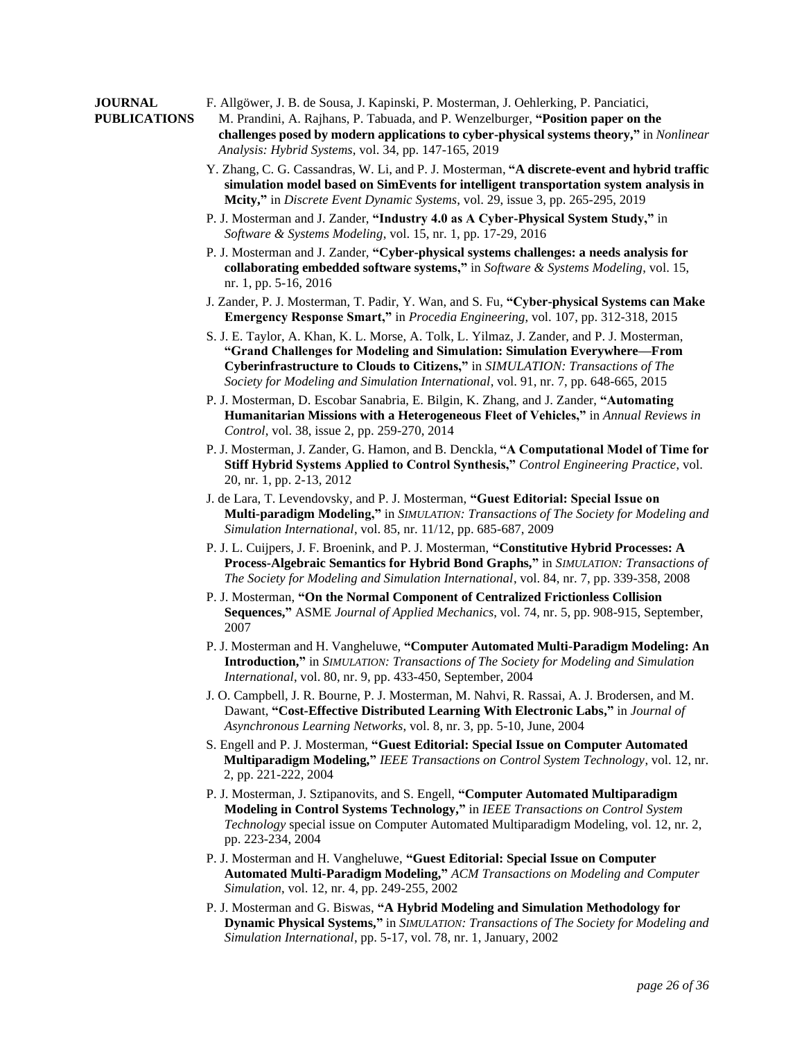#### **JOURNAL** F. Allgöwer, J. B. de Sousa, J. Kapinski, P. Mosterman, J. Oehlerking, P. Panciatici,

- **PUBLICATIONS** M. Prandini, A. Rajhans, P. Tabuada, and P. Wenzelburger, **"Position paper on the challenges posed by modern applications to cyber-physical systems theory,"** in *Nonlinear Analysis: Hybrid Systems*, vol. 34, pp. 147-165, 2019
	- Y. Zhang, C. G. Cassandras, W. Li, and P. J. Mosterman, **"A discrete-event and hybrid traffic simulation model based on SimEvents for intelligent transportation system analysis in Mcity,"** in *Discrete Event Dynamic Systems*, vol. 29, issue 3, pp. 265-295, 2019
	- P. J. Mosterman and J. Zander, **"Industry 4.0 as A Cyber-Physical System Study,"** in *Software & Systems Modeling*, vol. 15, nr. 1, pp. 17-29, 2016
	- P. J. Mosterman and J. Zander, **"Cyber-physical systems challenges: a needs analysis for collaborating embedded software systems,"** in *Software & Systems Modeling*, vol. 15, nr. 1, pp. 5-16, 2016
	- J. Zander, P. J. Mosterman, T. Padir, Y. Wan, and S. Fu, **"Cyber-physical Systems can Make Emergency Response Smart,"** in *Procedia Engineering*, vol. 107, pp. 312-318, 2015
	- S. J. E. Taylor, A. Khan, K. L. Morse, A. Tolk, L. Yilmaz, J. Zander, and P. J. Mosterman, **"Grand Challenges for Modeling and Simulation: Simulation Everywhere—From Cyberinfrastructure to Clouds to Citizens,"** in *SIMULATION: Transactions of The Society for Modeling and Simulation International*, vol. 91, nr. 7, pp. 648-665, 2015
	- P. J. Mosterman, D. Escobar Sanabria, E. Bilgin, K. Zhang, and J. Zander, **"Automating Humanitarian Missions with a Heterogeneous Fleet of Vehicles,"** in *Annual Reviews in Control*, vol. 38, issue 2, pp. 259-270, 2014
	- P. J. Mosterman, J. Zander, G. Hamon, and B. Denckla, **"A Computational Model of Time for Stiff Hybrid Systems Applied to Control Synthesis,"** *Control Engineering Practice*, vol. 20, nr. 1, pp. 2-13, 2012
	- J. de Lara, T. Levendovsky, and P. J. Mosterman, **"Guest Editorial: Special Issue on Multi-paradigm Modeling,"** in *SIMULATION: Transactions of The Society for Modeling and Simulation International*, vol. 85, nr. 11/12, pp. 685-687, 2009
	- P. J. L. Cuijpers, J. F. Broenink, and P. J. Mosterman, **"Constitutive Hybrid Processes: A Process-Algebraic Semantics for Hybrid Bond Graphs,"** in *SIMULATION: Transactions of The Society for Modeling and Simulation International*, vol. 84, nr. 7, pp. 339-358, 2008
	- P. J. Mosterman, **"On the Normal Component of Centralized Frictionless Collision Sequences,"** ASME *Journal of Applied Mechanics*, vol. 74, nr. 5, pp. 908-915, September, 2007
	- P. J. Mosterman and H. Vangheluwe, **"Computer Automated Multi-Paradigm Modeling: An Introduction,"** in *SIMULATION: Transactions of The Society for Modeling and Simulation International*, vol. 80, nr. 9, pp. 433-450, September, 2004
	- J. O. Campbell, J. R. Bourne, P. J. Mosterman, M. Nahvi, R. Rassai, A. J. Brodersen, and M. Dawant, **"Cost-Effective Distributed Learning With Electronic Labs,"** in *Journal of Asynchronous Learning Networks*, vol. 8, nr. 3, pp. 5-10, June, 2004
	- S. Engell and P. J. Mosterman, **"Guest Editorial: Special Issue on Computer Automated Multiparadigm Modeling,"** *IEEE Transactions on Control System Technology*, vol. 12, nr. 2, pp. 221-222, 2004
	- P. J. Mosterman, J. Sztipanovits, and S. Engell, **"Computer Automated Multiparadigm Modeling in Control Systems Technology,"** in *IEEE Transactions on Control System Technology* special issue on Computer Automated Multiparadigm Modeling, vol. 12, nr. 2, pp. 223-234, 2004
	- P. J. Mosterman and H. Vangheluwe, **"Guest Editorial: Special Issue on Computer Automated Multi-Paradigm Modeling,"** *ACM Transactions on Modeling and Computer Simulation*, vol. 12, nr. 4, pp. 249-255, 2002
	- P. J. Mosterman and G. Biswas, **"A Hybrid Modeling and Simulation Methodology for Dynamic Physical Systems,"** in *SIMULATION: Transactions of The Society for Modeling and Simulation International*, pp. 5-17, vol. 78, nr. 1, January, 2002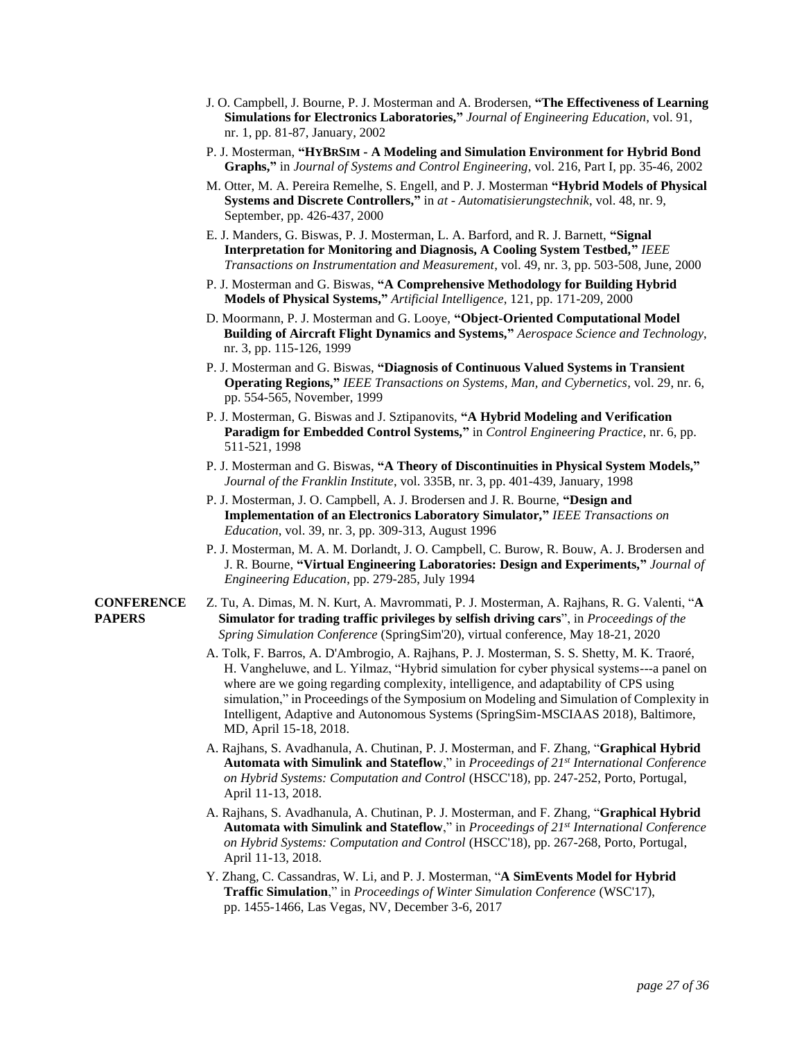- J. O. Campbell, J. Bourne, P. J. Mosterman and A. Brodersen, **"The Effectiveness of Learning Simulations for Electronics Laboratories,"** *Journal of Engineering Education*, vol. 91, nr. 1, pp. 81-87, January, 2002
- P. J. Mosterman, **"HYBRSIM - A Modeling and Simulation Environment for Hybrid Bond Graphs,"** in *Journal of Systems and Control Engineering*, vol. 216, Part I, pp. 35-46, 2002
- M. Otter, M. A. Pereira Remelhe, S. Engell, and P. J. Mosterman **"Hybrid Models of Physical Systems and Discrete Controllers,"** in *at - Automatisierungstechnik*, vol. 48, nr. 9, September, pp. 426-437, 2000
- E. J. Manders, G. Biswas, P. J. Mosterman, L. A. Barford, and R. J. Barnett, **"Signal Interpretation for Monitoring and Diagnosis, A Cooling System Testbed,"** *IEEE Transactions on Instrumentation and Measurement*, vol. 49, nr. 3, pp. 503-508, June, 2000
- P. J. Mosterman and G. Biswas, **"A Comprehensive Methodology for Building Hybrid Models of Physical Systems,"** *Artificial Intelligence*, 121, pp. 171-209, 2000
- D. Moormann, P. J. Mosterman and G. Looye, **"Object-Oriented Computational Model Building of Aircraft Flight Dynamics and Systems,"** *Aerospace Science and Technology*, nr. 3, pp. 115-126, 1999
- P. J. Mosterman and G. Biswas, **"Diagnosis of Continuous Valued Systems in Transient Operating Regions,"** *IEEE Transactions on Systems, Man, and Cybernetics*, vol. 29, nr. 6, pp. 554-565, November, 1999
- P. J. Mosterman, G. Biswas and J. Sztipanovits, **"A Hybrid Modeling and Verification Paradigm for Embedded Control Systems,"** in *Control Engineering Practice*, nr. 6, pp. 511-521, 1998
- P. J. Mosterman and G. Biswas, **"A Theory of Discontinuities in Physical System Models,"** *Journal of the Franklin Institute*, vol. 335B, nr. 3, pp. 401-439, January, 1998
- P. J. Mosterman, J. O. Campbell, A. J. Brodersen and J. R. Bourne, **"Design and Implementation of an Electronics Laboratory Simulator,"** *IEEE Transactions on Education*, vol. 39, nr. 3, pp. 309-313, August 1996
- P. J. Mosterman, M. A. M. Dorlandt, J. O. Campbell, C. Burow, R. Bouw, A. J. Brodersen and J. R. Bourne, **"Virtual Engineering Laboratories: Design and Experiments,"** *Journal of Engineering Education*, pp. 279-285, July 1994
- **CONFERENCE** Z. Tu, A. Dimas, M. N. Kurt, A. Mavrommati, P. J. Mosterman, A. Rajhans, R. G. Valenti, "**A PAPERS Simulator for trading traffic privileges by selfish driving cars**", in *Proceedings of the Spring Simulation Conference* (SpringSim'20), virtual conference, May 18-21, 2020
	- A. Tolk, F. Barros, A. D'Ambrogio, A. Rajhans, P. J. Mosterman, S. S. Shetty, M. K. Traoré, H. Vangheluwe, and L. Yilmaz, "Hybrid simulation for cyber physical systems---a panel on where are we going regarding complexity, intelligence, and adaptability of CPS using simulation," in Proceedings of the Symposium on Modeling and Simulation of Complexity in Intelligent, Adaptive and Autonomous Systems (SpringSim-MSCIAAS 2018), Baltimore, MD, April 15-18, 2018.
	- A. Rajhans, S. Avadhanula, A. Chutinan, P. J. Mosterman, and F. Zhang, "**Graphical Hybrid Automata with Simulink and Stateflow**," in *Proceedings of 21st International Conference on Hybrid Systems: Computation and Control* (HSCC'18), pp. 247-252, Porto, Portugal, April 11-13, 2018.
	- A. Rajhans, S. Avadhanula, A. Chutinan, P. J. Mosterman, and F. Zhang, "**Graphical Hybrid Automata with Simulink and Stateflow**," in *Proceedings of 21st International Conference on Hybrid Systems: Computation and Control* (HSCC'18), pp. 267-268, Porto, Portugal, April 11-13, 2018.
	- Y. Zhang, C. Cassandras, W. Li, and P. J. Mosterman, "**A SimEvents Model for Hybrid Traffic Simulation**," in *Proceedings of Winter Simulation Conference* (WSC'17), pp. 1455-1466, Las Vegas, NV, December 3-6, 2017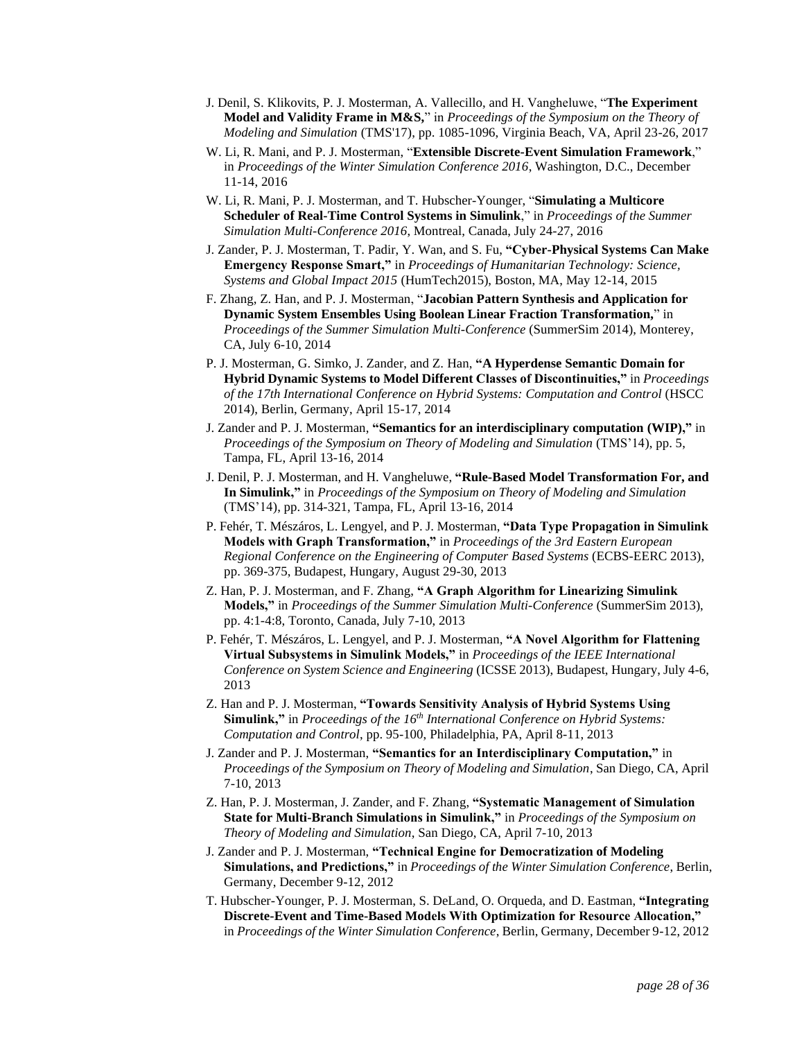- J. Denil, S. Klikovits, P. J. Mosterman, A. Vallecillo, and H. Vangheluwe, "**The Experiment Model and Validity Frame in M&S,**" in *Proceedings of the Symposium on the Theory of Modeling and Simulation* (TMS'17), pp. 1085-1096, Virginia Beach, VA, April 23-26, 2017
- W. Li, R. Mani, and P. J. Mosterman, "**Extensible Discrete-Event Simulation Framework**," in *Proceedings of the Winter Simulation Conference 2016*, Washington, D.C., December 11-14, 2016
- W. Li, R. Mani, P. J. Mosterman, and T. Hubscher-Younger, "**Simulating a Multicore Scheduler of Real-Time Control Systems in Simulink**," in *Proceedings of the Summer Simulation Multi-Conference 2016*, Montreal, Canada, July 24-27, 2016
- J. Zander, P. J. Mosterman, T. Padir, Y. Wan, and S. Fu, **"Cyber-Physical Systems Can Make Emergency Response Smart,"** in *Proceedings of Humanitarian Technology: Science, Systems and Global Impact 2015* (HumTech2015), Boston, MA, May 12-14, 2015
- F. Zhang, Z. Han, and P. J. Mosterman, "**Jacobian Pattern Synthesis and Application for Dynamic System Ensembles Using Boolean Linear Fraction Transformation,**" in *Proceedings of the Summer Simulation Multi-Conference* (SummerSim 2014), Monterey, CA, July 6-10, 2014
- P. J. Mosterman, G. Simko, J. Zander, and Z. Han, **"A Hyperdense Semantic Domain for Hybrid Dynamic Systems to Model Different Classes of Discontinuities,"** in *Proceedings of the 17th International Conference on Hybrid Systems: Computation and Control* (HSCC 2014), Berlin, Germany, April 15-17, 2014
- J. Zander and P. J. Mosterman, **"Semantics for an interdisciplinary computation (WIP),"** in *Proceedings of the Symposium on Theory of Modeling and Simulation* (TMS'14), pp. 5, Tampa, FL, April 13-16, 2014
- J. Denil, P. J. Mosterman, and H. Vangheluwe, **"Rule-Based Model Transformation For, and In Simulink,"** in *Proceedings of the Symposium on Theory of Modeling and Simulation* (TMS'14), pp. 314-321, Tampa, FL, April 13-16, 2014
- P. Fehér, T. Mészáros, L. Lengyel, and P. J. Mosterman, **"Data Type Propagation in Simulink Models with Graph Transformation,"** in *Proceedings of the 3rd Eastern European Regional Conference on the Engineering of Computer Based Systems* (ECBS-EERC 2013), pp. 369-375, Budapest, Hungary, August 29-30, 2013
- Z. Han, P. J. Mosterman, and F. Zhang, **"A Graph Algorithm for Linearizing Simulink Models,"** in *Proceedings of the Summer Simulation Multi-Conference* (SummerSim 2013), pp. 4:1-4:8, Toronto, Canada, July 7-10, 2013
- P. Fehér, T. Mészáros, L. Lengyel, and P. J. Mosterman, **"A Novel Algorithm for Flattening Virtual Subsystems in Simulink Models,"** in *Proceedings of the IEEE International Conference on System Science and Engineering* (ICSSE 2013), Budapest, Hungary, July 4-6, 2013
- Z. Han and P. J. Mosterman, **"Towards Sensitivity Analysis of Hybrid Systems Using Simulink,"** in *Proceedings of the 16th International Conference on Hybrid Systems: Computation and Control*, pp. 95-100, Philadelphia, PA, April 8-11, 2013
- J. Zander and P. J. Mosterman, **"Semantics for an Interdisciplinary Computation,"** in *Proceedings of the Symposium on Theory of Modeling and Simulation*, San Diego, CA, April 7-10, 2013
- Z. Han, P. J. Mosterman, J. Zander, and F. Zhang, **"Systematic Management of Simulation State for Multi-Branch Simulations in Simulink,"** in *Proceedings of the Symposium on Theory of Modeling and Simulation*, San Diego, CA, April 7-10, 2013
- J. Zander and P. J. Mosterman, **"Technical Engine for Democratization of Modeling Simulations, and Predictions,"** in *Proceedings of the Winter Simulation Conference*, Berlin, Germany, December 9-12, 2012
- T. Hubscher-Younger, P. J. Mosterman, S. DeLand, O. Orqueda, and D. Eastman, **"Integrating Discrete-Event and Time-Based Models With Optimization for Resource Allocation,"** in *Proceedings of the Winter Simulation Conference*, Berlin, Germany, December 9-12, 2012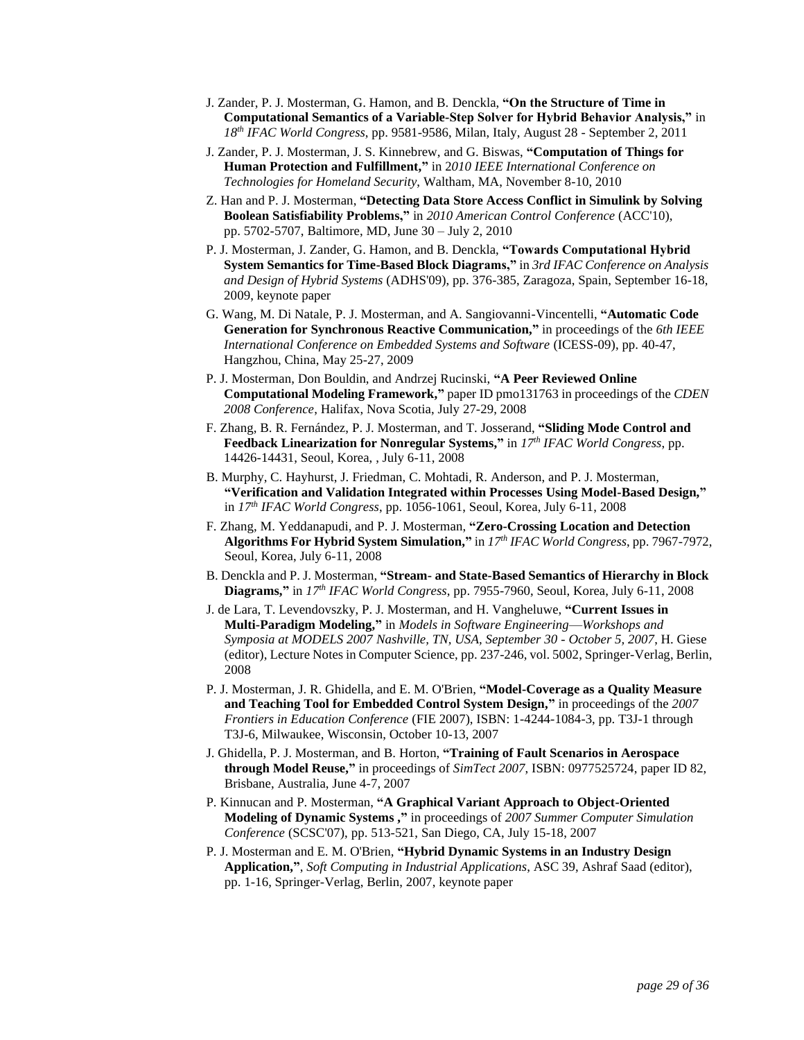- J. Zander, P. J. Mosterman, G. Hamon, and B. Denckla, **"On the Structure of Time in Computational Semantics of a Variable-Step Solver for Hybrid Behavior Analysis,"** in *18th IFAC World Congress*, pp. 9581-9586, Milan, Italy, August 28 - September 2, 2011
- J. Zander, P. J. Mosterman, J. S. Kinnebrew, and G. Biswas, **"Computation of Things for Human Protection and Fulfillment,"** in 2*010 IEEE International Conference on Technologies for Homeland Security*, Waltham, MA, November 8-10, 2010
- Z. Han and P. J. Mosterman, **"Detecting Data Store Access Conflict in Simulink by Solving Boolean Satisfiability Problems,"** in *2010 American Control Conference* (ACC'10), pp. 5702-5707, Baltimore, MD, June 30 – July 2, 2010
- P. J. Mosterman, J. Zander, G. Hamon, and B. Denckla, **"Towards Computational Hybrid System Semantics for Time-Based Block Diagrams,"** in *3rd IFAC Conference on Analysis and Design of Hybrid Systems* (ADHS'09), pp. 376-385, Zaragoza, Spain, September 16-18, 2009, keynote paper
- G. Wang, M. Di Natale, P. J. Mosterman, and A. Sangiovanni-Vincentelli, **"Automatic Code Generation for Synchronous Reactive Communication,"** in proceedings of the *6th IEEE International Conference on Embedded Systems and Software* (ICESS-09), pp. 40-47, Hangzhou, China, May 25-27, 2009
- P. J. Mosterman, Don Bouldin, and Andrzej Rucinski, **"A Peer Reviewed Online Computational Modeling Framework,"** paper ID pmo131763 in proceedings of the *CDEN 2008 Conference*, Halifax, Nova Scotia, July 27-29, 2008
- F. Zhang, B. R. Fernández, P. J. Mosterman, and T. Josserand, **"Sliding Mode Control and Feedback Linearization for Nonregular Systems,"** in *17th IFAC World Congress*, pp. 14426-14431, Seoul, Korea, , July 6-11, 2008
- B. Murphy, C. Hayhurst, J. Friedman, C. Mohtadi, R. Anderson, and P. J. Mosterman, **"Verification and Validation Integrated within Processes Using Model-Based Design,"** in *17th IFAC World Congress*, pp. 1056-1061, Seoul, Korea, July 6-11, 2008
- F. Zhang, M. Yeddanapudi, and P. J. Mosterman, **"Zero-Crossing Location and Detection Algorithms For Hybrid System Simulation,"** in *17th IFAC World Congress*, pp. 7967-7972, Seoul, Korea, July 6-11, 2008
- B. Denckla and P. J. Mosterman, **"Stream- and State-Based Semantics of Hierarchy in Block Diagrams,"** in *17th IFAC World Congress*, pp. 7955-7960, Seoul, Korea, July 6-11, 2008
- J. de Lara, T. Levendovszky, P. J. Mosterman, and H. Vangheluwe, **"Current Issues in Multi-Paradigm Modeling,"** in *Models in Software Engineering*—*Workshops and Symposia at MODELS 2007 Nashville, TN, USA, September 30 - October 5, 2007*, H. Giese (editor), Lecture Notes in Computer Science, pp. 237-246, vol. 5002, Springer-Verlag, Berlin, 2008
- P. J. Mosterman, J. R. Ghidella, and E. M. O'Brien, **"Model-Coverage as a Quality Measure and Teaching Tool for Embedded Control System Design,"** in proceedings of the *2007 Frontiers in Education Conference* (FIE 2007), ISBN: 1-4244-1084-3, pp. T3J-1 through T3J-6, Milwaukee, Wisconsin, October 10-13, 2007
- J. Ghidella, P. J. Mosterman, and B. Horton, **"Training of Fault Scenarios in Aerospace through Model Reuse,"** in proceedings of *SimTect 2007*, ISBN: 0977525724, paper ID 82, Brisbane, Australia, June 4-7, 2007
- P. Kinnucan and P. Mosterman, **"A Graphical Variant Approach to Object-Oriented Modeling of Dynamic Systems ,"** in proceedings of *2007 Summer Computer Simulation Conference* (SCSC'07), pp. 513-521, San Diego, CA, July 15-18, 2007
- P. J. Mosterman and E. M. O'Brien, **"Hybrid Dynamic Systems in an Industry Design Application,"**, *Soft Computing in Industrial Applications*, ASC 39, Ashraf Saad (editor), pp. 1-16, Springer-Verlag, Berlin, 2007, keynote paper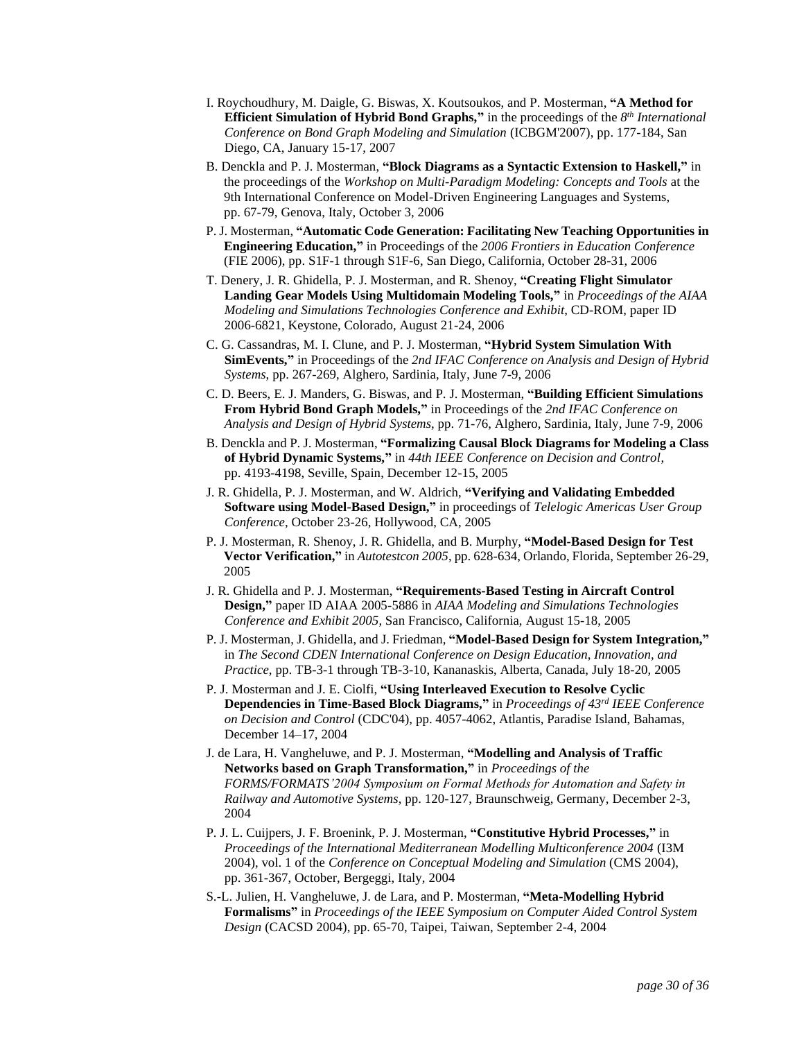- I. Roychoudhury, M. Daigle, G. Biswas, X. Koutsoukos, and P. Mosterman, **"A Method for Efficient Simulation of Hybrid Bond Graphs,"** in the proceedings of the  $8<sup>th</sup> International$ *Conference on Bond Graph Modeling and Simulation* (ICBGM'2007), pp. 177-184, San Diego, CA, January 15-17, 2007
- B. Denckla and P. J. Mosterman, **"Block Diagrams as a Syntactic Extension to Haskell,"** in the proceedings of the *Workshop on Multi-Paradigm Modeling: Concepts and Tools* at the 9th International Conference on Model-Driven Engineering Languages and Systems, pp. 67-79, Genova, Italy, October 3, 2006
- P. J. Mosterman, **"Automatic Code Generation: Facilitating New Teaching Opportunities in Engineering Education,"** in Proceedings of the *2006 Frontiers in Education Conference* (FIE 2006), pp. S1F-1 through S1F-6, San Diego, California, October 28-31, 2006
- T. Denery, J. R. Ghidella, P. J. Mosterman, and R. Shenoy, **"Creating Flight Simulator Landing Gear Models Using Multidomain Modeling Tools,"** in *Proceedings of the AIAA Modeling and Simulations Technologies Conference and Exhibit*, CD-ROM, paper ID 2006-6821, Keystone, Colorado, August 21-24, 2006
- C. G. Cassandras, M. I. Clune, and P. J. Mosterman, **"Hybrid System Simulation With SimEvents,"** in Proceedings of the *2nd IFAC Conference on Analysis and Design of Hybrid Systems*, pp. 267-269, Alghero, Sardinia, Italy, June 7-9, 2006
- C. D. Beers, E. J. Manders, G. Biswas, and P. J. Mosterman, **"Building Efficient Simulations From Hybrid Bond Graph Models,"** in Proceedings of the *2nd IFAC Conference on Analysis and Design of Hybrid Systems*, pp. 71-76, Alghero, Sardinia, Italy, June 7-9, 2006
- B. Denckla and P. J. Mosterman, **"Formalizing Causal Block Diagrams for Modeling a Class of Hybrid Dynamic Systems,"** in *44th IEEE Conference on Decision and Control*, pp. 4193-4198, Seville, Spain, December 12-15, 2005
- J. R. Ghidella, P. J. Mosterman, and W. Aldrich, **"Verifying and Validating Embedded Software using Model-Based Design,"** in proceedings of *Telelogic Americas User Group Conference*, October 23-26, Hollywood, CA, 2005
- P. J. Mosterman, R. Shenoy, J. R. Ghidella, and B. Murphy, **"Model-Based Design for Test Vector Verification,"** in *[Autotestcon 2005](http://www.autotestcon.com/2005/Program.PDF/)*, pp. 628-634, Orlando, Florida, September 26-29, 2005
- J. R. Ghidella and P. J. Mosterman, **"Requirements-Based Testing in Aircraft Control Design,"** paper ID AIAA 2005-5886 in *AIAA Modeling and Simulations Technologies Conference and Exhibit 2005*, San Francisco, California, August 15-18, 2005
- P. J. Mosterman, J. Ghidella, and J. Friedman, **"Model-Based Design for System Integration,"** in *The Second CDEN International Conference on Design Education, Innovation, and Practice*, pp. TB-3-1 through TB-3-10, Kananaskis, Alberta, Canada, July 18-20, 2005
- P. J. Mosterman and J. E. Ciolfi, **"Using Interleaved Execution to Resolve Cyclic Dependencies in Time-Based Block Diagrams,"** in *Proceedings of 43rd IEEE Conference on Decision and Control* (CDC'04), pp. 4057-4062, Atlantis, Paradise Island, Bahamas, December 14–17, 2004
- J. de Lara, H. Vangheluwe, and P. J. Mosterman, **"Modelling and Analysis of Traffic Networks based on Graph Transformation,"** in *Proceedings of the FORMS/FORMATS'2004 Symposium on Formal Methods for Automation and Safety in Railway and Automotive Systems*, pp. 120-127, Braunschweig, Germany, December 2-3, 2004
- P. J. L. Cuijpers, J. F. Broenink, P. J. Mosterman, **"Constitutive Hybrid Processes,"** in *Proceedings of the International Mediterranean Modelling Multiconference 2004* (I3M 2004), vol. 1 of the *Conference on Conceptual Modeling and Simulation* (CMS 2004), pp. 361-367, October, Bergeggi, Italy, 2004
- S.-L. Julien, H. Vangheluwe, J. de Lara, and P. Mosterman, **"Meta-Modelling Hybrid Formalisms"** in *Proceedings of the IEEE Symposium on Computer Aided Control System Design* (CACSD 2004), pp. 65-70, Taipei, Taiwan, September 2-4, 2004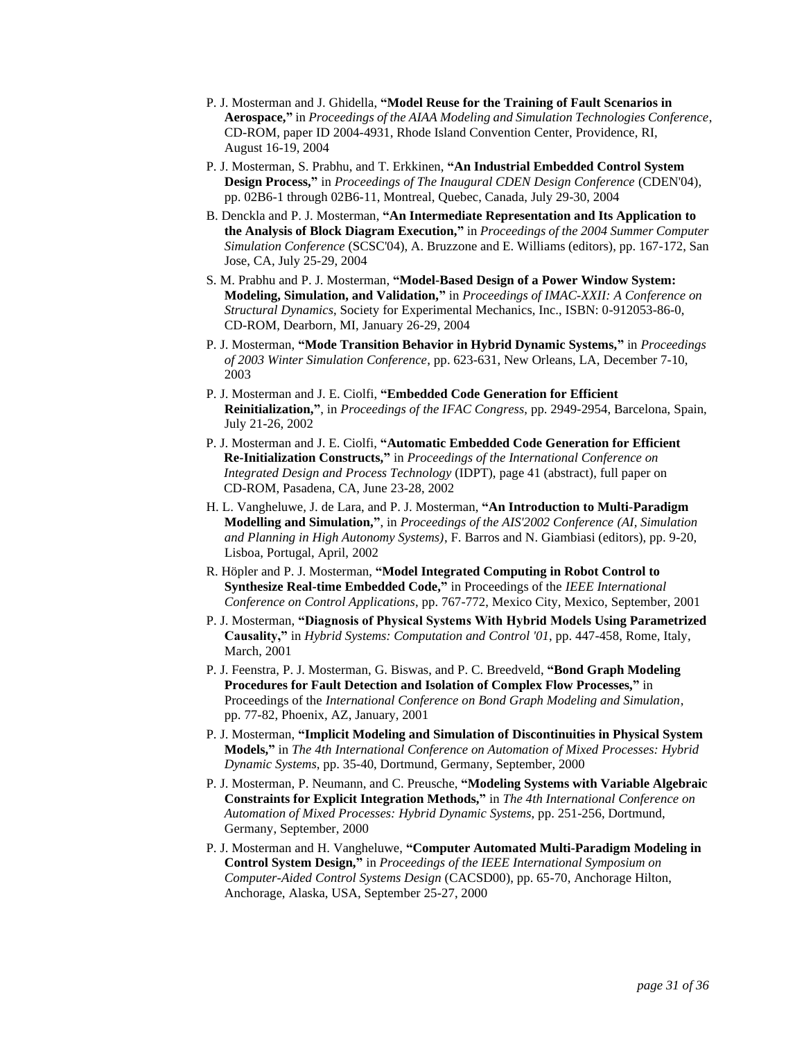- P. J. Mosterman and J. Ghidella, **"Model Reuse for the Training of Fault Scenarios in Aerospace,"** in *Proceedings of the AIAA Modeling and Simulation Technologies Conference*, CD-ROM, paper ID 2004-4931, Rhode Island Convention Center, Providence, RI, August 16-19, 2004
- P. J. Mosterman, S. Prabhu, and T. Erkkinen, **"An Industrial Embedded Control System Design Process,"** in *Proceedings of The Inaugural CDEN Design Conference* (CDEN'04), pp. 02B6-1 through 02B6-11, Montreal, Quebec, Canada, July 29-30, 2004
- B. Denckla and P. J. Mosterman, **"An Intermediate Representation and Its Application to the Analysis of Block Diagram Execution,"** in *Proceedings of the 2004 Summer Computer Simulation Conference* (SCSC'04), A. Bruzzone and E. Williams (editors), pp. 167-172, San Jose, CA, July 25-29, 2004
- S. M. Prabhu and P. J. Mosterman, **"Model-Based Design of a Power Window System: Modeling, Simulation, and Validation,"** in *Proceedings of IMAC-XXII: A Conference on Structural Dynamics*, Society for Experimental Mechanics, Inc., ISBN: 0-912053-86-0, CD-ROM, Dearborn, MI, January 26-29, 2004
- P. J. Mosterman, **"Mode Transition Behavior in Hybrid Dynamic Systems,"** in *Proceedings of 2003 Winter Simulation Conference*, pp. 623-631, New Orleans, LA, December 7-10, 2003
- P. J. Mosterman and J. E. Ciolfi, **"Embedded Code Generation for Efficient Reinitialization,"**, in *Proceedings of the IFAC Congress*, pp. 2949-2954, Barcelona, Spain, July 21-26, 2002
- P. J. Mosterman and J. E. Ciolfi, **"Automatic Embedded Code Generation for Efficient Re-Initialization Constructs,"** in *Proceedings of the International Conference on Integrated Design and Process Technology* (IDPT), page 41 (abstract), full paper on CD-ROM, Pasadena, CA, June 23-28, 2002
- H. L. Vangheluwe, J. de Lara, and P. J. Mosterman, **"An Introduction to Multi-Paradigm Modelling and Simulation,"**, in *Proceedings of the AIS'2002 Conference (AI, Simulation and Planning in High Autonomy Systems)*, F. Barros and N. Giambiasi (editors), pp. 9-20, Lisboa, Portugal, April, 2002
- R. Höpler and P. J. Mosterman, **"Model Integrated Computing in Robot Control to Synthesize Real-time Embedded Code,"** in Proceedings of the *IEEE International Conference on Control Applications*, pp. 767-772, Mexico City, Mexico, September, 2001
- P. J. Mosterman, **"Diagnosis of Physical Systems With Hybrid Models Using Parametrized Causality,"** in *Hybrid Systems: Computation and Control '01*, pp. 447-458, Rome, Italy, March, 2001
- P. J. Feenstra, P. J. Mosterman, G. Biswas, and P. C. Breedveld, **"Bond Graph Modeling Procedures for Fault Detection and Isolation of Complex Flow Processes,"** in Proceedings of the *International Conference on Bond Graph Modeling and Simulation*, pp. 77-82, Phoenix, AZ, January, 2001
- P. J. Mosterman, **"Implicit Modeling and Simulation of Discontinuities in Physical System Models,"** in *The 4th International Conference on Automation of Mixed Processes: Hybrid Dynamic Systems*, pp. 35-40, Dortmund, Germany, September, 2000
- P. J. Mosterman, P. Neumann, and C. Preusche, **"Modeling Systems with Variable Algebraic Constraints for Explicit Integration Methods,"** in *The 4th International Conference on Automation of Mixed Processes: Hybrid Dynamic Systems*, pp. 251-256, Dortmund, Germany, September, 2000
- P. J. Mosterman and H. Vangheluwe, **"Computer Automated Multi-Paradigm Modeling in Control System Design,"** in *Proceedings of the IEEE International Symposium on Computer-Aided Control Systems Design* (CACSD00), pp. 65-70, Anchorage Hilton, Anchorage, Alaska, USA, September 25-27, 2000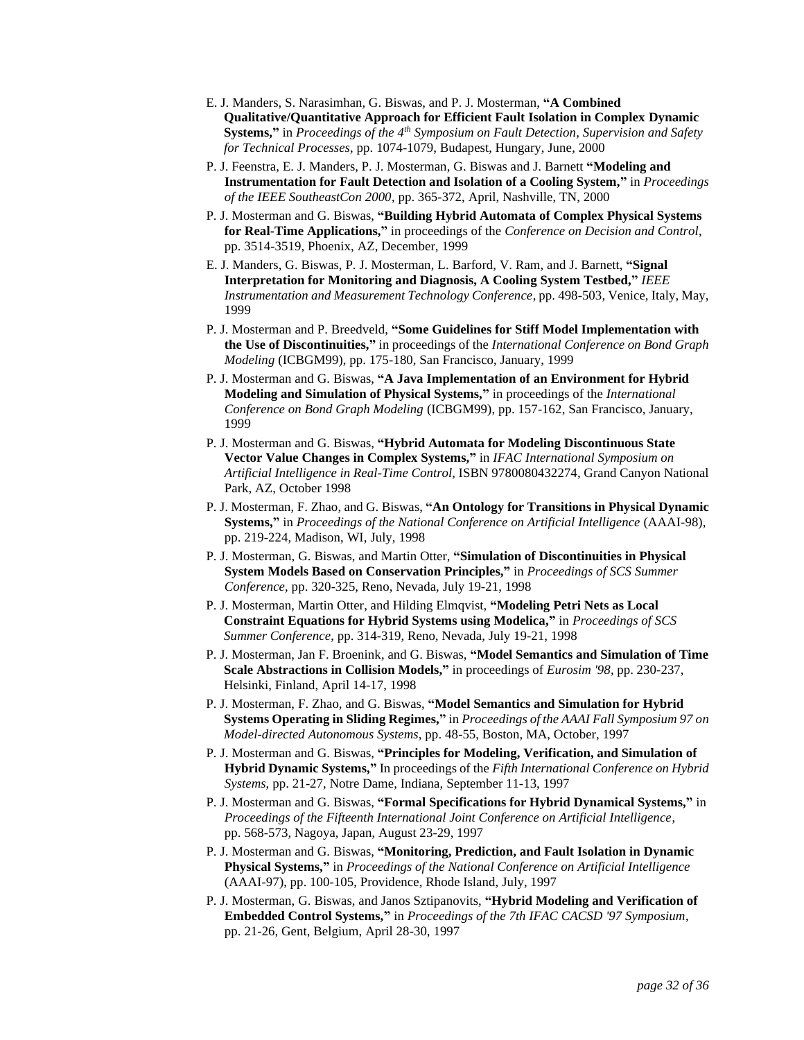- E. J. Manders, S. Narasimhan, G. Biswas, and P. J. Mosterman, **"A Combined Qualitative/Quantitative Approach for Efficient Fault Isolation in Complex Dynamic Systems,"** in *Proceedings of the 4th Symposium on Fault Detection, Supervision and Safety for Technical Processes*, pp. 1074-1079, Budapest, Hungary, June, 2000
- P. J. Feenstra, E. J. Manders, P. J. Mosterman, G. Biswas and J. Barnett **"Modeling and Instrumentation for Fault Detection and Isolation of a Cooling System,"** in *Proceedings of the IEEE SoutheastCon 2000*, pp. 365-372, April, Nashville, TN, 2000
- P. J. Mosterman and G. Biswas, **"Building Hybrid Automata of Complex Physical Systems for Real-Time Applications,"** in proceedings of the *Conference on Decision and Control*, pp. 3514-3519, Phoenix, AZ, December, 1999
- E. J. Manders, G. Biswas, P. J. Mosterman, L. Barford, V. Ram, and J. Barnett, **"Signal Interpretation for Monitoring and Diagnosis, A Cooling System Testbed,"** *IEEE Instrumentation and Measurement Technology Conference*, pp. 498-503, Venice, Italy, May, 1999
- P. J. Mosterman and P. Breedveld, **"Some Guidelines for Stiff Model Implementation with the Use of Discontinuities,"** in proceedings of the *International Conference on Bond Graph Modeling* (ICBGM99), pp. 175-180, San Francisco, January, 1999
- P. J. Mosterman and G. Biswas, **"A Java Implementation of an Environment for Hybrid Modeling and Simulation of Physical Systems,"** in proceedings of the *International Conference on Bond Graph Modeling* (ICBGM99), pp. 157-162, San Francisco, January, 1999
- P. J. Mosterman and G. Biswas, **"Hybrid Automata for Modeling Discontinuous State Vector Value Changes in Complex Systems,"** in *IFAC International Symposium on Artificial Intelligence in Real-Time Control*, ISBN 9780080432274, Grand Canyon National Park, AZ, October 1998
- P. J. Mosterman, F. Zhao, and G. Biswas, **"An Ontology for Transitions in Physical Dynamic Systems,"** in *Proceedings of the National Conference on Artificial Intelligence* (AAAI-98), pp. 219-224, Madison, WI, July, 1998
- P. J. Mosterman, G. Biswas, and Martin Otter, **"Simulation of Discontinuities in Physical System Models Based on Conservation Principles,"** in *Proceedings of SCS Summer Conference*, pp. 320-325, Reno, Nevada, July 19-21, 1998
- P. J. Mosterman, Martin Otter, and Hilding Elmqvist, **"Modeling Petri Nets as Local Constraint Equations for Hybrid Systems using Modelica,"** in *Proceedings of SCS Summer Conference*, pp. 314-319, Reno, Nevada, July 19-21, 1998
- P. J. Mosterman, Jan F. Broenink, and G. Biswas, **"Model Semantics and Simulation of Time Scale Abstractions in Collision Models,"** in proceedings of *Eurosim '98*, pp. 230-237, Helsinki, Finland, April 14-17, 1998
- P. J. Mosterman, F. Zhao, and G. Biswas, **"Model Semantics and Simulation for Hybrid Systems Operating in Sliding Regimes,"** in *Proceedings of the AAAI Fall Symposium 97 on Model-directed Autonomous Systems*, pp. 48-55, Boston, MA, October, 1997
- P. J. Mosterman and G. Biswas, **"Principles for Modeling, Verification, and Simulation of Hybrid Dynamic Systems,"** In proceedings of the *Fifth International Conference on Hybrid Systems*, pp. 21-27, Notre Dame, Indiana, September 11-13, 1997
- P. J. Mosterman and G. Biswas, **"Formal Specifications for Hybrid Dynamical Systems,"** in *Proceedings of the Fifteenth International Joint Conference on Artificial Intelligence*, pp. 568-573, Nagoya, Japan, August 23-29, 1997
- P. J. Mosterman and G. Biswas, **"Monitoring, Prediction, and Fault Isolation in Dynamic Physical Systems,"** in *Proceedings of the National Conference on Artificial Intelligence* (AAAI-97), pp. 100-105, Providence, Rhode Island, July, 1997
- P. J. Mosterman, G. Biswas, and Janos Sztipanovits, **"Hybrid Modeling and Verification of Embedded Control Systems,"** in *Proceedings of the 7th IFAC CACSD '97 Symposium*, pp. 21-26, Gent, Belgium, April 28-30, 1997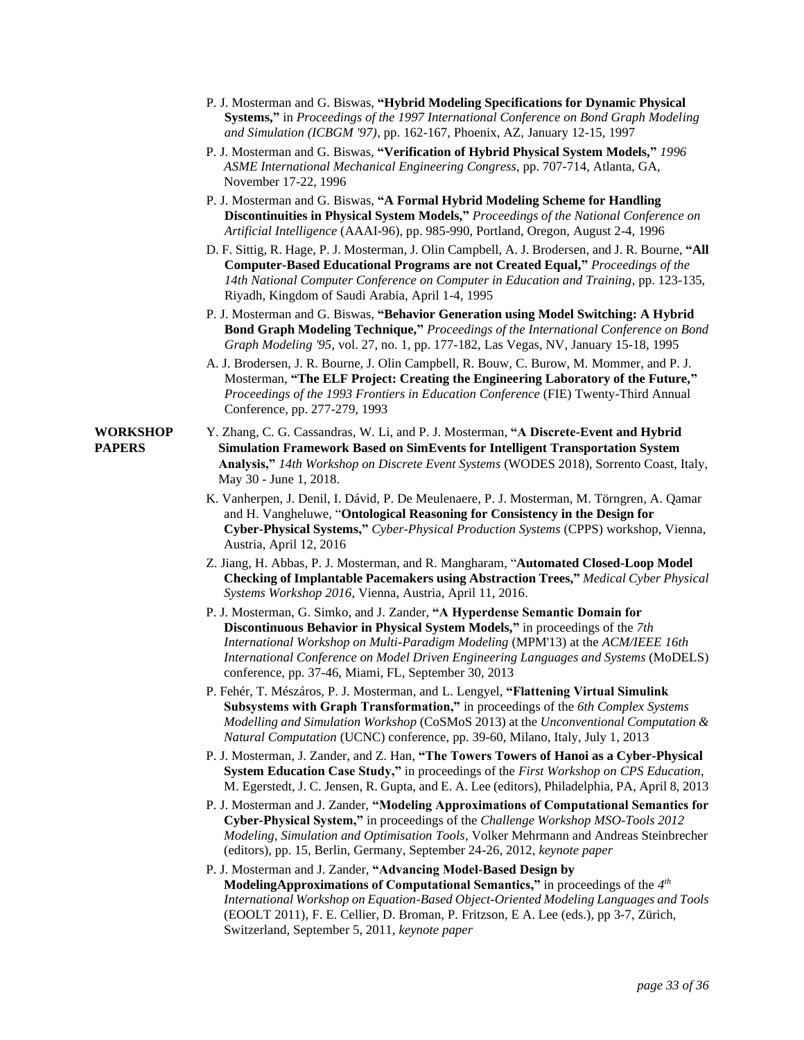- P. J. Mosterman and G. Biswas, **"Hybrid Modeling Specifications for Dynamic Physical Systems,"** in *Proceedings of the 1997 International Conference on Bond Graph Modeling and Simulation (ICBGM '97)*, pp. 162-167, Phoenix, AZ, January 12-15, 1997
- P. J. Mosterman and G. Biswas, **"Verification of Hybrid Physical System Models,"** *1996 ASME International Mechanical Engineering Congress*, pp. 707-714, Atlanta, GA, November 17-22, 1996
- P. J. Mosterman and G. Biswas, **"A Formal Hybrid Modeling Scheme for Handling Discontinuities in Physical System Models,"** *Proceedings of the National Conference on Artificial Intelligence* (AAAI-96), pp. 985-990, Portland, Oregon, August 2-4, 1996
- D. F. Sittig, R. Hage, P. J. Mosterman, J. Olin Campbell, A. J. Brodersen, and J. R. Bourne, **"All Computer-Based Educational Programs are not Created Equal,"** *Proceedings of the 14th National Computer Conference on Computer in Education and Training*, pp. 123-135, Riyadh, Kingdom of Saudi Arabia, April 1-4, 1995
- P. J. Mosterman and G. Biswas, **"Behavior Generation using Model Switching: A Hybrid Bond Graph Modeling Technique,"** *Proceedings of the International Conference on Bond Graph Modeling '95*, vol. 27, no. 1, pp. 177-182, Las Vegas, NV, January 15-18, 1995
- A. J. Brodersen, J. R. Bourne, J. Olin Campbell, R. Bouw, C. Burow, M. Mommer, and P. J. Mosterman, **"The ELF Project: Creating the Engineering Laboratory of the Future,"** *Proceedings of the 1993 Frontiers in Education Conference* (FIE) Twenty-Third Annual Conference, pp. 277-279, 1993
- **WORKSHOP** Y. Zhang, C. G. Cassandras, W. Li, and P. J. Mosterman, **"A Discrete-Event and Hybrid PAPERS Simulation Framework Based on SimEvents for Intelligent Transportation System Analysis,"** *14th Workshop on Discrete Event Systems* (WODES 2018), Sorrento Coast, Italy, May 30 - June 1, 2018.
	- K. Vanherpen, J. Denil, I. Dávid, P. De Meulenaere, P. J. Mosterman, M. Törngren, A. Qamar and H. Vangheluwe, "**Ontological Reasoning for Consistency in the Design for Cyber-Physical Systems,"** *Cyber-Physical Production Systems* (CPPS) workshop, Vienna, Austria, April 12, 2016
	- Z. Jiang, H. Abbas, P. J. Mosterman, and R. Mangharam, "**Automated Closed-Loop Model Checking of Implantable Pacemakers using Abstraction Trees,"** *Medical Cyber Physical Systems Workshop 2016*, Vienna, Austria, April 11, 2016.
	- P. J. Mosterman, G. Simko, and J. Zander, **"A Hyperdense Semantic Domain for Discontinuous Behavior in Physical System Models,"** in proceedings of the *7th International Workshop on Multi-Paradigm Modeling* (MPM'13) at the *ACM/IEEE 16th International Conference on Model Driven Engineering Languages and Systems* (MoDELS) conference, pp. 37-46, Miami, FL, September 30, 2013
	- P. Fehér, T. Mészáros, P. J. Mosterman, and L. Lengyel, **"Flattening Virtual Simulink Subsystems with Graph Transformation,"** in proceedings of the *6th Complex Systems Modelling and Simulation Workshop* (CoSMoS 2013) at the *Unconventional Computation & Natural Computation* (UCNC) conference, pp. 39-60, Milano, Italy, July 1, 2013
	- P. J. Mosterman, J. Zander, and Z. Han, **"The Towers Towers of Hanoi as a Cyber-Physical System Education Case Study,"** in proceedings of the *First Workshop on CPS Education*, M. Egerstedt, J. C. Jensen, R. Gupta, and E. A. Lee (editors), Philadelphia, PA, April 8, 2013
	- P. J. Mosterman and J. Zander, **"Modeling Approximations of Computational Semantics for Cyber-Physical System,"** in proceedings of the *Challenge Workshop MSO-Tools 2012 Modeling, Simulation and Optimisation Tools*, Volker Mehrmann and Andreas Steinbrecher (editors), pp. 15, Berlin, Germany, September 24-26, 2012, *keynote paper*
	- P. J. Mosterman and J. Zander, **"Advancing Model-Based Design by ModelingApproximations of Computational Semantics,"** in proceedings of the *4 th International Workshop on Equation-Based Object-Oriented Modeling Languages and Tools* (EOOLT 2011), F. E. Cellier, D. Broman, P. Fritzson, E A. Lee (eds.), pp 3-7, Zürich, Switzerland, September 5, 2011, *keynote paper*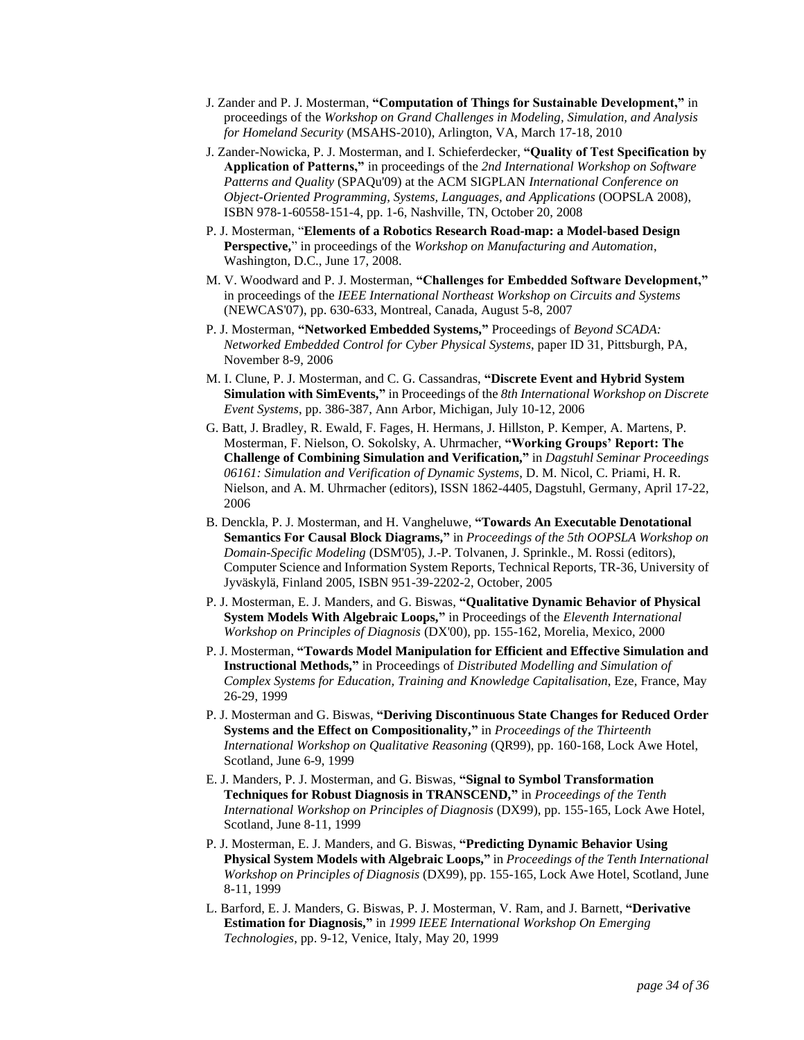- J. Zander and P. J. Mosterman, **"Computation of Things for Sustainable Development,"** in proceedings of the *Workshop on Grand Challenges in Modeling, Simulation, and Analysis for Homeland Security* (MSAHS-2010), Arlington, VA, March 17-18, 2010
- J. Zander-Nowicka, P. J. Mosterman, and I. Schieferdecker, **"Quality of Test Specification by Application of Patterns,"** in proceedings of the *2nd International Workshop on Software Patterns and Quality* (SPAQu'09) at the ACM SIGPLAN *International Conference on Object-Oriented Programming, Systems, Languages, and Applications* (OOPSLA 2008), ISBN 978-1-60558-151-4, pp. 1-6, Nashville, TN, October 20, 2008
- P. J. Mosterman, "**Elements of a Robotics Research Road-map: a Model-based Design Perspective,**" in proceedings of the *Workshop on Manufacturing and Automation*, Washington, D.C., June 17, 2008.
- M. V. Woodward and P. J. Mosterman, **"Challenges for Embedded Software Development,"** in proceedings of the *IEEE International Northeast Workshop on Circuits and Systems* (NEWCAS'07), pp. 630-633, Montreal, Canada, August 5-8, 2007
- P. J. Mosterman, **"Networked Embedded Systems,"** Proceedings of *Beyond SCADA: Networked Embedded Control for Cyber Physical Systems*, paper ID 31, Pittsburgh, PA, November 8-9, 2006
- M. I. Clune, P. J. Mosterman, and C. G. Cassandras, **"Discrete Event and Hybrid System Simulation with SimEvents,"** in Proceedings of the *8th International Workshop on Discrete Event Systems*, pp. 386-387, Ann Arbor, Michigan, July 10-12, 2006
- G. Batt, J. Bradley, R. Ewald, F. Fages, H. Hermans, J. Hillston, P. Kemper, A. Martens, P. Mosterman, F. Nielson, O. Sokolsky, A. Uhrmacher, **"Working Groups' Report: The Challenge of Combining Simulation and Verification,"** in *Dagstuhl Seminar Proceedings 06161: Simulation and Verification of Dynamic Systems*, D. M. Nicol, C. Priami, H. R. Nielson, and A. M. Uhrmacher (editors), ISSN 1862-4405, Dagstuhl, Germany, April 17-22, 2006
- B. Denckla, P. J. Mosterman, and H. Vangheluwe, **"Towards An Executable Denotational Semantics For Causal Block Diagrams,"** in *Proceedings of the 5th OOPSLA Workshop on Domain-Specific Modeling* (DSM'05), J.-P. Tolvanen, J. Sprinkle., M. Rossi (editors), Computer Science and Information System Reports, Technical Reports, TR-36, University of Jyväskylä, Finland 2005, ISBN 951-39-2202-2, October, 2005
- P. J. Mosterman, E. J. Manders, and G. Biswas, **"Qualitative Dynamic Behavior of Physical System Models With Algebraic Loops,"** in Proceedings of the *Eleventh International Workshop on Principles of Diagnosis* (DX'00), pp. 155-162, Morelia, Mexico, 2000
- P. J. Mosterman, **"Towards Model Manipulation for Efficient and Effective Simulation and Instructional Methods,"** in Proceedings of *Distributed Modelling and Simulation of Complex Systems for Education, Training and Knowledge Capitalisation*, Eze, France, May 26-29, 1999
- P. J. Mosterman and G. Biswas, **"Deriving Discontinuous State Changes for Reduced Order Systems and the Effect on Compositionality,"** in *Proceedings of the Thirteenth International Workshop on Qualitative Reasoning* (QR99), pp. 160-168, Lock Awe Hotel, Scotland, June 6-9, 1999
- E. J. Manders, P. J. Mosterman, and G. Biswas, **"Signal to Symbol Transformation Techniques for Robust Diagnosis in TRANSCEND,"** in *Proceedings of the Tenth International Workshop on Principles of Diagnosis* (DX99), pp. 155-165, Lock Awe Hotel, Scotland, June 8-11, 1999
- P. J. Mosterman, E. J. Manders, and G. Biswas, **"Predicting Dynamic Behavior Using Physical System Models with Algebraic Loops,"** in *Proceedings of the Tenth International Workshop on Principles of Diagnosis* (DX99), pp. 155-165, Lock Awe Hotel, Scotland, June 8-11, 1999
- L. Barford, E. J. Manders, G. Biswas, P. J. Mosterman, V. Ram, and J. Barnett, **"Derivative Estimation for Diagnosis,"** in *1999 IEEE International Workshop On Emerging Technologies*, pp. 9-12, Venice, Italy, May 20, 1999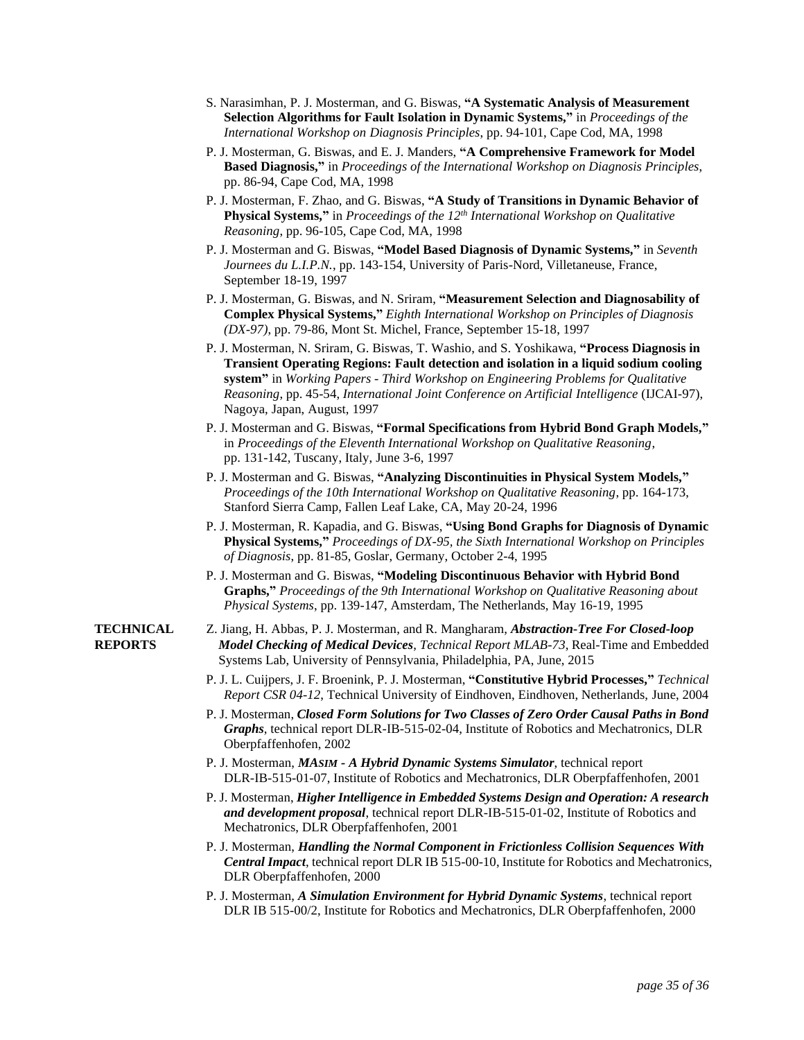- S. Narasimhan, P. J. Mosterman, and G. Biswas, **"A Systematic Analysis of Measurement Selection Algorithms for Fault Isolation in Dynamic Systems,"** in *Proceedings of the International Workshop on Diagnosis Principles*, pp. 94-101, Cape Cod, MA, 1998
- P. J. Mosterman, G. Biswas, and E. J. Manders, **"A Comprehensive Framework for Model Based Diagnosis,"** in *Proceedings of the International Workshop on Diagnosis Principles*, pp. 86-94, Cape Cod, MA, 1998
- P. J. Mosterman, F. Zhao, and G. Biswas, **"A Study of Transitions in Dynamic Behavior of Physical Systems,"** in *Proceedings of the 12th International Workshop on Qualitative Reasoning*, pp. 96-105, Cape Cod, MA, 1998
- P. J. Mosterman and G. Biswas, **"Model Based Diagnosis of Dynamic Systems,"** in *Seventh Journees du L.I.P.N.*, pp. 143-154, University of Paris-Nord, Villetaneuse, France, September 18-19, 1997
- P. J. Mosterman, G. Biswas, and N. Sriram, **"Measurement Selection and Diagnosability of Complex Physical Systems,"** *Eighth International Workshop on Principles of Diagnosis (DX-97)*, pp. 79-86, Mont St. Michel, France, September 15-18, 1997
- P. J. Mosterman, N. Sriram, G. Biswas, T. Washio, and S. Yoshikawa, **"Process Diagnosis in Transient Operating Regions: Fault detection and isolation in a liquid sodium cooling system"** in *Working Papers - Third Workshop on Engineering Problems for Qualitative Reasoning*, pp. 45-54, *International Joint Conference on Artificial Intelligence* (IJCAI-97), Nagoya, Japan, August, 1997
- P. J. Mosterman and G. Biswas, **"Formal Specifications from Hybrid Bond Graph Models,"** in *Proceedings of the Eleventh International Workshop on Qualitative Reasoning*, pp. 131-142, Tuscany, Italy, June 3-6, 1997
- P. J. Mosterman and G. Biswas, **"Analyzing Discontinuities in Physical System Models,"** *Proceedings of the 10th International Workshop on Qualitative Reasoning*, pp. 164-173, Stanford Sierra Camp, Fallen Leaf Lake, CA, May 20-24, 1996
- P. J. Mosterman, R. Kapadia, and G. Biswas, **"Using Bond Graphs for Diagnosis of Dynamic Physical Systems,"** *Proceedings of DX-95, the Sixth International Workshop on Principles of Diagnosis*, pp. 81-85, Goslar, Germany, October 2-4, 1995
- P. J. Mosterman and G. Biswas, **"Modeling Discontinuous Behavior with Hybrid Bond Graphs,"** *Proceedings of the 9th International Workshop on Qualitative Reasoning about Physical Systems*, pp. 139-147, Amsterdam, The Netherlands, May 16-19, 1995
- 
- **TECHNICAL** Z. Jiang, H. Abbas, P. J. Mosterman, and R. Mangharam, *Abstraction-Tree For Closed-loop*  **REPORTS** *Model Checking of Medical Devices*, *Technical Report MLAB-73*, Real-Time and Embedded Systems Lab, University of Pennsylvania, Philadelphia, PA, June, 2015
	- P. J. L. Cuijpers, J. F. Broenink, P. J. Mosterman, **"Constitutive Hybrid Processes,"** *Technical Report CSR 04-12*, Technical University of Eindhoven, Eindhoven, Netherlands, June, 2004
	- P. J. Mosterman, *Closed Form Solutions for Two Classes of Zero Order Causal Paths in Bond Graphs*, technical report DLR-IB-515-02-04, Institute of Robotics and Mechatronics, DLR Oberpfaffenhofen, 2002
	- P. J. Mosterman, *MASIM - A Hybrid Dynamic Systems Simulator*, technical report DLR-IB-515-01-07, Institute of Robotics and Mechatronics, DLR Oberpfaffenhofen, 2001
	- P. J. Mosterman, *Higher Intelligence in Embedded Systems Design and Operation: A research and development proposal*, technical report DLR-IB-515-01-02, Institute of Robotics and Mechatronics, DLR Oberpfaffenhofen, 2001
	- P. J. Mosterman, *Handling the Normal Component in Frictionless Collision Sequences With Central Impact*, technical report DLR IB 515-00-10, Institute for Robotics and Mechatronics, DLR Oberpfaffenhofen, 2000
	- P. J. Mosterman, *A Simulation Environment for Hybrid Dynamic Systems*, technical report DLR IB 515-00/2, Institute for Robotics and Mechatronics, DLR Oberpfaffenhofen, 2000